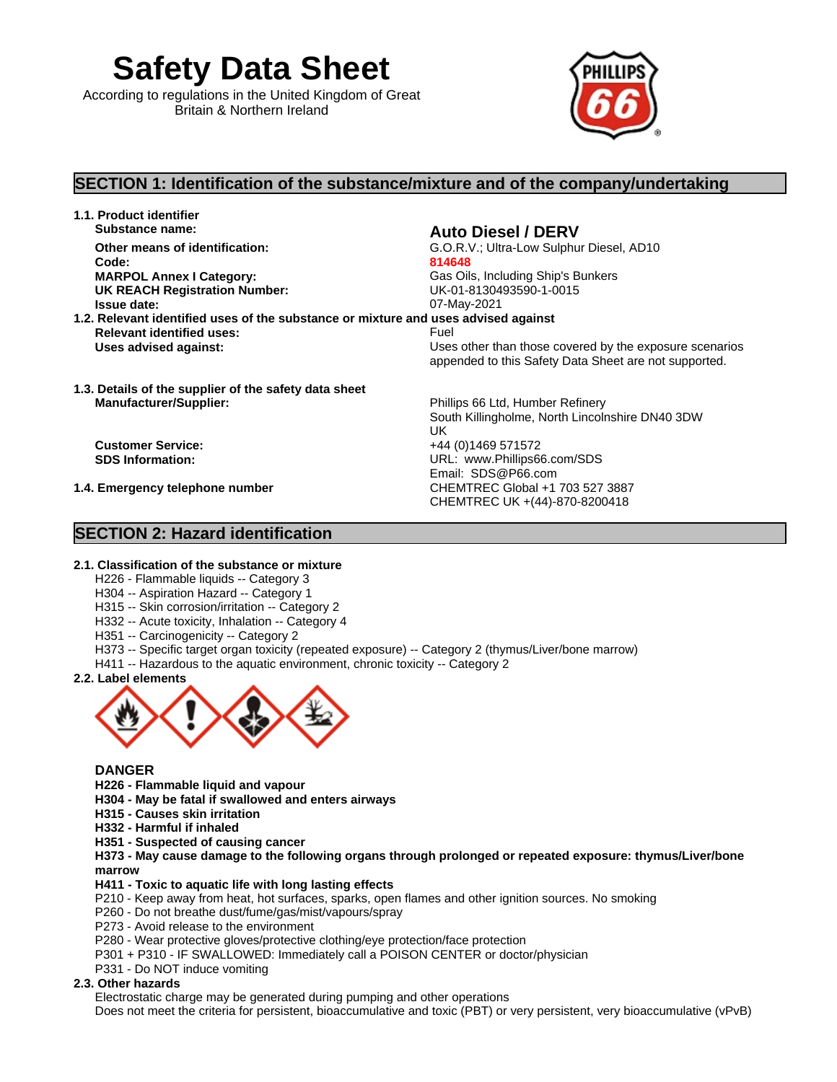**Safety Data Sheet**

According to regulations in the United Kingdom of Great Britain & Northern Ireland



# **SECTION 1: Identification of the substance/mixture and of the company/undertaking**

**1.1. Product identifier Substance name: Auto Diesel / DERV Code: 814648 MARPOL Annex I Category:** Gas Oils, Including Ship's Bunkers **UK REACH Registration Number: Issue date:** 07-May-2021

UK **UK** 

CHEMTREC UK +(44)-870-8200418

Email: SDS@P66.com

**Other means of identification:** G.O.R.V.; Ultra-Low Sulphur Diesel, AD10

**1.2. Relevant identified uses of the substance or mixture and uses advised against Relevant identified uses:** Fuel

**Uses advised against:** Uses other than those covered by the exposure scenarios appended to this Safety Data Sheet are not supported.

South Killingholme, North Lincolnshire DN40 3DW

**1.3. Details of the supplier of the safety data sheet Manufacturer/Supplier:** Phillips 66 Ltd, Humber Refinery

**Customer Service:** +44 (0)1469 571572 **SDS Information:** URL: www.Phillips66.com/SDS

**1.4. Emergency telephone number** CHEMTREC Global +1 703 527 3887

# **SECTION 2: Hazard identification**

# **2.1. Classification of the substance or mixture**

- H226 Flammable liquids -- Category 3
- H304 -- Aspiration Hazard -- Category 1
- H315 -- Skin corrosion/irritation -- Category 2
- H332 -- Acute toxicity, Inhalation -- Category 4
- H351 -- Carcinogenicity -- Category 2
- H373 -- Specific target organ toxicity (repeated exposure) -- Category 2 (thymus/Liver/bone marrow)
- H411 -- Hazardous to the aquatic environment, chronic toxicity -- Category 2
- **2.2. Label elements**



### **DANGER**

- **H226 - Flammable liquid and vapour**
- **H304 - May be fatal if swallowed and enters airways**
- **H315 - Causes skin irritation**
- **H332 - Harmful if inhaled**
- **H351 - Suspected of causing cancer**

**H373 - May cause damage to the following organs through prolonged or repeated exposure: thymus/Liver/bone marrow** 

### **H411 - Toxic to aquatic life with long lasting effects**

- P210 Keep away from heat, hot surfaces, sparks, open flames and other ignition sources. No smoking
- P260 Do not breathe dust/fume/gas/mist/vapours/spray
- P273 Avoid release to the environment
- P280 Wear protective gloves/protective clothing/eye protection/face protection
- P301 + P310 IF SWALLOWED: Immediately call a POISON CENTER or doctor/physician
- P331 Do NOT induce vomiting

### **2.3. Other hazards**

Electrostatic charge may be generated during pumping and other operations

Does not meet the criteria for persistent, bioaccumulative and toxic (PBT) or very persistent, very bioaccumulative (vPvB)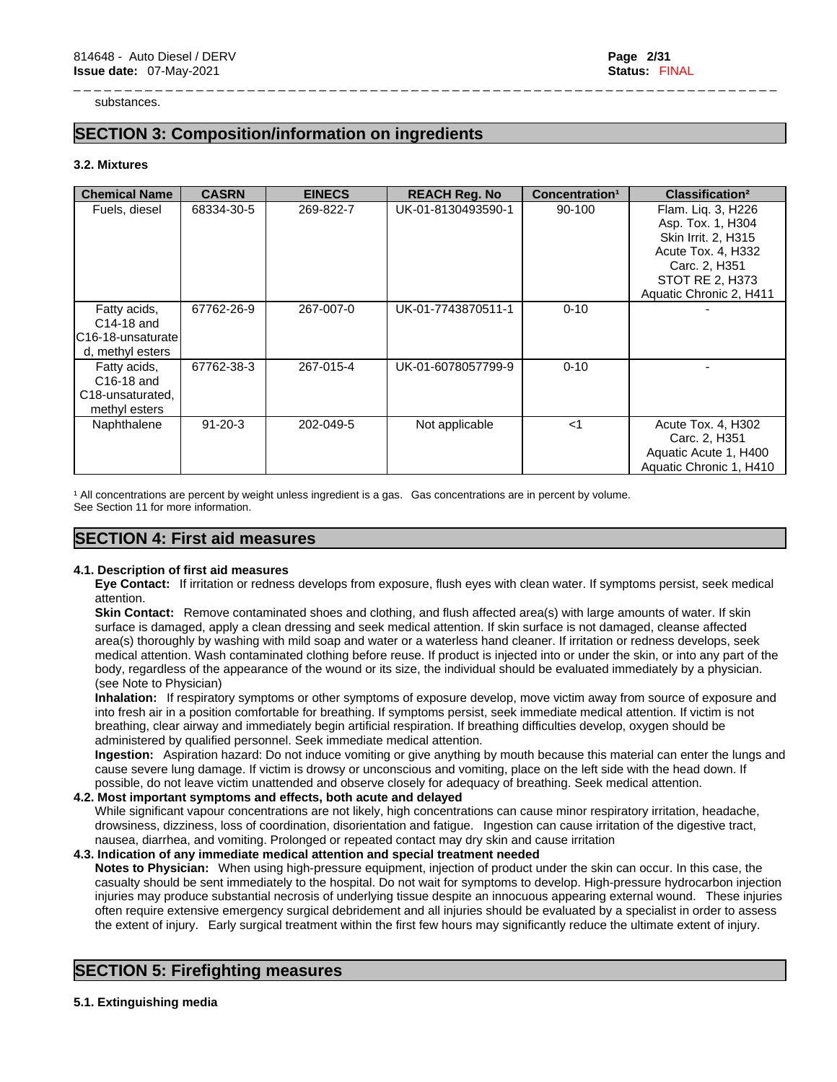substances.

# **SECTION 3: Composition/information on ingredients**

#### **3.2. Mixtures**

| <b>Chemical Name</b>                                                         | <b>CASRN</b>  | <b>EINECS</b> | <b>REACH Reg. No</b> | Concentration <sup>1</sup> | <b>Classification<sup>2</sup></b>                                                                                                                          |
|------------------------------------------------------------------------------|---------------|---------------|----------------------|----------------------------|------------------------------------------------------------------------------------------------------------------------------------------------------------|
| Fuels, diesel                                                                | 68334-30-5    | 269-822-7     | UK-01-8130493590-1   | 90-100                     | Flam. Liq. 3, H226<br>Asp. Tox. 1, H304<br>Skin Irrit. 2, H315<br>Acute Tox. 4, H332<br>Carc. 2, H351<br><b>STOT RE 2, H373</b><br>Aquatic Chronic 2, H411 |
| Fatty acids,<br>C14-18 and<br>C16-18-unsaturatel<br>d, methyl esters         | 67762-26-9    | 267-007-0     | UK-01-7743870511-1   | $0 - 10$                   |                                                                                                                                                            |
| Fatty acids,<br>C16-18 and<br>C <sub>18</sub> -unsaturated,<br>methyl esters | 67762-38-3    | 267-015-4     | UK-01-6078057799-9   | $0 - 10$                   |                                                                                                                                                            |
| Naphthalene                                                                  | $91 - 20 - 3$ | 202-049-5     | Not applicable       | $<$ 1                      | Acute Tox. 4, H302<br>Carc. 2, H351<br>Aquatic Acute 1, H400<br>Aquatic Chronic 1, H410                                                                    |

\_ \_ \_ \_ \_ \_ \_ \_ \_ \_ \_ \_ \_ \_ \_ \_ \_ \_ \_ \_ \_ \_ \_ \_ \_ \_ \_ \_ \_ \_ \_ \_ \_ \_ \_ \_ \_ \_ \_ \_ \_ \_ \_ \_ \_ \_ \_ \_ \_ \_ \_ \_ \_ \_ \_ \_ \_ \_ \_ \_ \_ \_ \_ \_ \_ \_ \_ \_ \_

<sup>1</sup> All concentrations are percent by weight unless ingredient is a gas. Gas concentrations are in percent by volume. See Section 11 for more information.

### **SECTION 4: First aid measures**

#### **4.1. Description of first aid measures**

**Eye Contact:** If irritation or redness develops from exposure, flush eyes with clean water. If symptoms persist, seek medical attention.

**Skin Contact:** Remove contaminated shoes and clothing, and flush affected area(s) with large amounts of water. If skin surface is damaged, apply a clean dressing and seek medical attention. If skin surface is not damaged, cleanse affected area(s) thoroughly by washing with mild soap and water or a waterless hand cleaner. If irritation or redness develops, seek medical attention. Wash contaminated clothing before reuse. If product is injected into or under the skin, or into any part of the body, regardless of the appearance of the wound or its size, the individual should be evaluated immediately by a physician. (see Note to Physician)

**Inhalation:** If respiratory symptoms or other symptoms of exposure develop, move victim away from source of exposure and into fresh air in a position comfortable for breathing. If symptoms persist, seek immediate medical attention. If victim is not breathing, clear airway and immediately begin artificial respiration. If breathing difficulties develop, oxygen should be administered by qualified personnel. Seek immediate medical attention.

**Ingestion:** Aspiration hazard: Do not induce vomiting or give anything by mouth because this material can enter the lungs and cause severe lung damage. If victim is drowsy or unconscious and vomiting, place on the left side with the head down. If possible, do not leave victim unattended and observe closely for adequacy of breathing. Seek medical attention.

#### **4.2. Most important symptoms and effects, both acute and delayed**

While significant vapour concentrations are not likely, high concentrations can cause minor respiratory irritation, headache, drowsiness, dizziness, loss of coordination, disorientation and fatigue. Ingestion can cause irritation of the digestive tract, nausea, diarrhea, and vomiting. Prolonged or repeated contact may dry skin and cause irritation

#### **4.3. Indication of any immediate medical attention and special treatment needed**

**Notes to Physician:** When using high-pressure equipment, injection of product under the skin can occur. In this case, the casualty should be sent immediately to the hospital. Do not wait for symptoms to develop. High-pressure hydrocarbon injection injuries may produce substantial necrosis of underlying tissue despite an innocuous appearing external wound. These injuries often require extensive emergency surgical debridement and all injuries should be evaluated by a specialist in order to assess the extent of injury. Early surgical treatment within the first few hours may significantly reduce the ultimate extent of injury.

# **SECTION 5: Firefighting measures**

#### **5.1. Extinguishing media**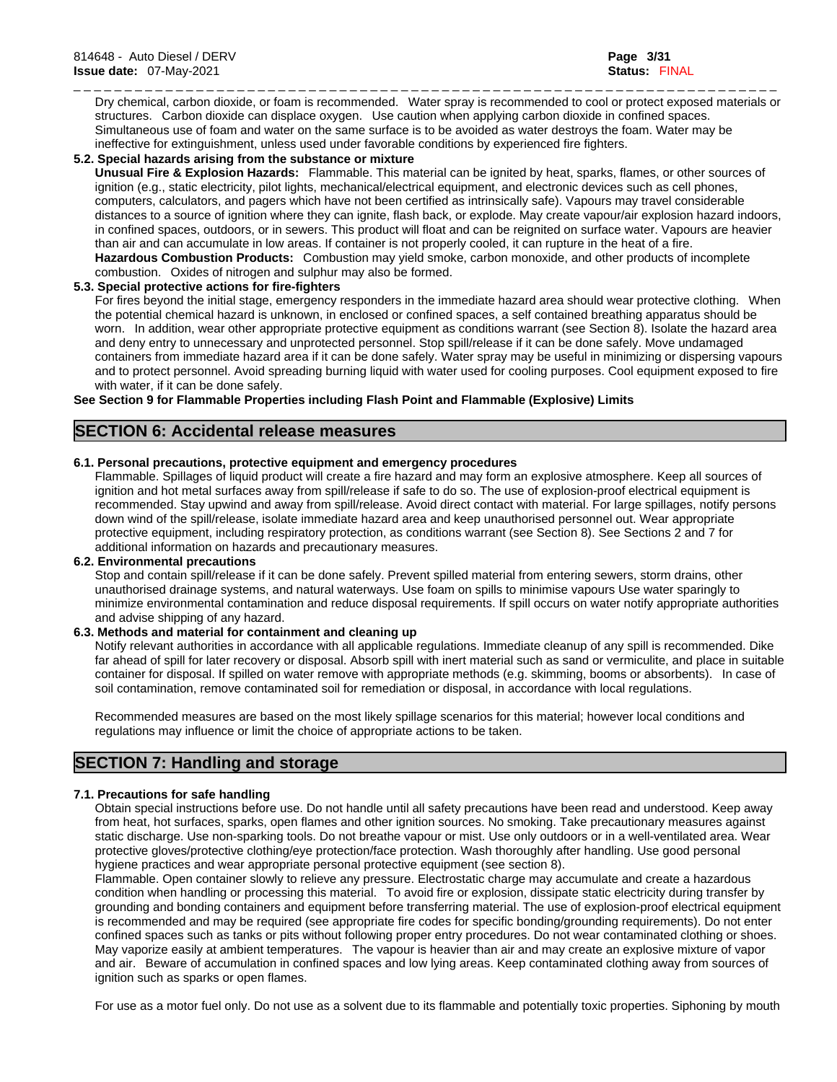\_ \_ \_ \_ \_ \_ \_ \_ \_ \_ \_ \_ \_ \_ \_ \_ \_ \_ \_ \_ \_ \_ \_ \_ \_ \_ \_ \_ \_ \_ \_ \_ \_ \_ \_ \_ \_ \_ \_ \_ \_ \_ \_ \_ \_ \_ \_ \_ \_ \_ \_ \_ \_ \_ \_ \_ \_ \_ \_ \_ \_ \_ \_ \_ \_ \_ \_ \_ \_ Dry chemical, carbon dioxide, or foam is recommended. Water spray is recommended to cool or protect exposed materials or structures. Carbon dioxide can displace oxygen. Use caution when applying carbon dioxide in confined spaces. Simultaneous use of foam and water on the same surface isto be avoided as water destroys the foam. Water may be ineffective for extinguishment, unless used under favorable conditions by experienced fire fighters.

#### **5.2. Special hazards arising from the substance or mixture**

**Unusual Fire & Explosion Hazards:** Flammable. This material can be ignited by heat, sparks, flames, or other sources of ignition (e.g., static electricity, pilot lights, mechanical/electrical equipment, and electronic devices such as cell phones, computers, calculators, and pagers which have not been certified as intrinsically safe). Vapours may travel considerable distances to a source of ignition where they can ignite, flash back, or explode. May create vapour/air explosion hazard indoors, in confined spaces, outdoors, or in sewers. This product willfloat and can be reignited on surface water. Vapours are heavier than air and can accumulate in low areas. If container is not properly cooled, it can rupture in the heat of a fire. **Hazardous Combustion Products:** Combustion may yield smoke, carbon monoxide, and other products of incomplete combustion. Oxides of nitrogen and sulphur may also be formed.

#### **5.3. Special protective actions for fire-fighters**

For fires beyond the initial stage, emergency responders in the immediate hazard area should wear protective clothing. When the potential chemical hazard is unknown, in enclosed or confined spaces, a self contained breathing apparatus should be worn. In addition, wear other appropriate protective equipment as conditions warrant (see Section 8). Isolate the hazard area and deny entry to unnecessary and unprotected personnel. Stop spill/release if it can be done safely. Move undamaged containers from immediate hazard area if it can be done safely. Water spray may be useful in minimizing or dispersing vapours and to protect personnel. Avoid spreading burning liquid with water used for cooling purposes. Cool equipment exposed to fire with water, if it can be done safely.

**See Section 9 for Flammable Properties including Flash Point and Flammable (Explosive) Limits**

### **SECTION 6: Accidental release measures**

#### **6.1. Personal precautions, protective equipment and emergency procedures**

Flammable. Spillages of liquid product will create a fire hazard and may form an explosive atmosphere. Keep all sources of ignition and hot metal surfaces away from spill/release if safe to do so. The use of explosion-proof electrical equipment is recommended. Stay upwind and away from spill/release. Avoid direct contact with material. For large spillages, notify persons down wind of the spill/release, isolate immediate hazard area and keep unauthorised personnel out. Wear appropriate protective equipment, including respiratory protection, as conditions warrant (see Section 8). See Sections 2 and 7 for additional information on hazards and precautionary measures.

#### **6.2. Environmental precautions**

Stop and contain spill/release if it can be done safely. Prevent spilled material from entering sewers, storm drains, other unauthorised drainage systems, and natural waterways. Use foam on spills to minimise vapours Use water sparingly to minimize environmental contamination and reduce disposal requirements. If spill occurs on water notify appropriate authorities and advise shipping of any hazard.

#### **6.3. Methods and material for containment and cleaning up**

Notify relevant authorities in accordance with all applicable regulations. Immediate cleanup of any spill is recommended. Dike far ahead of spill for later recovery or disposal. Absorb spill with inert material such as sand or vermiculite, and place in suitable container for disposal. If spilled on water remove with appropriate methods (e.g. skimming, booms or absorbents). In case of soil contamination, remove contaminated soil for remediation or disposal, in accordance with local regulations.

Recommended measures are based on the most likely spillage scenarios for this material; however local conditions and regulations may influence or limit the choice of appropriate actions to be taken.

# **SECTION 7: Handling and storage**

#### **7.1. Precautions for safe handling**

Obtain special instructions before use. Do not handle until all safety precautions have been read and understood. Keep away from heat, hot surfaces, sparks, open flames and other ignition sources. No smoking. Take precautionary measures against static discharge. Use non-sparking tools. Do not breathe vapour or mist. Use only outdoors or in a well-ventilated area. Wear protective gloves/protective clothing/eye protection/face protection. Wash thoroughly after handling. Use good personal hygiene practices and wear appropriate personal protective equipment (see section 8).

Flammable. Open container slowly to relieve any pressure. Electrostatic charge may accumulate and create a hazardous condition when handling or processing this material. To avoid fire or explosion, dissipate static electricity during transfer by grounding and bonding containers and equipment before transferring material. The use of explosion-proof electrical equipment is recommended and may be required (see appropriate fire codes for specific bonding/grounding requirements). Do not enter confined spaces such as tanks or pits without following proper entry procedures. Do not wear contaminated clothing or shoes. May vaporize easily at ambient temperatures. The vapour is heavier than air and may create an explosive mixture of vapor and air. Beware of accumulation in confined spaces and low lying areas. Keep contaminated clothing away from sources of ignition such as sparks or open flames.

For use as a motor fuel only. Do not use as a solvent due to its flammable and potentially toxic properties. Siphoning by mouth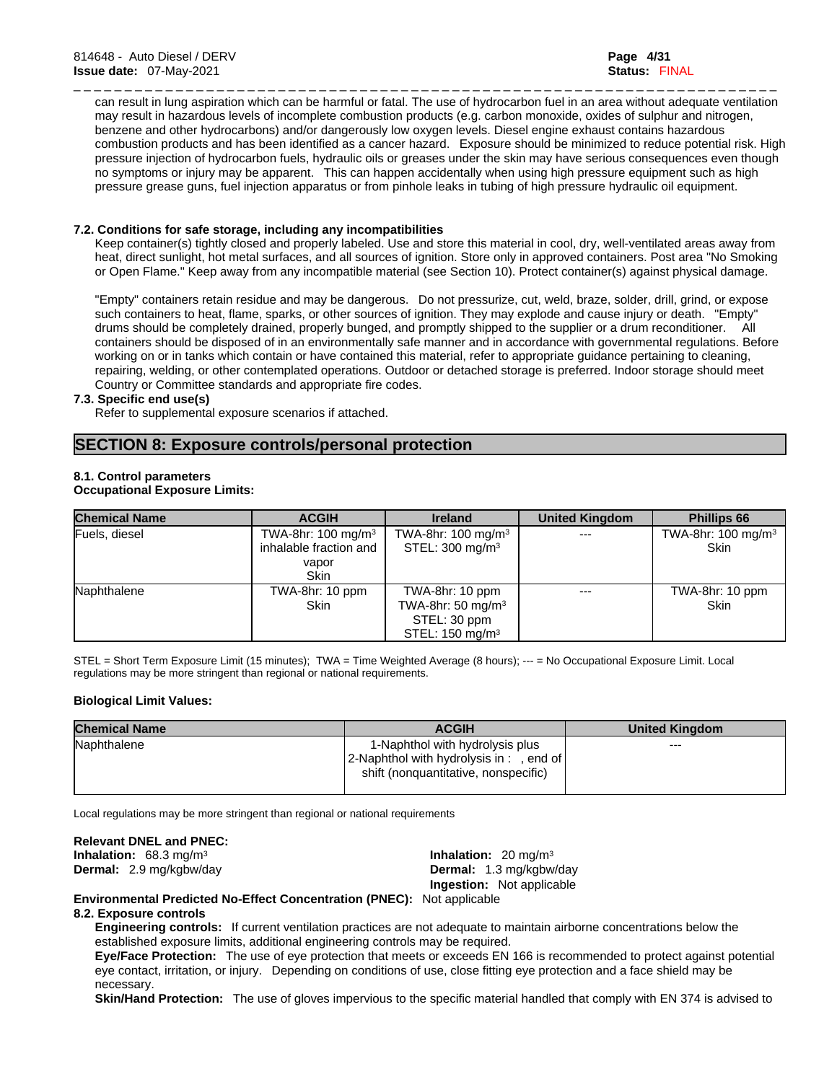\_ \_ \_ \_ \_ \_ \_ \_ \_ \_ \_ \_ \_ \_ \_ \_ \_ \_ \_ \_ \_ \_ \_ \_ \_ \_ \_ \_ \_ \_ \_ \_ \_ \_ \_ \_ \_ \_ \_ \_ \_ \_ \_ \_ \_ \_ \_ \_ \_ \_ \_ \_ \_ \_ \_ \_ \_ \_ \_ \_ \_ \_ \_ \_ \_ \_ \_ \_ \_ can result in lung aspiration which can be harmful or fatal. The use of hydrocarbon fuel in an area without adequate ventilation may result in hazardous levels of incomplete combustion products (e.g. carbon monoxide, oxides of sulphur and nitrogen, benzene and other hydrocarbons) and/or dangerously low oxygen levels. Diesel engine exhaust contains hazardous combustion products and has been identified as a cancer hazard. Exposure should be minimized to reduce potential risk. High pressure injection of hydrocarbon fuels, hydraulic oils or greases under the skin may have serious consequences even though no symptoms or injury may be apparent. This can happen accidentally when using high pressure equipment such as high pressure grease guns, fuel injection apparatus or from pinhole leaks in tubing of high pressure hydraulic oil equipment.

#### **7.2. Conditions for safe storage, including any incompatibilities**

Keep container(s) tightly closed and properly labeled. Use and store this material in cool, dry, well-ventilated areas away from heat, direct sunlight, hot metal surfaces, and all sources of ignition. Store only in approved containers. Post area "No Smoking or Open Flame." Keep away from any incompatible material(see Section 10). Protect container(s) against physical damage.

"Empty" containers retain residue and may be dangerous. Do not pressurize, cut, weld, braze, solder, drill, grind, or expose such containers to heat, flame, sparks, or other sources of ignition. They may explode and cause injury or death. "Empty" drums should be completely drained, properly bunged, and promptly shipped to the supplier or a drum reconditioner. All containers should be disposed of in an environmentally safe manner and in accordance with governmental regulations. Before working on or in tanks which contain or have contained this material, refer to appropriate guidance pertaining to cleaning, repairing, welding, or other contemplated operations. Outdoor or detached storage is preferred. Indoor storage should meet Country or Committee standards and appropriate fire codes.

#### **7.3. Specific end use(s)**

Refer to supplemental exposure scenarios if attached.

# **SECTION 8: Exposure controls/personal protection**

#### **8.1. Control parameters**

#### **Occupational Exposure Limits:**

| <b>Chemical Name</b> | <b>ACGIH</b>                                               | <b>Ireland</b>                                                                                 | <b>United Kingdom</b> | <b>Phillips 66</b>                       |
|----------------------|------------------------------------------------------------|------------------------------------------------------------------------------------------------|-----------------------|------------------------------------------|
| Fuels, diesel        | TWA-8hr: $100$ mg/m <sup>3</sup><br>inhalable fraction and | TWA-8hr: $100 \text{ mg/m}^3$<br>STEL: $300 \text{ mg/m}^3$                                    | $---$                 | TWA-8hr: $100$ mg/m <sup>3</sup><br>Skin |
|                      | vapor<br>Skin                                              |                                                                                                |                       |                                          |
| Naphthalene          | TWA-8hr: 10 ppm<br><b>Skin</b>                             | TWA-8hr: 10 ppm<br>TWA-8hr: 50 mg/m <sup>3</sup><br>STEL: 30 ppm<br>STEL: $150 \text{ mg/m}^3$ | $---$                 | TWA-8hr: 10 ppm<br><b>Skin</b>           |

STEL = Short Term Exposure Limit (15 minutes); TWA = Time Weighted Average (8 hours); --- = No Occupational Exposure Limit. Local regulations may be more stringent than regional or national requirements.

#### **Biological Limit Values:**

| <b>Chemical Name</b> | <b>ACGIH</b>                             | <b>United Kingdom</b> |
|----------------------|------------------------------------------|-----------------------|
| Naphthalene          | 1-Naphthol with hydrolysis plus          | $---$                 |
|                      | 2-Naphthol with hydrolysis in : , end of |                       |
|                      | shift (nonquantitative, nonspecific)     |                       |
|                      |                                          |                       |

Local regulations may be more stringent than regional or national requirements

#### **Relevant DNEL and PNEC:**

**Inhalation:** 68.3 mg/m<sup>3</sup> **Dermal:** 2.9 mg/kgbw/day **Dermal:** 1.3 mg/kgbw/day

**Inhalation:** 20 mg/m<sup>3</sup> **Ingestion:** Not applicable

**Environmental Predicted No-Effect Concentration (PNEC):** Not applicable

#### **8.2. Exposure controls**

**Engineering controls:** If current ventilation practices are not adequate to maintain airborne concentrations below the established exposure limits, additional engineering controls may be required.

**Eye/Face Protection:** The use of eye protection that meets or exceeds EN 166 isrecommended to protect against potential eye contact, irritation, or injury. Depending on conditions of use, close fitting eye protection and a face shield may be necessary.

**Skin/Hand Protection:** The use of gloves impervious to the specific material handled that comply with EN 374 is advised to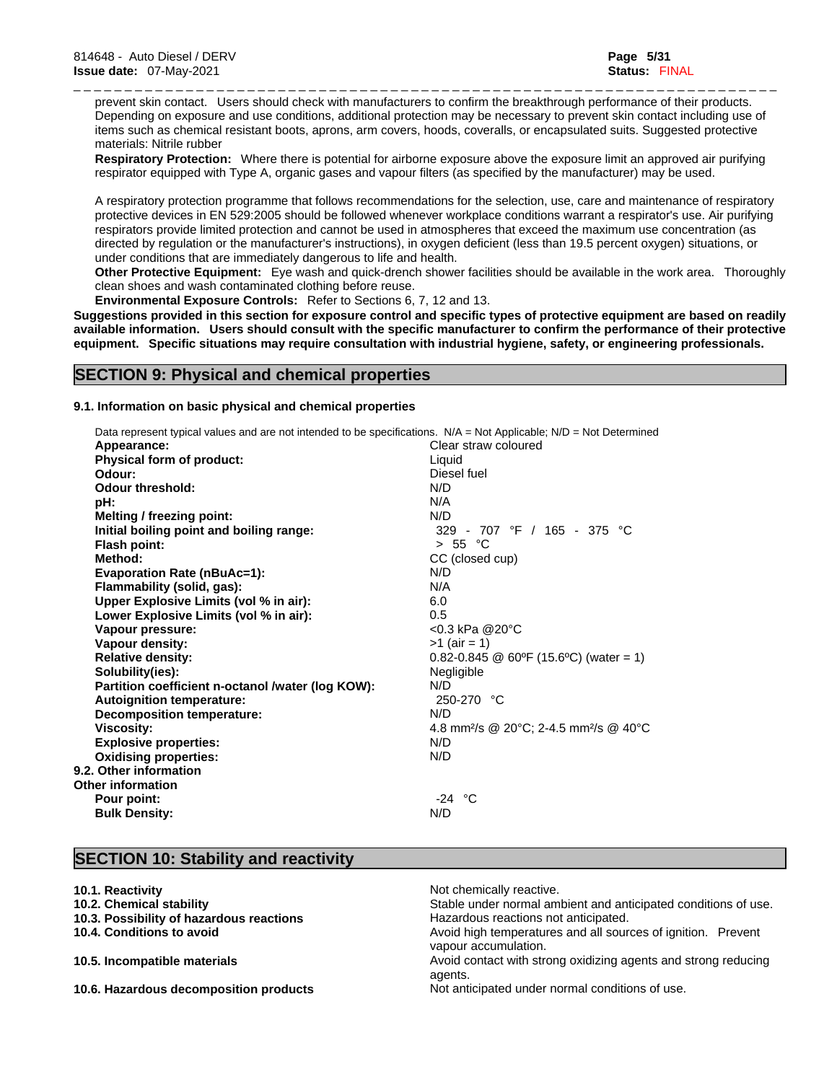\_ \_ \_ \_ \_ \_ \_ \_ \_ \_ \_ \_ \_ \_ \_ \_ \_ \_ \_ \_ \_ \_ \_ \_ \_ \_ \_ \_ \_ \_ \_ \_ \_ \_ \_ \_ \_ \_ \_ \_ \_ \_ \_ \_ \_ \_ \_ \_ \_ \_ \_ \_ \_ \_ \_ \_ \_ \_ \_ \_ \_ \_ \_ \_ \_ \_ \_ \_ \_ prevent skin contact. Users should check with manufacturers to confirm the breakthrough performance of their products. Depending on exposure and use conditions, additional protection may be necessary to prevent skin contact including use of items such as chemical resistant boots, aprons, arm covers, hoods, coveralls, or encapsulated suits. Suggested protective materials: Nitrile rubber

**Respiratory Protection:** Where there is potential for airborne exposure above the exposure limit an approved air purifying respirator equipped with Type A, organic gases and vapour filters (as specified by the manufacturer) may be used.

A respiratory protection programme that follows recommendations for the selection, use, care and maintenance of respiratory protective devices in EN 529:2005 should be followed whenever workplace conditions warrant a respirator's use. Air purifying respirators provide limited protection and cannot be used in atmospheres that exceed the maximum use concentration (as directed by regulation or the manufacturer's instructions), in oxygen deficient (less than 19.5 percent oxygen) situations, or under conditions that are immediately dangerous to life and health.

**Other Protective Equipment:** Eye wash and quick-drench shower facilities should be available in the work area. Thoroughly clean shoes and wash contaminated clothing before reuse.

**Environmental Exposure Controls:** Refer to Sections 6, 7, 12 and 13.

Suggestions provided in this section for exposure control and specific types of protective equipment are based on readily available information. Users should consult with the specific manufacturer to confirm the performance of their protective **equipment. Specific situations may require consultation with industrial hygiene, safety, or engineering professionals.**

# **SECTION 9: Physical and chemical properties**

#### **9.1. Information on basic physical and chemical properties**

| Data represent typical values and are not intended to be specifications. N/A = Not Applicable; N/D = Not Determined |                                                                |
|---------------------------------------------------------------------------------------------------------------------|----------------------------------------------------------------|
| Appearance:                                                                                                         | Clear straw coloured                                           |
| Physical form of product:                                                                                           | Liquid                                                         |
| Odour:                                                                                                              | Diesel fuel                                                    |
| <b>Odour threshold:</b>                                                                                             | N/D                                                            |
| pH:                                                                                                                 | N/A                                                            |
| Melting / freezing point:                                                                                           | N/D                                                            |
| Initial boiling point and boiling range:                                                                            | 329 - 707 °F / 165 - 375 °C                                    |
| Flash point:                                                                                                        | > 55 °C                                                        |
| Method:                                                                                                             | CC (closed cup)                                                |
| <b>Evaporation Rate (nBuAc=1):</b>                                                                                  | N/D                                                            |
| Flammability (solid, gas):                                                                                          | N/A                                                            |
| Upper Explosive Limits (vol % in air):                                                                              | 6.0                                                            |
| Lower Explosive Limits (vol % in air):                                                                              | 0.5                                                            |
| Vapour pressure:                                                                                                    | $< 0.3$ kPa @20°C                                              |
| Vapour density:                                                                                                     | $>1$ (air = 1)                                                 |
| <b>Relative density:</b>                                                                                            | $0.82 - 0.845$ @ 60°F (15.6°C) (water = 1)                     |
| Solubility(ies):                                                                                                    | Negligible                                                     |
| Partition coefficient n-octanol /water (log KOW):                                                                   | N/D                                                            |
| <b>Autoignition temperature:</b>                                                                                    | 250-270 °C                                                     |
| <b>Decomposition temperature:</b>                                                                                   | N/D                                                            |
| Viscosity:                                                                                                          | 4.8 mm <sup>2</sup> /s @ 20°C; 2-4.5 mm <sup>2</sup> /s @ 40°C |
| <b>Explosive properties:</b>                                                                                        | N/D                                                            |
| <b>Oxidising properties:</b>                                                                                        | N/D                                                            |
| 9.2. Other information                                                                                              |                                                                |
| Other information                                                                                                   |                                                                |
| Pour point:                                                                                                         | $-24$ °C                                                       |
| <b>Bulk Density:</b>                                                                                                | N/D                                                            |
|                                                                                                                     |                                                                |

# **SECTION 10: Stability and reactivity**

|  |  | 10.1. Reactivity |
|--|--|------------------|
|--|--|------------------|

- 
- **10.3. Possibility of hazardous reactions has a reactions Hazardous** reactions not anticipated.
- 
- 
- 

Not chemically reactive. **10.2. Chemical stability** Stable under normal ambient and anticipated conditions of use. **10.4. Conditions to avoid Avoid high temperatures and all sources of ignition. Prevent** vapour accumulation. **10.5. Incompatible materials Avoid contact with strong oxidizing agents and strong reducing** agents. **10.6. Hazardous decomposition products** Not anticipated under normal conditions of use.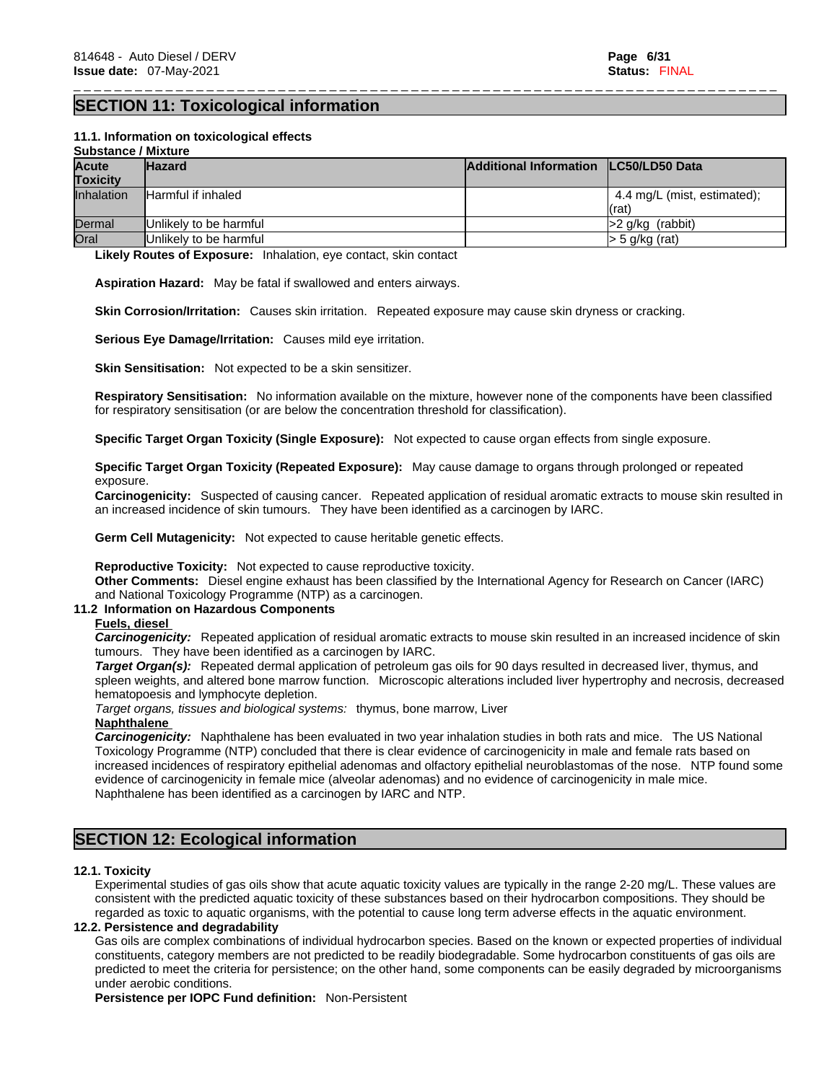# **SECTION 11: Toxicological information**

#### **11.1. Information on toxicologicaleffects**

| <b>Substance / Mixture</b> |                           |                                         |                             |
|----------------------------|---------------------------|-----------------------------------------|-----------------------------|
| <b>Acute</b>               | <b>Hazard</b>             | Additional Information   LC50/LD50 Data |                             |
| <b>Toxicity</b>            |                           |                                         |                             |
| <b>Inhalation</b>          | <b>Harmful if inhaled</b> |                                         | 4.4 mg/L (mist, estimated); |
|                            |                           |                                         | (rat)                       |
| Dermal                     | Unlikely to be harmful    |                                         | $ >2$ g/kg (rabbit)         |
| Oral                       | Unlikely to be harmful    |                                         | > 5 g/kg (rat)              |

\_ \_ \_ \_ \_ \_ \_ \_ \_ \_ \_ \_ \_ \_ \_ \_ \_ \_ \_ \_ \_ \_ \_ \_ \_ \_ \_ \_ \_ \_ \_ \_ \_ \_ \_ \_ \_ \_ \_ \_ \_ \_ \_ \_ \_ \_ \_ \_ \_ \_ \_ \_ \_ \_ \_ \_ \_ \_ \_ \_ \_ \_ \_ \_ \_ \_ \_ \_ \_

**Likely Routes of Exposure:** Inhalation, eye contact, skin contact

**Aspiration Hazard:** May be fatal if swallowed and enters airways.

**Skin Corrosion/Irritation:** Causes skin irritation. Repeated exposure may cause skin dryness or cracking.

**Serious Eye Damage/Irritation:** Causes mild eye irritation.

**Skin Sensitisation:** Not expected to be a skin sensitizer.

**Respiratory Sensitisation:** No information available on the mixture, however none of the components have been classified for respiratory sensitisation (or are below the concentration threshold for classification).

**Specific Target Organ Toxicity (Single Exposure):** Not expected to cause organ effects from single exposure.

**Specific Target Organ Toxicity (Repeated Exposure):** May cause damage to organs through prolonged or repeated exposure.

**Carcinogenicity:** Suspected of causing cancer. Repeated application of residual aromatic extracts to mouse skin resulted in an increased incidence of skin tumours. They have been identified as a carcinogen by IARC.

**Germ Cell Mutagenicity:** Not expected to cause heritable genetic effects.

**Reproductive Toxicity:** Not expected to cause reproductive toxicity.

**Other Comments:** Diesel engine exhaust has been classified by the International Agency for Research on Cancer (IARC) and National Toxicology Programme (NTP) as a carcinogen.

#### **11.2 Information on Hazardous Components**

#### **Fuels, diesel**

*Carcinogenicity:* Repeated application of residual aromatic extracts to mouse skin resulted in an increased incidence of skin tumours. They have been identified as a carcinogen by IARC.

*Target Organ(s):* Repeated dermal application of petroleum gas oils for 90 days resulted in decreased liver, thymus, and spleen weights, and altered bone marrow function. Microscopic alterations included liver hypertrophy and necrosis, decreased hematopoesis and lymphocyte depletion.

*Target organs, tissues and biological systems:* thymus, bone marrow, Liver

#### **Naphthalene**

*Carcinogenicity:* Naphthalene has been evaluated in two year inhalation studies in both rats and mice. The US National Toxicology Programme (NTP) concluded that there is clear evidence of carcinogenicity in male and female rats based on increased incidences of respiratory epithelial adenomas and olfactory epithelial neuroblastomas of the nose. NTP found some evidence of carcinogenicity in female mice (alveolar adenomas) and no evidence of carcinogenicity in male mice. Naphthalene has been identified as a carcinogen by IARC and NTP.

# **SECTION 12: Ecological information**

#### **12.1. Toxicity**

Experimental studies of gas oils show that acute aquatic toxicity values are typically in the range 2-20 mg/L. These values are consistent with the predicted aquatic toxicity of these substances based on their hydrocarbon compositions. They should be regarded as toxic to aquatic organisms, with the potential to cause long term adverse effects in the aquatic environment.

#### **12.2. Persistence and degradability**

Gas oils are complex combinations of individual hydrocarbon species. Based on the known or expected properties of individual constituents, category members are not predicted to be readily biodegradable. Some hydrocarbon constituents of gas oils are predicted to meet the criteria for persistence; on the other hand, some components can be easily degraded by microorganisms under aerobic conditions.

**Persistence per IOPC Fund definition:** Non-Persistent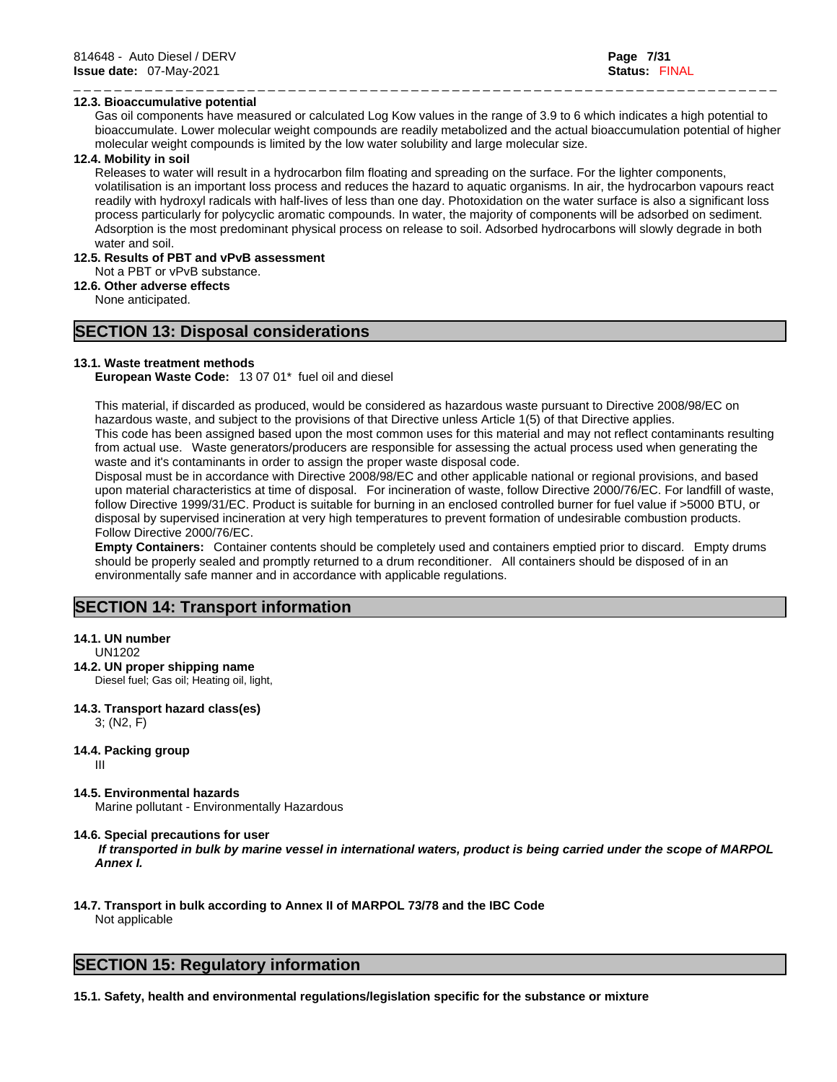### **12.3. Bioaccumulative potential**

Gas oil components have measured or calculated Log Kow values in the range of 3.9 to 6 which indicates a high potential to bioaccumulate. Lower molecular weight compounds are readily metabolized and the actual bioaccumulation potential of higher molecular weight compounds is limited by the low water solubility and large molecular size.

\_ \_ \_ \_ \_ \_ \_ \_ \_ \_ \_ \_ \_ \_ \_ \_ \_ \_ \_ \_ \_ \_ \_ \_ \_ \_ \_ \_ \_ \_ \_ \_ \_ \_ \_ \_ \_ \_ \_ \_ \_ \_ \_ \_ \_ \_ \_ \_ \_ \_ \_ \_ \_ \_ \_ \_ \_ \_ \_ \_ \_ \_ \_ \_ \_ \_ \_ \_ \_

#### **12.4. Mobility in soil**

Releases to water will result in a hydrocarbon film floating and spreading on the surface. For the lighter components, volatilisation is an important loss process and reduces the hazard to aquatic organisms. In air, the hydrocarbon vapours react readily with hydroxyl radicals with half-lives of less than one day. Photoxidation on the water surface is also a significant loss process particularly for polycyclic aromatic compounds. In water, the majority of components will be adsorbed on sediment. Adsorption is the most predominant physical process on release to soil. Adsorbed hydrocarbons will slowly degrade in both water and soil.

# **12.5. Results of PBT and vPvB assessment**

Not a PBT or vPvB substance.

**12.6. Other adverse effects**

None anticipated.

# **SECTION 13: Disposal considerations**

#### **13.1. Waste treatment methods**

**European Waste Code:** 13 07 01\* fuel oil and diesel

This material, if discarded as produced, would be considered as hazardous waste pursuant to Directive 2008/98/EC on hazardous waste, and subject to the provisions of that Directive unless Article 1(5) of that Directive applies. This code has been assigned based upon the most common uses for this material and may not reflect contaminants resulting

from actual use. Waste generators/producers are responsible for assessing the actual process used when generating the waste and it's contaminants in order to assign the proper waste disposal code.

Disposal must be in accordance with Directive 2008/98/EC and other applicable national or regional provisions, and based upon material characteristics at time of disposal. For incineration of waste, follow Directive 2000/76/EC. For landfill of waste, follow Directive 1999/31/EC. Product is suitable for burning in an enclosed controlled burner for fuel value if >5000 BTU, or disposal by supervised incineration at very high temperatures to prevent formation of undesirable combustion products. Follow Directive 2000/76/EC.

**Empty Containers:** Container contents should be completely used and containers emptied prior to discard. Empty drums should be properly sealed and promptly returned to a drum reconditioner. All containers should be disposed of in an environmentally safe manner and in accordance with applicable regulations.

# **SECTION 14: Transport information**

#### **14.1. UN number**

UN1202

### **14.2. UN proper shipping name**

Diesel fuel; Gas oil; Heating oil, light,

#### **14.3. Transport hazard class(es)**

3; (N2, F)

### **14.4. Packing group**

III

**14.5. Environmental hazards** 

Marine pollutant - Environmentally Hazardous

#### **14.6. Special precautions for user**

 *If transported in bulk by marine vessel in international waters, product is being carried under the scope of MARPOL Annex I.*

#### **14.7. Transport in bulk according to Annex II of MARPOL 73/78 and the IBC Code** Not applicable

# **SECTION 15: Regulatory information**

**15.1. Safety, health and environmental regulations/legislation specific for the substance or mixture**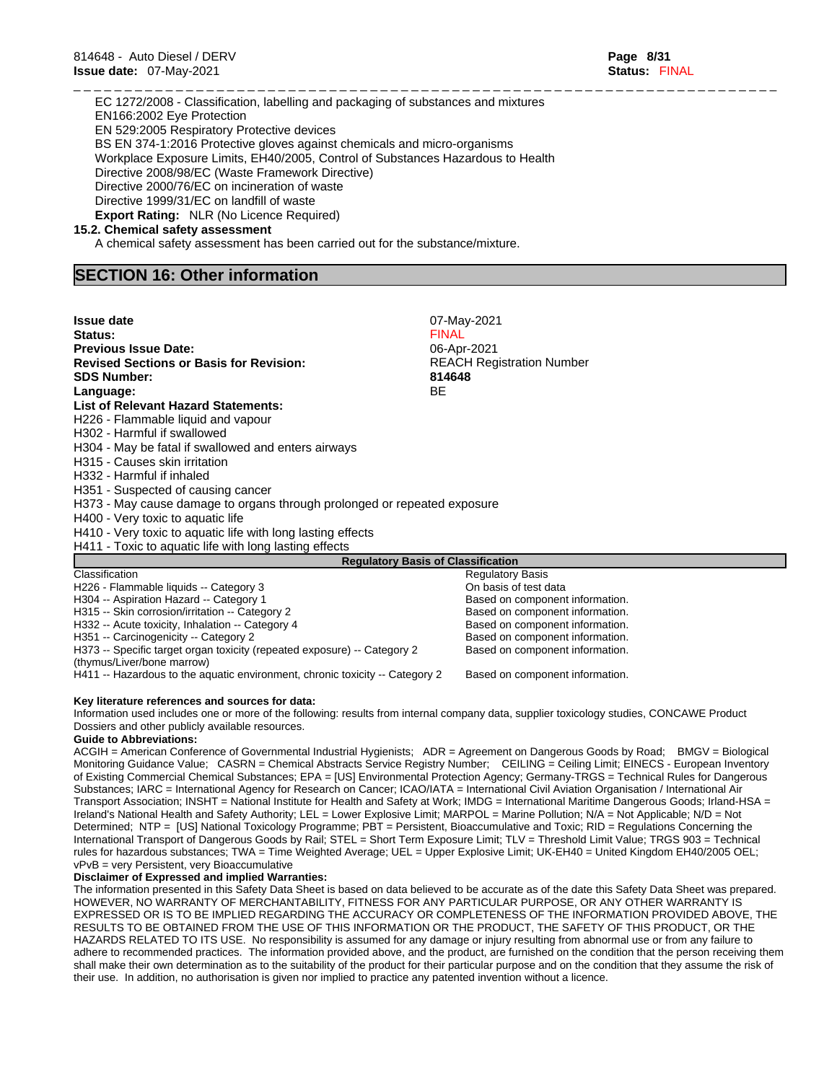EC 1272/2008 - Classification, labelling and packaging of substances and mixtures EN166:2002 Eye Protection EN 529:2005 Respiratory Protective devices BS EN 374-1:2016 Protective gloves against chemicals and micro-organisms Workplace Exposure Limits, EH40/2005, Control of Substances Hazardous to Health Directive 2008/98/EC (Waste Framework Directive) Directive 2000/76/EC on incineration of waste Directive 1999/31/EC on landfill of waste **Export Rating:** NLR (No Licence Required)

#### **15.2. Chemical safety assessment**

A chemical safety assessment has been carried out for the substance/mixture.

### **SECTION 16: Other information**

| <b>Issue date</b>                                                                                      | 07-May-2021                               |
|--------------------------------------------------------------------------------------------------------|-------------------------------------------|
| Status:                                                                                                | <b>FINAL</b>                              |
| <b>Previous Issue Date:</b>                                                                            | 06-Apr-2021                               |
| <b>Revised Sections or Basis for Revision:</b>                                                         | <b>REACH Registration Number</b>          |
| <b>SDS Number:</b>                                                                                     | 814648                                    |
| Language:                                                                                              | <b>BE</b>                                 |
| <b>List of Relevant Hazard Statements:</b>                                                             |                                           |
| H226 - Flammable liquid and vapour                                                                     |                                           |
| H302 - Harmful if swallowed                                                                            |                                           |
| H304 - May be fatal if swallowed and enters airways                                                    |                                           |
| H315 - Causes skin irritation                                                                          |                                           |
| H332 - Harmful if inhaled                                                                              |                                           |
| H351 - Suspected of causing cancer                                                                     |                                           |
| H373 - May cause damage to organs through prolonged or repeated exposure                               |                                           |
| H400 - Very toxic to aquatic life                                                                      |                                           |
| H410 - Very toxic to aquatic life with long lasting effects                                            |                                           |
| H411 - Toxic to aquatic life with long lasting effects                                                 |                                           |
|                                                                                                        | <b>Regulatory Basis of Classification</b> |
| Classification                                                                                         | <b>Regulatory Basis</b>                   |
| H226 - Flammable liquids -- Category 3                                                                 | On basis of test data                     |
| H304 -- Aspiration Hazard -- Category 1                                                                | Based on component information.           |
| H315 -- Skin corrosion/irritation -- Category 2                                                        | Based on component information.           |
| H332 -- Acute toxicity, Inhalation -- Category 4                                                       | Based on component information.           |
| H351 -- Carcinogenicity -- Category 2                                                                  | Based on component information.           |
| H373 -- Specific target organ toxicity (repeated exposure) -- Category 2<br>(thymus/Liver/bone marrow) | Based on component information.           |
| H411 -- Hazardous to the aquatic environment, chronic toxicity -- Category 2                           | Based on component information.           |

\_ \_ \_ \_ \_ \_ \_ \_ \_ \_ \_ \_ \_ \_ \_ \_ \_ \_ \_ \_ \_ \_ \_ \_ \_ \_ \_ \_ \_ \_ \_ \_ \_ \_ \_ \_ \_ \_ \_ \_ \_ \_ \_ \_ \_ \_ \_ \_ \_ \_ \_ \_ \_ \_ \_ \_ \_ \_ \_ \_ \_ \_ \_ \_ \_ \_ \_ \_ \_

#### **Key literature references and sources for data:**

Information used includes one or more of the following: results from internal company data, supplier toxicology studies, CONCAWE Product Dossiers and other publicly available resources.

#### **Guide to Abbreviations:**

ACGIH = American Conference of Governmental Industrial Hygienists; ADR = Agreement on Dangerous Goods by Road; BMGV = Biological Monitoring Guidance Value; CASRN = Chemical Abstracts Service Registry Number; CEILING = Ceiling Limit; EINECS - European Inventory of Existing Commercial Chemical Substances; EPA = [US] Environmental Protection Agency; Germany-TRGS = Technical Rules for Dangerous Substances; IARC = International Agency for Research on Cancer; ICAO/IATA = International Civil Aviation Organisation / International Air Transport Association; INSHT = National Institute for Health and Safety at Work; IMDG = International Maritime Dangerous Goods; Irland-HSA = Ireland's National Health and Safety Authority; LEL = Lower Explosive Limit; MARPOL = Marine Pollution; N/A = Not Applicable; N/D = Not Determined; NTP = [US] National Toxicology Programme; PBT = Persistent, Bioaccumulative and Toxic; RID = Regulations Concerning the International Transport of Dangerous Goods by Rail; STEL = Short Term Exposure Limit; TLV = Threshold Limit Value; TRGS 903 = Technical rules for hazardous substances; TWA = Time Weighted Average; UEL = Upper Explosive Limit; UK-EH40 = United Kingdom EH40/2005 OEL; vPvB = very Persistent, very Bioaccumulative

#### **Disclaimer of Expressed and implied Warranties:**

The information presented in this Safety Data Sheet is based on data believed to be accurate as of the date this Safety Data Sheet was prepared. HOWEVER, NO WARRANTY OF MERCHANTABILITY, FITNESS FOR ANY PARTICULAR PURPOSE, OR ANY OTHER WARRANTY IS EXPRESSED OR IS TO BE IMPLIED REGARDING THE ACCURACY OR COMPLETENESS OF THE INFORMATION PROVIDED ABOVE, THE RESULTS TO BE OBTAINED FROM THE USE OF THIS INFORMATION OR THE PRODUCT, THE SAFETY OF THIS PRODUCT, OR THE HAZARDS RELATED TO ITS USE. No responsibility is assumed for any damage or injury resulting from abnormal use or from any failure to adhere to recommended practices. The information provided above, and the product, are furnished on the condition that the person receiving them shall make their own determination as to the suitability of the product for their particular purpose and on the condition that they assume the risk of their use. In addition, no authorisation is given nor implied to practice any patented invention without a licence.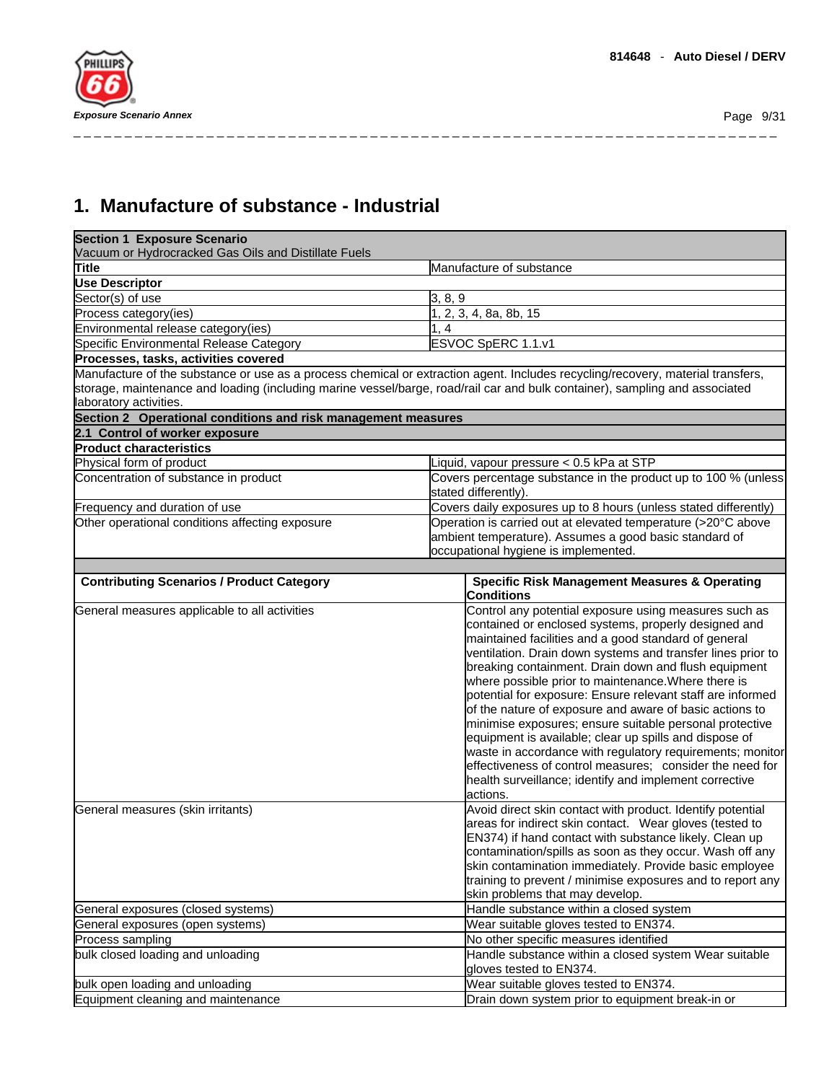# **1. Manufacture of substance - Industrial**

| <b>Section 1 Exposure Scenario</b><br>Vacuum or Hydrocracked Gas Oils and Distillate Fuels                                      |                                                                                                                                                                                                                                                                                                                                                                                                                                                                                                                                                                                                                                                                                                                                                                                                                                                                                                                            |  |
|---------------------------------------------------------------------------------------------------------------------------------|----------------------------------------------------------------------------------------------------------------------------------------------------------------------------------------------------------------------------------------------------------------------------------------------------------------------------------------------------------------------------------------------------------------------------------------------------------------------------------------------------------------------------------------------------------------------------------------------------------------------------------------------------------------------------------------------------------------------------------------------------------------------------------------------------------------------------------------------------------------------------------------------------------------------------|--|
| Title                                                                                                                           | Manufacture of substance                                                                                                                                                                                                                                                                                                                                                                                                                                                                                                                                                                                                                                                                                                                                                                                                                                                                                                   |  |
| <b>Use Descriptor</b>                                                                                                           |                                                                                                                                                                                                                                                                                                                                                                                                                                                                                                                                                                                                                                                                                                                                                                                                                                                                                                                            |  |
| Sector(s) of use                                                                                                                | 3, 8, 9                                                                                                                                                                                                                                                                                                                                                                                                                                                                                                                                                                                                                                                                                                                                                                                                                                                                                                                    |  |
| Process category(ies)                                                                                                           | 1, 2, 3, 4, 8a, 8b, 15                                                                                                                                                                                                                                                                                                                                                                                                                                                                                                                                                                                                                                                                                                                                                                                                                                                                                                     |  |
| Environmental release category(ies)                                                                                             | 1.4                                                                                                                                                                                                                                                                                                                                                                                                                                                                                                                                                                                                                                                                                                                                                                                                                                                                                                                        |  |
| Specific Environmental Release Category                                                                                         | ESVOC SpERC 1.1.v1                                                                                                                                                                                                                                                                                                                                                                                                                                                                                                                                                                                                                                                                                                                                                                                                                                                                                                         |  |
| Processes, tasks, activities covered                                                                                            |                                                                                                                                                                                                                                                                                                                                                                                                                                                                                                                                                                                                                                                                                                                                                                                                                                                                                                                            |  |
|                                                                                                                                 | Manufacture of the substance or use as a process chemical or extraction agent. Includes recycling/recovery, material transfers,                                                                                                                                                                                                                                                                                                                                                                                                                                                                                                                                                                                                                                                                                                                                                                                            |  |
|                                                                                                                                 | storage, maintenance and loading (including marine vessel/barge, road/rail car and bulk container), sampling and associated                                                                                                                                                                                                                                                                                                                                                                                                                                                                                                                                                                                                                                                                                                                                                                                                |  |
| laboratory activities.                                                                                                          |                                                                                                                                                                                                                                                                                                                                                                                                                                                                                                                                                                                                                                                                                                                                                                                                                                                                                                                            |  |
| Section 2 Operational conditions and risk management measures                                                                   |                                                                                                                                                                                                                                                                                                                                                                                                                                                                                                                                                                                                                                                                                                                                                                                                                                                                                                                            |  |
| 2.1 Control of worker exposure                                                                                                  |                                                                                                                                                                                                                                                                                                                                                                                                                                                                                                                                                                                                                                                                                                                                                                                                                                                                                                                            |  |
| <b>Product characteristics</b>                                                                                                  |                                                                                                                                                                                                                                                                                                                                                                                                                                                                                                                                                                                                                                                                                                                                                                                                                                                                                                                            |  |
| Physical form of product                                                                                                        | Liquid, vapour pressure < 0.5 kPa at STP                                                                                                                                                                                                                                                                                                                                                                                                                                                                                                                                                                                                                                                                                                                                                                                                                                                                                   |  |
| Concentration of substance in product                                                                                           | Covers percentage substance in the product up to 100 % (unless<br>stated differently).                                                                                                                                                                                                                                                                                                                                                                                                                                                                                                                                                                                                                                                                                                                                                                                                                                     |  |
| Frequency and duration of use                                                                                                   | Covers daily exposures up to 8 hours (unless stated differently)                                                                                                                                                                                                                                                                                                                                                                                                                                                                                                                                                                                                                                                                                                                                                                                                                                                           |  |
| Other operational conditions affecting exposure                                                                                 | Operation is carried out at elevated temperature (>20°C above<br>ambient temperature). Assumes a good basic standard of<br>occupational hygiene is implemented.                                                                                                                                                                                                                                                                                                                                                                                                                                                                                                                                                                                                                                                                                                                                                            |  |
| <b>Contributing Scenarios / Product Category</b>                                                                                | <b>Specific Risk Management Measures &amp; Operating</b>                                                                                                                                                                                                                                                                                                                                                                                                                                                                                                                                                                                                                                                                                                                                                                                                                                                                   |  |
| General measures applicable to all activities                                                                                   | <b>Conditions</b><br>Control any potential exposure using measures such as                                                                                                                                                                                                                                                                                                                                                                                                                                                                                                                                                                                                                                                                                                                                                                                                                                                 |  |
| General measures (skin irritants)                                                                                               | contained or enclosed systems, properly designed and<br>maintained facilities and a good standard of general<br>ventilation. Drain down systems and transfer lines prior to<br>breaking containment. Drain down and flush equipment<br>where possible prior to maintenance. Where there is<br>potential for exposure: Ensure relevant staff are informed<br>of the nature of exposure and aware of basic actions to<br>minimise exposures; ensure suitable personal protective<br>equipment is available; clear up spills and dispose of<br>waste in accordance with regulatory requirements; monitor<br>effectiveness of control measures; consider the need for<br>health surveillance; identify and implement corrective<br>actions.<br>Avoid direct skin contact with product. Identify potential<br>areas for indirect skin contact. Wear gloves (tested to<br>EN374) if hand contact with substance likely. Clean up |  |
| General exposures (closed systems)<br>General exposures (open systems)<br>Process sampling<br>bulk closed loading and unloading | contamination/spills as soon as they occur. Wash off any<br>skin contamination immediately. Provide basic employee<br>training to prevent / minimise exposures and to report any<br>skin problems that may develop.<br>Handle substance within a closed system<br>Wear suitable gloves tested to EN374.<br>No other specific measures identified<br>Handle substance within a closed system Wear suitable                                                                                                                                                                                                                                                                                                                                                                                                                                                                                                                  |  |
|                                                                                                                                 | gloves tested to EN374.                                                                                                                                                                                                                                                                                                                                                                                                                                                                                                                                                                                                                                                                                                                                                                                                                                                                                                    |  |
| bulk open loading and unloading                                                                                                 | Wear suitable gloves tested to EN374.                                                                                                                                                                                                                                                                                                                                                                                                                                                                                                                                                                                                                                                                                                                                                                                                                                                                                      |  |
| Equipment cleaning and maintenance                                                                                              | Drain down system prior to equipment break-in or                                                                                                                                                                                                                                                                                                                                                                                                                                                                                                                                                                                                                                                                                                                                                                                                                                                                           |  |
|                                                                                                                                 |                                                                                                                                                                                                                                                                                                                                                                                                                                                                                                                                                                                                                                                                                                                                                                                                                                                                                                                            |  |

\_ \_ \_ \_ \_ \_ \_ \_ \_ \_ \_ \_ \_ \_ \_ \_ \_ \_ \_ \_ \_ \_ \_ \_ \_ \_ \_ \_ \_ \_ \_ \_ \_ \_ \_ \_ \_ \_ \_ \_ \_ \_ \_ \_ \_ \_ \_ \_ \_ \_ \_ \_ \_ \_ \_ \_ \_ \_ \_ \_ \_ \_ \_ \_ \_ \_ \_ \_ \_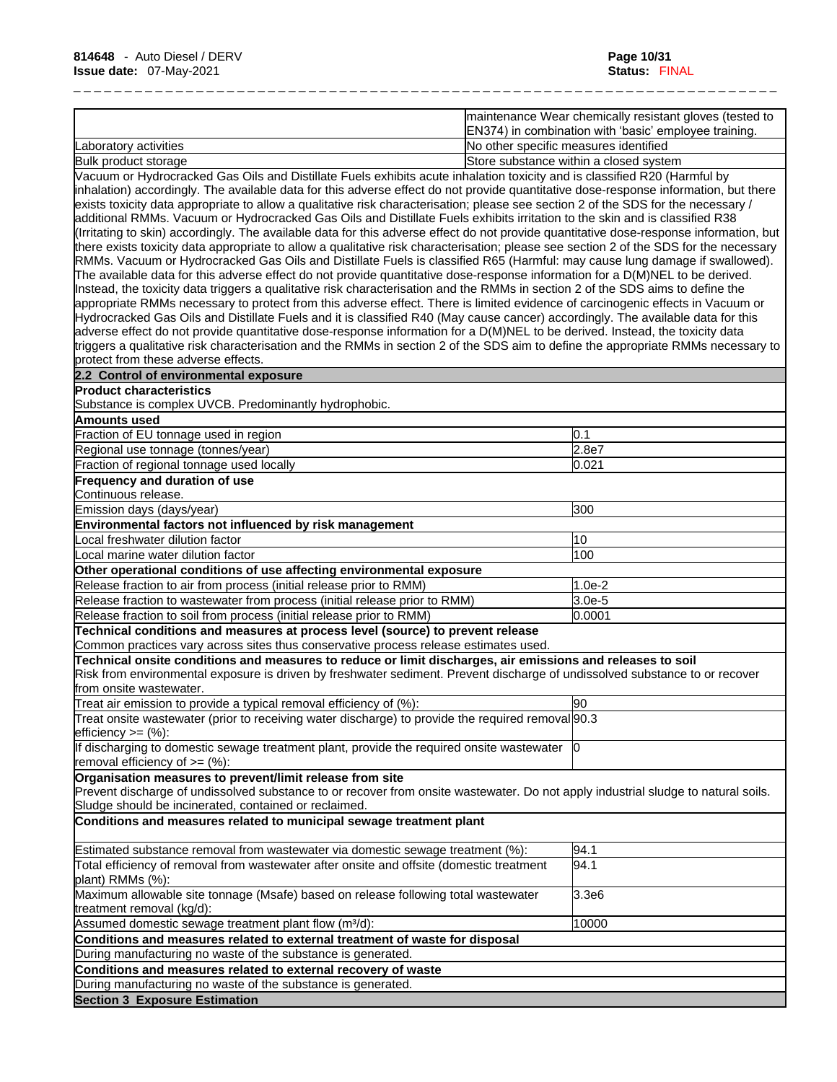|                       | maintenance Wear chemically resistant gloves (tested to<br>EN374) in combination with 'basic' employee training. |
|-----------------------|------------------------------------------------------------------------------------------------------------------|
| Laboratory activities | INo other specific measures identified                                                                           |
| Bulk product storage  | Store substance within a closed system                                                                           |

Vacuum or Hydrocracked Gas Oils and Distillate Fuels exhibits acute inhalation toxicity and is classified R20 (Harmful by inhalation) accordingly. The available data for this adverse effect do not provide quantitative dose-response information, but there exists toxicity data appropriate to allow a qualitative risk characterisation; please see section 2 of the SDS for the necessary / additional RMMs. Vacuum or Hydrocracked Gas Oils and Distillate Fuels exhibits irritation to the skin and is classified R38 (Irritating to skin) accordingly. The available data for this adverse effect do not provide quantitative dose-response information, but there exists toxicity data appropriate to allow a qualitative risk characterisation; please see section 2 of the SDS for the necessary RMMs. Vacuum or Hydrocracked Gas Oils and Distillate Fuels is classified R65 (Harmful: may cause lung damage if swallowed). The available data for this adverse effect do not provide quantitative dose-response information for a D(M)NEL to be derived. Instead, the toxicity data triggers a qualitative risk characterisation and the RMMs in section 2 of the SDS aims to define the appropriate RMMs necessary to protect from this adverse effect. There islimited evidence of carcinogenic effects in Vacuum or Hydrocracked Gas Oils and Distillate Fuels and it is classified R40 (May cause cancer) accordingly. The available data for this adverse effect do not provide quantitative dose-response information for a D(M)NEL to be derived. Instead, the toxicity data triggers a qualitative risk characterisation and the RMMs in section 2 of the SDS aim to define the appropriate RMMs necessary to protect from these adverse effects.

| 2.2 Control of environmental exposure                                                                                                                  |          |
|--------------------------------------------------------------------------------------------------------------------------------------------------------|----------|
| <b>Product characteristics</b>                                                                                                                         |          |
| Substance is complex UVCB. Predominantly hydrophobic.                                                                                                  |          |
| Amounts used                                                                                                                                           |          |
| Fraction of EU tonnage used in region                                                                                                                  | 0.1      |
| Regional use tonnage (tonnes/year)                                                                                                                     | 2.8e7    |
| Fraction of regional tonnage used locally                                                                                                              | 0.021    |
| Frequency and duration of use                                                                                                                          |          |
| Continuous release.                                                                                                                                    |          |
| Emission days (days/year)                                                                                                                              | 300      |
| Environmental factors not influenced by risk management                                                                                                |          |
| Local freshwater dilution factor                                                                                                                       | 10       |
| Local marine water dilution factor                                                                                                                     | 100      |
| Other operational conditions of use affecting environmental exposure                                                                                   |          |
| Release fraction to air from process (initial release prior to RMM)                                                                                    | $1.0e-2$ |
| Release fraction to wastewater from process (initial release prior to RMM)                                                                             | $3.0e-5$ |
| Release fraction to soil from process (initial release prior to RMM)                                                                                   | 0.0001   |
| Technical conditions and measures at process level (source) to prevent release                                                                         |          |
| Common practices vary across sites thus conservative process release estimates used.                                                                   |          |
| Technical onsite conditions and measures to reduce or limit discharges, air emissions and releases to soil                                             |          |
| Risk from environmental exposure is driven by freshwater sediment. Prevent discharge of undissolved substance to or recover<br>from onsite wastewater. |          |
| Treat air emission to provide a typical removal efficiency of (%):                                                                                     | 90       |
| Treat onsite wastewater (prior to receiving water discharge) to provide the required removal 90.3                                                      |          |
| $lefticiency >= (%)$ :                                                                                                                                 |          |
| If discharging to domestic sewage treatment plant, provide the required onsite wastewater                                                              | 10       |
| removal efficiency of $=$ (%):                                                                                                                         |          |
| Organisation measures to prevent/limit release from site                                                                                               |          |
| Prevent discharge of undissolved substance to or recover from onsite wastewater. Do not apply industrial sludge to natural soils.                      |          |
| Sludge should be incinerated, contained or reclaimed.                                                                                                  |          |
| Conditions and measures related to municipal sewage treatment plant                                                                                    |          |
| Estimated substance removal from wastewater via domestic sewage treatment (%):                                                                         | 94.1     |
| Total efficiency of removal from wastewater after onsite and offsite (domestic treatment                                                               | 94.1     |
|                                                                                                                                                        |          |

plant) RMMs (%): Maximum allowable site tonnage (Msafe) based on release following total wastewater treatment removal (kg/d): 3.3e6 Assumed domestic sewage treatment plant flow (m<sup>3</sup>/d): 10000 | 10000 **Conditions and measures related to external treatment of waste for disposal** During manufacturing no waste of the substance is generated. **Conditions and measures related to external recovery of waste** During manufacturing no waste of the substance is generated. **Section 3 Exposure Estimation**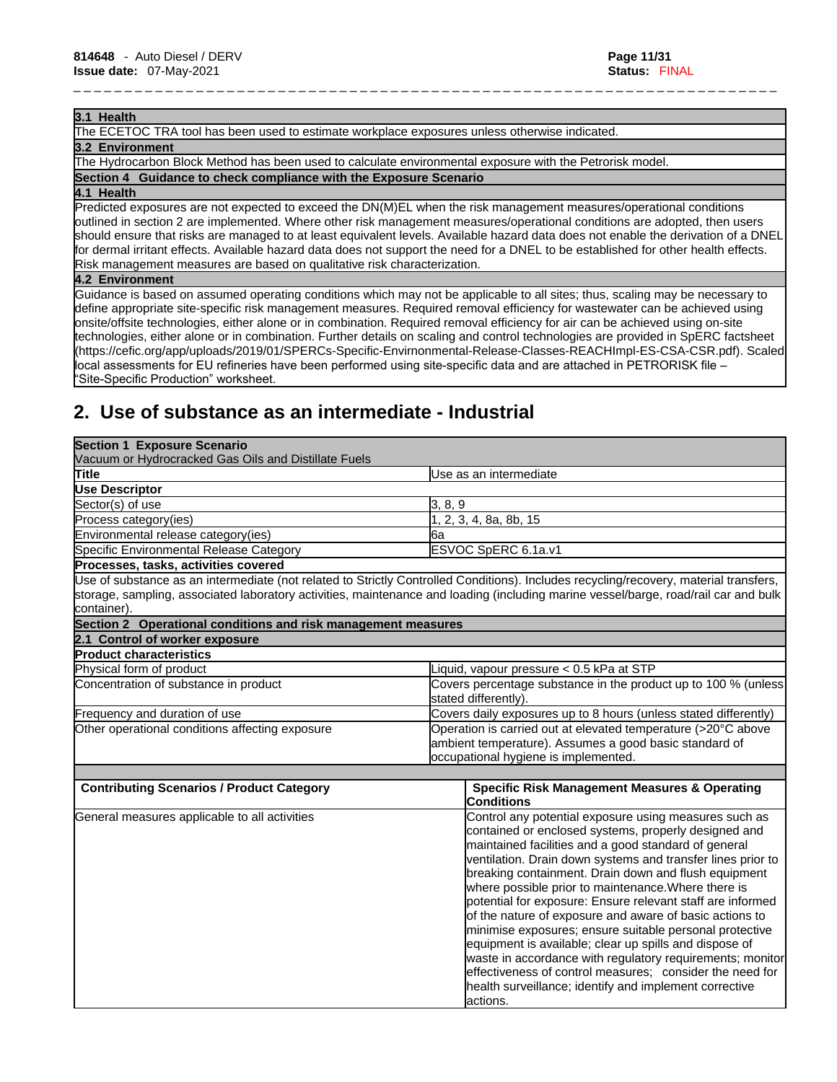#### **3.1 Health**

The ECETOC TRA tool has been used to estimate workplace exposures unless otherwise indicated.

#### **3.2 Environment**

The Hydrocarbon Block Method has been used to calculate environmental exposure with the Petrorisk model.

**Section 4 Guidance to check compliance with the Exposure Scenario**

#### **4.1 Health**

Predicted exposures are not expected to exceed the DN(M)EL when the risk management measures/operational conditions outlined in section 2 are implemented. Where other risk management measures/operational conditions are adopted, then users should ensure that risks are managed to at least equivalent levels. Available hazard data does not enable the derivation of a DNEL for dermal irritant effects. Available hazard data does not support the need for a DNEL to be established for other health effects. Risk management measures are based on qualitative risk characterization.

\_ \_ \_ \_ \_ \_ \_ \_ \_ \_ \_ \_ \_ \_ \_ \_ \_ \_ \_ \_ \_ \_ \_ \_ \_ \_ \_ \_ \_ \_ \_ \_ \_ \_ \_ \_ \_ \_ \_ \_ \_ \_ \_ \_ \_ \_ \_ \_ \_ \_ \_ \_ \_ \_ \_ \_ \_ \_ \_ \_ \_ \_ \_ \_ \_ \_ \_ \_ \_

#### **4.2 Environment**

Guidance is based on assumed operating conditions which may not be applicable to all sites; thus, scaling may be necessary to define appropriate site-specific risk management measures. Required removal efficiency for wastewater can be achieved using onsite/offsite technologies, either alone or in combination. Required removal efficiency for air can be achieved using on-site technologies, either alone or in combination. Further details on scaling and control technologies are provided in SpERC factsheet (https://cefic.org/app/uploads/2019/01/SPERCs-Specific-Envirnonmental-Release-Classes-REACHImpl-ES-CSA-CSR.pdf). Scaled local assessments for EU refineries have been performed using site-specific data and are attached in PETRORISK file – "Site-Specific Production" worksheet.

# **2. Use of substance as an intermediate - Industrial**

| <b>Section 1 Exposure Scenario</b><br>Vacuum or Hydrocracked Gas Oils and Distillate Fuels |                                                                                                                                                                                                                                                                                                                                                                                                                                                                                                                                                                                                                                                                                                                                                                                                  |
|--------------------------------------------------------------------------------------------|--------------------------------------------------------------------------------------------------------------------------------------------------------------------------------------------------------------------------------------------------------------------------------------------------------------------------------------------------------------------------------------------------------------------------------------------------------------------------------------------------------------------------------------------------------------------------------------------------------------------------------------------------------------------------------------------------------------------------------------------------------------------------------------------------|
| <b>Title</b>                                                                               | Use as an intermediate                                                                                                                                                                                                                                                                                                                                                                                                                                                                                                                                                                                                                                                                                                                                                                           |
| <b>Use Descriptor</b>                                                                      |                                                                                                                                                                                                                                                                                                                                                                                                                                                                                                                                                                                                                                                                                                                                                                                                  |
| Sector(s) of use                                                                           | 3, 8, 9                                                                                                                                                                                                                                                                                                                                                                                                                                                                                                                                                                                                                                                                                                                                                                                          |
| Process category(ies)                                                                      | 2, 3, 4, 8a, 8b, 15                                                                                                                                                                                                                                                                                                                                                                                                                                                                                                                                                                                                                                                                                                                                                                              |
| Environmental release category(ies)                                                        | 6a                                                                                                                                                                                                                                                                                                                                                                                                                                                                                                                                                                                                                                                                                                                                                                                               |
| Specific Environmental Release Category                                                    | ESVOC SpERC 6.1a.v1                                                                                                                                                                                                                                                                                                                                                                                                                                                                                                                                                                                                                                                                                                                                                                              |
| Processes, tasks, activities covered                                                       |                                                                                                                                                                                                                                                                                                                                                                                                                                                                                                                                                                                                                                                                                                                                                                                                  |
| container).                                                                                | Use of substance as an intermediate (not related to Strictly Controlled Conditions). Includes recycling/recovery, material transfers,<br>storage, sampling, associated laboratory activities, maintenance and loading (including marine vessel/barge, road/rail car and bulk                                                                                                                                                                                                                                                                                                                                                                                                                                                                                                                     |
| Section 2 Operational conditions and risk management measures                              |                                                                                                                                                                                                                                                                                                                                                                                                                                                                                                                                                                                                                                                                                                                                                                                                  |
| 2.1 Control of worker exposure                                                             |                                                                                                                                                                                                                                                                                                                                                                                                                                                                                                                                                                                                                                                                                                                                                                                                  |
| <b>Product characteristics</b>                                                             |                                                                                                                                                                                                                                                                                                                                                                                                                                                                                                                                                                                                                                                                                                                                                                                                  |
| Physical form of product                                                                   | Liquid, vapour pressure < 0.5 kPa at STP                                                                                                                                                                                                                                                                                                                                                                                                                                                                                                                                                                                                                                                                                                                                                         |
| Concentration of substance in product                                                      | Covers percentage substance in the product up to 100 % (unless<br>stated differently).                                                                                                                                                                                                                                                                                                                                                                                                                                                                                                                                                                                                                                                                                                           |
| Frequency and duration of use                                                              | Covers daily exposures up to 8 hours (unless stated differently)                                                                                                                                                                                                                                                                                                                                                                                                                                                                                                                                                                                                                                                                                                                                 |
| Other operational conditions affecting exposure                                            | Operation is carried out at elevated temperature (>20°C above<br>ambient temperature). Assumes a good basic standard of<br>occupational hygiene is implemented.                                                                                                                                                                                                                                                                                                                                                                                                                                                                                                                                                                                                                                  |
| <b>Contributing Scenarios / Product Category</b>                                           | <b>Specific Risk Management Measures &amp; Operating</b><br><b>Conditions</b>                                                                                                                                                                                                                                                                                                                                                                                                                                                                                                                                                                                                                                                                                                                    |
| General measures applicable to all activities                                              | Control any potential exposure using measures such as<br>contained or enclosed systems, properly designed and<br>maintained facilities and a good standard of general<br>ventilation. Drain down systems and transfer lines prior to<br>breaking containment. Drain down and flush equipment<br>where possible prior to maintenance. Where there is<br>potential for exposure: Ensure relevant staff are informed<br>of the nature of exposure and aware of basic actions to<br>minimise exposures; ensure suitable personal protective<br>equipment is available; clear up spills and dispose of<br>waste in accordance with regulatory requirements; monitor<br>effectiveness of control measures; consider the need for<br>health surveillance; identify and implement corrective<br>actions. |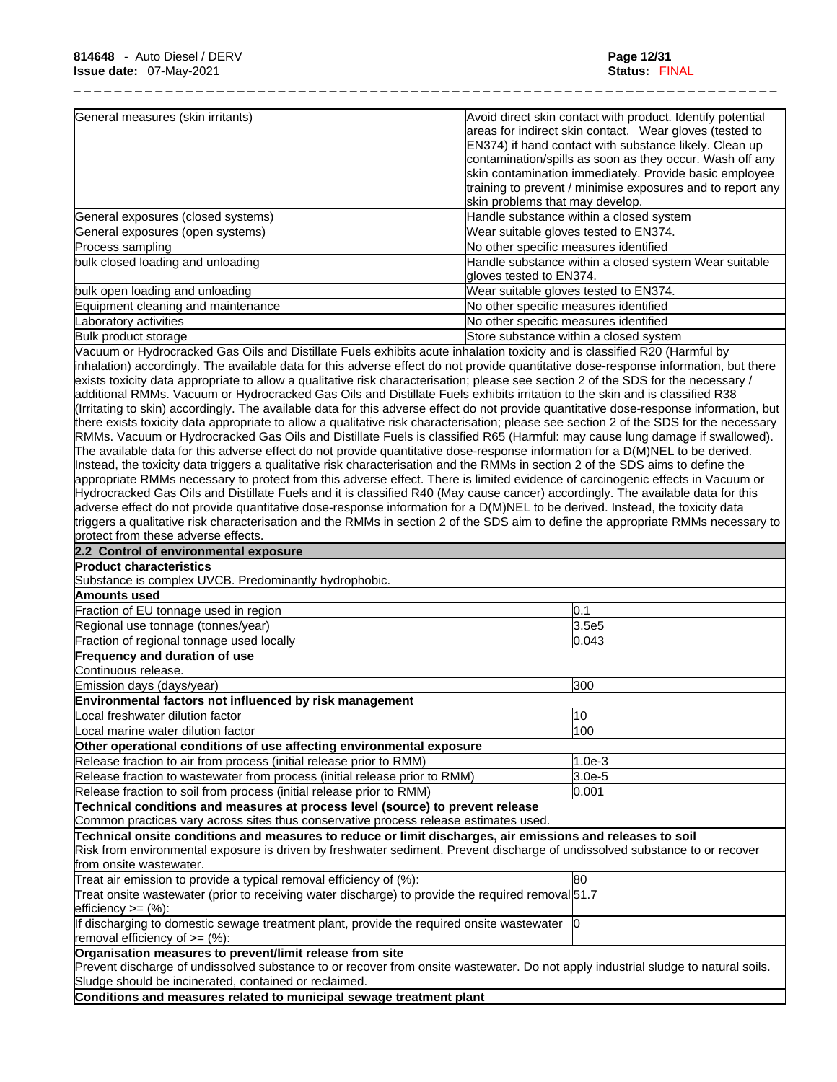| General measures (skin irritants)  | Avoid direct skin contact with product. Identify potential                       |
|------------------------------------|----------------------------------------------------------------------------------|
|                                    | areas for indirect skin contact. Wear gloves (tested to                          |
|                                    | EN374) if hand contact with substance likely. Clean up                           |
|                                    | contamination/spills as soon as they occur. Wash off any                         |
|                                    | skin contamination immediately. Provide basic employee                           |
|                                    | training to prevent / minimise exposures and to report any                       |
|                                    | skin problems that may develop.                                                  |
| General exposures (closed systems) | Handle substance within a closed system                                          |
| General exposures (open systems)   | Wear suitable gloves tested to EN374.                                            |
| Process sampling                   | No other specific measures identified                                            |
| bulk closed loading and unloading  | Handle substance within a closed system Wear suitable<br>gloves tested to EN374. |
| bulk open loading and unloading    | Wear suitable gloves tested to EN374.                                            |
| Equipment cleaning and maintenance | No other specific measures identified                                            |
| Laboratory activities              | No other specific measures identified                                            |
| Bulk product storage               | Store substance within a closed system                                           |

Vacuum or Hydrocracked Gas Oils and Distillate Fuels exhibits acute inhalation toxicity and is classified R20 (Harmful by inhalation) accordingly. The available data for this adverse effect do not provide quantitative dose-response information, but there exists toxicity data appropriate to allow a qualitative risk characterisation; please see section 2 of the SDS for the necessary / additional RMMs. Vacuum or Hydrocracked Gas Oils and Distillate Fuels exhibits irritation to the skin and is classified R38 (Irritating to skin) accordingly. The available data for this adverse effect do not provide quantitative dose-response information, but there exists toxicity data appropriate to allow a qualitative risk characterisation; please see section 2 of the SDS for the necessary RMMs. Vacuum or Hydrocracked Gas Oils and Distillate Fuels is classified R65 (Harmful: may cause lung damage if swallowed). The available data for this adverse effect do not provide quantitative dose-response information for a D(M)NEL to be derived. Instead, the toxicity data triggers a qualitative risk characterisation and the RMMs in section 2 of the SDS aims to define the appropriate RMMs necessary to protect from this adverse effect. There islimited evidence of carcinogenic effects in Vacuum or Hydrocracked Gas Oils and Distillate Fuels and it is classified R40 (May cause cancer) accordingly. The available data for this adverse effect do not provide quantitative dose-response information for a D(M)NEL to be derived. Instead, the toxicity data triggers a qualitative risk characterisation and the RMMs in section 2 of the SDS aim to define the appropriate RMMs necessary to protect from these adverse effects.

| 2.2 Control of environmental exposure                                                                                                                                                                                                                                |          |
|----------------------------------------------------------------------------------------------------------------------------------------------------------------------------------------------------------------------------------------------------------------------|----------|
| <b>Product characteristics</b>                                                                                                                                                                                                                                       |          |
| Substance is complex UVCB. Predominantly hydrophobic.                                                                                                                                                                                                                |          |
| Amounts used                                                                                                                                                                                                                                                         |          |
| Fraction of EU tonnage used in region                                                                                                                                                                                                                                | 0.1      |
| Regional use tonnage (tonnes/year)                                                                                                                                                                                                                                   | 3.5e5    |
| Fraction of regional tonnage used locally                                                                                                                                                                                                                            | 0.043    |
| Frequency and duration of use                                                                                                                                                                                                                                        |          |
| lContinuous release.                                                                                                                                                                                                                                                 |          |
| Emission days (days/year)                                                                                                                                                                                                                                            | 300      |
| Environmental factors not influenced by risk management                                                                                                                                                                                                              |          |
| Local freshwater dilution factor                                                                                                                                                                                                                                     | 10       |
| Local marine water dilution factor                                                                                                                                                                                                                                   | 100      |
| Other operational conditions of use affecting environmental exposure                                                                                                                                                                                                 |          |
| Release fraction to air from process (initial release prior to RMM)                                                                                                                                                                                                  | $1.0e-3$ |
| Release fraction to wastewater from process (initial release prior to RMM)                                                                                                                                                                                           | $3.0e-5$ |
| Release fraction to soil from process (initial release prior to RMM)                                                                                                                                                                                                 | 0.001    |
| Technical conditions and measures at process level (source) to prevent release                                                                                                                                                                                       |          |
| Common practices vary across sites thus conservative process release estimates used.                                                                                                                                                                                 |          |
| Technical onsite conditions and measures to reduce or limit discharges, air emissions and releases to soil<br>Risk from environmental exposure is driven by freshwater sediment. Prevent discharge of undissolved substance to or recover<br>from onsite wastewater. |          |
| Treat air emission to provide a typical removal efficiency of (%):                                                                                                                                                                                                   | 80       |
| Treat onsite wastewater (prior to receiving water discharge) to provide the required removal 51.7<br>$lefticiency >= (%)$ :                                                                                                                                          |          |
| If discharging to domestic sewage treatment plant, provide the required onsite wastewater<br>removal efficiency of $>=(\%)$ :                                                                                                                                        | 10       |
| Organisation measures to prevent/limit release from site<br>Prevent discharge of undissolved substance to or recover from onsite wastewater. Do not apply industrial sludge to natural soils.<br>Sludge should be incinerated, contained or reclaimed.               |          |
| Conditions and measures related to municipal sewage treatment plant                                                                                                                                                                                                  |          |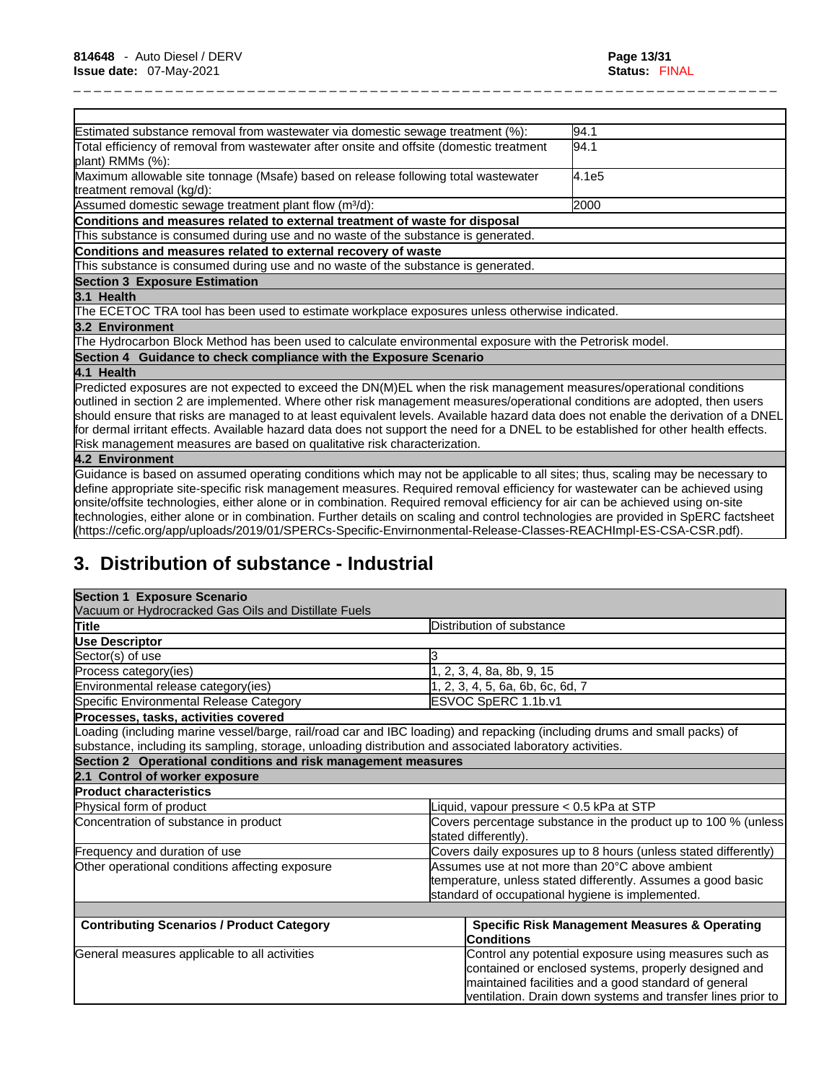| Estimated substance removal from wastewater via domestic sewage treatment (%):                                                                                                                                                                                                                                                                                                                                                                                                                                                                                                                                                                          | 94.1  |
|---------------------------------------------------------------------------------------------------------------------------------------------------------------------------------------------------------------------------------------------------------------------------------------------------------------------------------------------------------------------------------------------------------------------------------------------------------------------------------------------------------------------------------------------------------------------------------------------------------------------------------------------------------|-------|
| Total efficiency of removal from wastewater after onsite and offsite (domestic treatment<br>plant) RMMs (%):                                                                                                                                                                                                                                                                                                                                                                                                                                                                                                                                            | 94.1  |
| Maximum allowable site tonnage (Msafe) based on release following total wastewater<br>treatment removal (kg/d):                                                                                                                                                                                                                                                                                                                                                                                                                                                                                                                                         | 4.1e5 |
| Assumed domestic sewage treatment plant flow (m <sup>3</sup> /d):                                                                                                                                                                                                                                                                                                                                                                                                                                                                                                                                                                                       | 2000  |
| Conditions and measures related to external treatment of waste for disposal                                                                                                                                                                                                                                                                                                                                                                                                                                                                                                                                                                             |       |
| This substance is consumed during use and no waste of the substance is generated.                                                                                                                                                                                                                                                                                                                                                                                                                                                                                                                                                                       |       |
| Conditions and measures related to external recovery of waste                                                                                                                                                                                                                                                                                                                                                                                                                                                                                                                                                                                           |       |
| This substance is consumed during use and no waste of the substance is generated.                                                                                                                                                                                                                                                                                                                                                                                                                                                                                                                                                                       |       |
| <b>Section 3 Exposure Estimation</b>                                                                                                                                                                                                                                                                                                                                                                                                                                                                                                                                                                                                                    |       |
| 3.1 Health                                                                                                                                                                                                                                                                                                                                                                                                                                                                                                                                                                                                                                              |       |
| The ECETOC TRA tool has been used to estimate workplace exposures unless otherwise indicated.                                                                                                                                                                                                                                                                                                                                                                                                                                                                                                                                                           |       |
| 3.2 Environment                                                                                                                                                                                                                                                                                                                                                                                                                                                                                                                                                                                                                                         |       |
| The Hydrocarbon Block Method has been used to calculate environmental exposure with the Petrorisk model.                                                                                                                                                                                                                                                                                                                                                                                                                                                                                                                                                |       |
| Section 4 Guidance to check compliance with the Exposure Scenario                                                                                                                                                                                                                                                                                                                                                                                                                                                                                                                                                                                       |       |
| 4.1 Health                                                                                                                                                                                                                                                                                                                                                                                                                                                                                                                                                                                                                                              |       |
| Predicted exposures are not expected to exceed the DN(M)EL when the risk management measures/operational conditions<br>outlined in section 2 are implemented. Where other risk management measures/operational conditions are adopted, then users<br>should ensure that risks are managed to at least equivalent levels. Available hazard data does not enable the derivation of a DNEL<br>for dermal irritant effects. Available hazard data does not support the need for a DNEL to be established for other health effects.                                                                                                                          |       |
| Risk management measures are based on qualitative risk characterization.                                                                                                                                                                                                                                                                                                                                                                                                                                                                                                                                                                                |       |
| 4.2 Environment                                                                                                                                                                                                                                                                                                                                                                                                                                                                                                                                                                                                                                         |       |
| Guidance is based on assumed operating conditions which may not be applicable to all sites; thus, scaling may be necessary to<br>define appropriate site-specific risk management measures. Required removal efficiency for wastewater can be achieved using<br>onsite/offsite technologies, either alone or in combination. Required removal efficiency for air can be achieved using on-site<br>technologies, either alone or in combination. Further details on scaling and control technologies are provided in SpERC factsheet<br>(https://cefic.org/app/uploads/2019/01/SPERCs-Specific-Envirnonmental-Release-Classes-REACHImpl-ES-CSA-CSR.pdf). |       |

# **3. Distribution of substance - Industrial**

| <b>Section 1 Exposure Scenario</b>                                                                       |                                                                                                                           |  |
|----------------------------------------------------------------------------------------------------------|---------------------------------------------------------------------------------------------------------------------------|--|
| Vacuum or Hydrocracked Gas Oils and Distillate Fuels                                                     |                                                                                                                           |  |
| <b>Title</b>                                                                                             | Distribution of substance                                                                                                 |  |
| <b>Use Descriptor</b>                                                                                    |                                                                                                                           |  |
| Sector(s) of use                                                                                         |                                                                                                                           |  |
| Process category(ies)                                                                                    | 2, 3, 4, 8a, 8b, 9, 15                                                                                                    |  |
| Environmental release category(ies)                                                                      | 2, 3, 4, 5, 6a, 6b, 6c, 6d, 7                                                                                             |  |
| Specific Environmental Release Category                                                                  | ESVOC SpERC 1.1b.v1                                                                                                       |  |
| Processes, tasks, activities covered                                                                     |                                                                                                                           |  |
|                                                                                                          | Loading (including marine vessel/barge, rail/road car and IBC loading) and repacking (including drums and small packs) of |  |
| substance, including its sampling, storage, unloading distribution and associated laboratory activities. |                                                                                                                           |  |
| Section 2 Operational conditions and risk management measures                                            |                                                                                                                           |  |
| 2.1 Control of worker exposure                                                                           |                                                                                                                           |  |
| <b>Product characteristics</b>                                                                           |                                                                                                                           |  |
| Physical form of product                                                                                 | iquid, vapour pressure < 0.5 kPa at STP                                                                                   |  |
| Concentration of substance in product                                                                    | Covers percentage substance in the product up to 100 % (unless<br>stated differently).                                    |  |
| Frequency and duration of use                                                                            | Covers daily exposures up to 8 hours (unless stated differently)                                                          |  |
| Other operational conditions affecting exposure                                                          | Assumes use at not more than 20°C above ambient                                                                           |  |
|                                                                                                          | temperature, unless stated differently. Assumes a good basic                                                              |  |
|                                                                                                          | standard of occupational hygiene is implemented.                                                                          |  |
|                                                                                                          |                                                                                                                           |  |
| <b>Contributing Scenarios / Product Category</b>                                                         | <b>Specific Risk Management Measures &amp; Operating</b><br><b>Conditions</b>                                             |  |
| General measures applicable to all activities                                                            | Control any potential exposure using measures such as                                                                     |  |
|                                                                                                          | contained or enclosed systems, properly designed and                                                                      |  |
|                                                                                                          | maintained facilities and a good standard of general                                                                      |  |
|                                                                                                          | ventilation. Drain down systems and transfer lines prior to                                                               |  |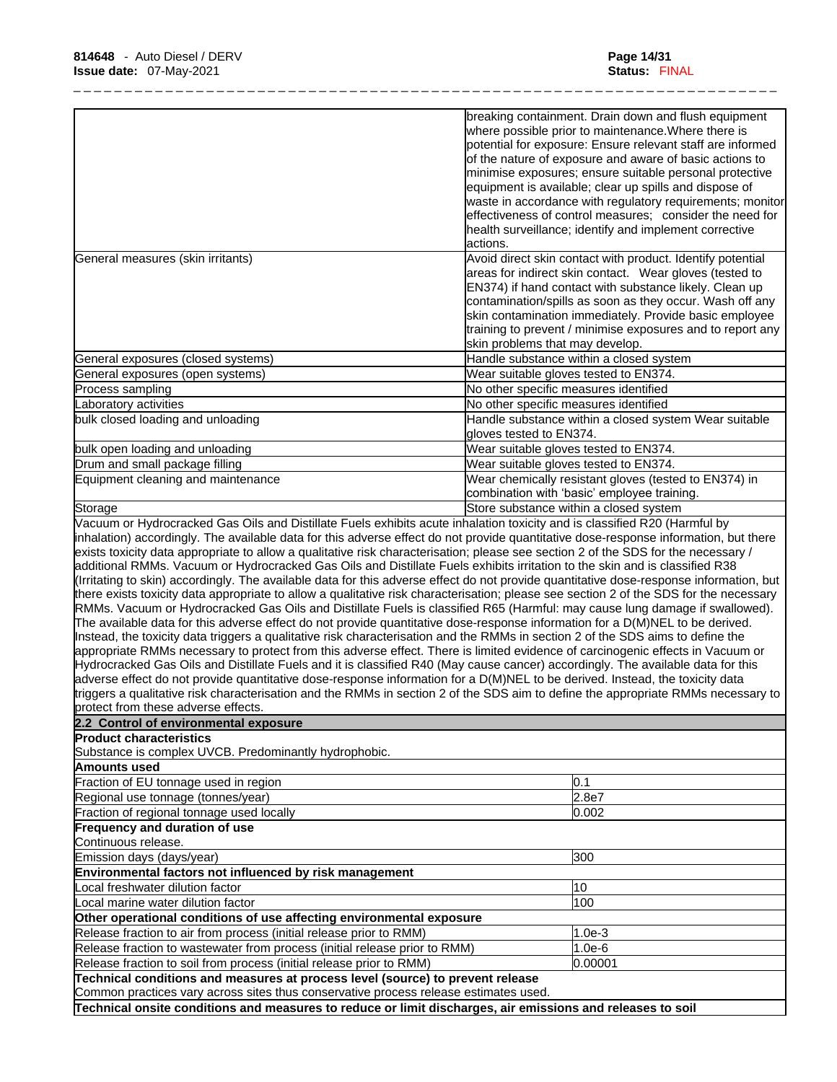|                                                                                                                                                                                                                                                                                                                                                                                                                                                                                                                                                                                                                                                                                                                                                                                                                                                                                                                                                                                                                                                                                     | breaking containment. Drain down and flush equipment                                                               |
|-------------------------------------------------------------------------------------------------------------------------------------------------------------------------------------------------------------------------------------------------------------------------------------------------------------------------------------------------------------------------------------------------------------------------------------------------------------------------------------------------------------------------------------------------------------------------------------------------------------------------------------------------------------------------------------------------------------------------------------------------------------------------------------------------------------------------------------------------------------------------------------------------------------------------------------------------------------------------------------------------------------------------------------------------------------------------------------|--------------------------------------------------------------------------------------------------------------------|
|                                                                                                                                                                                                                                                                                                                                                                                                                                                                                                                                                                                                                                                                                                                                                                                                                                                                                                                                                                                                                                                                                     | where possible prior to maintenance. Where there is                                                                |
|                                                                                                                                                                                                                                                                                                                                                                                                                                                                                                                                                                                                                                                                                                                                                                                                                                                                                                                                                                                                                                                                                     | potential for exposure: Ensure relevant staff are informed                                                         |
|                                                                                                                                                                                                                                                                                                                                                                                                                                                                                                                                                                                                                                                                                                                                                                                                                                                                                                                                                                                                                                                                                     | of the nature of exposure and aware of basic actions to                                                            |
|                                                                                                                                                                                                                                                                                                                                                                                                                                                                                                                                                                                                                                                                                                                                                                                                                                                                                                                                                                                                                                                                                     | minimise exposures; ensure suitable personal protective<br>equipment is available; clear up spills and dispose of  |
|                                                                                                                                                                                                                                                                                                                                                                                                                                                                                                                                                                                                                                                                                                                                                                                                                                                                                                                                                                                                                                                                                     | waste in accordance with regulatory requirements; monitor                                                          |
|                                                                                                                                                                                                                                                                                                                                                                                                                                                                                                                                                                                                                                                                                                                                                                                                                                                                                                                                                                                                                                                                                     | effectiveness of control measures; consider the need for                                                           |
|                                                                                                                                                                                                                                                                                                                                                                                                                                                                                                                                                                                                                                                                                                                                                                                                                                                                                                                                                                                                                                                                                     | health surveillance; identify and implement corrective                                                             |
|                                                                                                                                                                                                                                                                                                                                                                                                                                                                                                                                                                                                                                                                                                                                                                                                                                                                                                                                                                                                                                                                                     | lactions.                                                                                                          |
| General measures (skin irritants)                                                                                                                                                                                                                                                                                                                                                                                                                                                                                                                                                                                                                                                                                                                                                                                                                                                                                                                                                                                                                                                   | Avoid direct skin contact with product. Identify potential                                                         |
|                                                                                                                                                                                                                                                                                                                                                                                                                                                                                                                                                                                                                                                                                                                                                                                                                                                                                                                                                                                                                                                                                     | areas for indirect skin contact. Wear gloves (tested to                                                            |
|                                                                                                                                                                                                                                                                                                                                                                                                                                                                                                                                                                                                                                                                                                                                                                                                                                                                                                                                                                                                                                                                                     | EN374) if hand contact with substance likely. Clean up                                                             |
|                                                                                                                                                                                                                                                                                                                                                                                                                                                                                                                                                                                                                                                                                                                                                                                                                                                                                                                                                                                                                                                                                     | contamination/spills as soon as they occur. Wash off any<br>skin contamination immediately. Provide basic employee |
|                                                                                                                                                                                                                                                                                                                                                                                                                                                                                                                                                                                                                                                                                                                                                                                                                                                                                                                                                                                                                                                                                     | training to prevent / minimise exposures and to report any                                                         |
|                                                                                                                                                                                                                                                                                                                                                                                                                                                                                                                                                                                                                                                                                                                                                                                                                                                                                                                                                                                                                                                                                     | skin problems that may develop.                                                                                    |
| General exposures (closed systems)                                                                                                                                                                                                                                                                                                                                                                                                                                                                                                                                                                                                                                                                                                                                                                                                                                                                                                                                                                                                                                                  | Handle substance within a closed system                                                                            |
| General exposures (open systems)                                                                                                                                                                                                                                                                                                                                                                                                                                                                                                                                                                                                                                                                                                                                                                                                                                                                                                                                                                                                                                                    | Wear suitable gloves tested to EN374.                                                                              |
| Process sampling                                                                                                                                                                                                                                                                                                                                                                                                                                                                                                                                                                                                                                                                                                                                                                                                                                                                                                                                                                                                                                                                    | No other specific measures identified                                                                              |
| Laboratory activities                                                                                                                                                                                                                                                                                                                                                                                                                                                                                                                                                                                                                                                                                                                                                                                                                                                                                                                                                                                                                                                               | No other specific measures identified                                                                              |
| bulk closed loading and unloading                                                                                                                                                                                                                                                                                                                                                                                                                                                                                                                                                                                                                                                                                                                                                                                                                                                                                                                                                                                                                                                   | Handle substance within a closed system Wear suitable                                                              |
|                                                                                                                                                                                                                                                                                                                                                                                                                                                                                                                                                                                                                                                                                                                                                                                                                                                                                                                                                                                                                                                                                     | gloves tested to EN374.                                                                                            |
| bulk open loading and unloading                                                                                                                                                                                                                                                                                                                                                                                                                                                                                                                                                                                                                                                                                                                                                                                                                                                                                                                                                                                                                                                     | Wear suitable gloves tested to EN374.                                                                              |
| Drum and small package filling                                                                                                                                                                                                                                                                                                                                                                                                                                                                                                                                                                                                                                                                                                                                                                                                                                                                                                                                                                                                                                                      | Wear suitable gloves tested to EN374.                                                                              |
| Equipment cleaning and maintenance                                                                                                                                                                                                                                                                                                                                                                                                                                                                                                                                                                                                                                                                                                                                                                                                                                                                                                                                                                                                                                                  | Wear chemically resistant gloves (tested to EN374) in                                                              |
|                                                                                                                                                                                                                                                                                                                                                                                                                                                                                                                                                                                                                                                                                                                                                                                                                                                                                                                                                                                                                                                                                     | combination with 'basic' employee training.                                                                        |
| Storage<br>Vacuum or Hydrocracked Gas Oils and Distillate Fuels exhibits acute inhalation toxicity and is classified R20 (Harmful by                                                                                                                                                                                                                                                                                                                                                                                                                                                                                                                                                                                                                                                                                                                                                                                                                                                                                                                                                | Store substance within a closed system                                                                             |
| there exists toxicity data appropriate to allow a qualitative risk characterisation; please see section 2 of the SDS for the necessary<br>RMMs. Vacuum or Hydrocracked Gas Oils and Distillate Fuels is classified R65 (Harmful: may cause lung damage if swallowed).<br>The available data for this adverse effect do not provide quantitative dose-response information for a D(M)NEL to be derived.<br>Instead, the toxicity data triggers a qualitative risk characterisation and the RMMs in section 2 of the SDS aims to define the<br>appropriate RMMs necessary to protect from this adverse effect. There is limited evidence of carcinogenic effects in Vacuum or<br>Hydrocracked Gas Oils and Distillate Fuels and it is classified R40 (May cause cancer) accordingly. The available data for this<br>adverse effect do not provide quantitative dose-response information for a D(M)NEL to be derived. Instead, the toxicity data<br>triggers a qualitative risk characterisation and the RMMs in section 2 of the SDS aim to define the appropriate RMMs necessary to |                                                                                                                    |
| protect from these adverse effects.                                                                                                                                                                                                                                                                                                                                                                                                                                                                                                                                                                                                                                                                                                                                                                                                                                                                                                                                                                                                                                                 |                                                                                                                    |
| 2.2 Control of environmental exposure                                                                                                                                                                                                                                                                                                                                                                                                                                                                                                                                                                                                                                                                                                                                                                                                                                                                                                                                                                                                                                               |                                                                                                                    |
| <b>Product characteristics</b>                                                                                                                                                                                                                                                                                                                                                                                                                                                                                                                                                                                                                                                                                                                                                                                                                                                                                                                                                                                                                                                      |                                                                                                                    |
| Substance is complex UVCB. Predominantly hydrophobic.                                                                                                                                                                                                                                                                                                                                                                                                                                                                                                                                                                                                                                                                                                                                                                                                                                                                                                                                                                                                                               |                                                                                                                    |
| Amounts used                                                                                                                                                                                                                                                                                                                                                                                                                                                                                                                                                                                                                                                                                                                                                                                                                                                                                                                                                                                                                                                                        |                                                                                                                    |
| Fraction of EU tonnage used in region                                                                                                                                                                                                                                                                                                                                                                                                                                                                                                                                                                                                                                                                                                                                                                                                                                                                                                                                                                                                                                               | 0.1                                                                                                                |
| Regional use tonnage (tonnes/year)                                                                                                                                                                                                                                                                                                                                                                                                                                                                                                                                                                                                                                                                                                                                                                                                                                                                                                                                                                                                                                                  | 2.8e7                                                                                                              |
| Fraction of regional tonnage used locally<br>Frequency and duration of use                                                                                                                                                                                                                                                                                                                                                                                                                                                                                                                                                                                                                                                                                                                                                                                                                                                                                                                                                                                                          | 0.002                                                                                                              |
| Continuous release.                                                                                                                                                                                                                                                                                                                                                                                                                                                                                                                                                                                                                                                                                                                                                                                                                                                                                                                                                                                                                                                                 |                                                                                                                    |
| Emission days (days/year)                                                                                                                                                                                                                                                                                                                                                                                                                                                                                                                                                                                                                                                                                                                                                                                                                                                                                                                                                                                                                                                           | 300                                                                                                                |
| Environmental factors not influenced by risk management                                                                                                                                                                                                                                                                                                                                                                                                                                                                                                                                                                                                                                                                                                                                                                                                                                                                                                                                                                                                                             |                                                                                                                    |
| Local freshwater dilution factor                                                                                                                                                                                                                                                                                                                                                                                                                                                                                                                                                                                                                                                                                                                                                                                                                                                                                                                                                                                                                                                    | 10                                                                                                                 |
| Local marine water dilution factor                                                                                                                                                                                                                                                                                                                                                                                                                                                                                                                                                                                                                                                                                                                                                                                                                                                                                                                                                                                                                                                  | 100                                                                                                                |
| Other operational conditions of use affecting environmental exposure                                                                                                                                                                                                                                                                                                                                                                                                                                                                                                                                                                                                                                                                                                                                                                                                                                                                                                                                                                                                                |                                                                                                                    |
| Release fraction to air from process (initial release prior to RMM)                                                                                                                                                                                                                                                                                                                                                                                                                                                                                                                                                                                                                                                                                                                                                                                                                                                                                                                                                                                                                 | $1.0e-3$                                                                                                           |
| Release fraction to wastewater from process (initial release prior to RMM)                                                                                                                                                                                                                                                                                                                                                                                                                                                                                                                                                                                                                                                                                                                                                                                                                                                                                                                                                                                                          | $1.0e-6$                                                                                                           |
| Release fraction to soil from process (initial release prior to RMM)                                                                                                                                                                                                                                                                                                                                                                                                                                                                                                                                                                                                                                                                                                                                                                                                                                                                                                                                                                                                                | 0.00001                                                                                                            |
| Technical conditions and measures at process level (source) to prevent release                                                                                                                                                                                                                                                                                                                                                                                                                                                                                                                                                                                                                                                                                                                                                                                                                                                                                                                                                                                                      |                                                                                                                    |
| Common practices vary across sites thus conservative process release estimates used.                                                                                                                                                                                                                                                                                                                                                                                                                                                                                                                                                                                                                                                                                                                                                                                                                                                                                                                                                                                                |                                                                                                                    |
| Technical onsite conditions and measures to reduce or limit discharges, air emissions and releases to soil                                                                                                                                                                                                                                                                                                                                                                                                                                                                                                                                                                                                                                                                                                                                                                                                                                                                                                                                                                          |                                                                                                                    |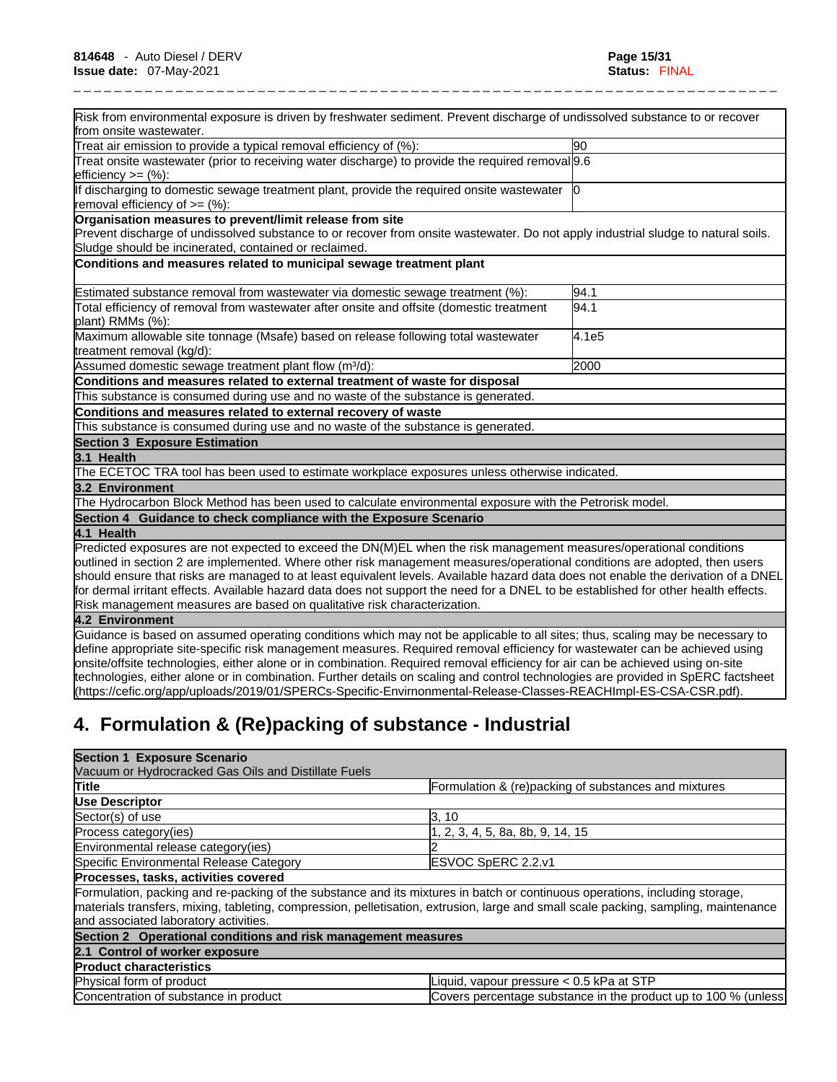| Risk from environmental exposure is driven by freshwater sediment. Prevent discharge of undissolved substance to or recover<br>from onsite wastewater.                                                                                                       |                     |
|--------------------------------------------------------------------------------------------------------------------------------------------------------------------------------------------------------------------------------------------------------------|---------------------|
| Treat air emission to provide a typical removal efficiency of (%):                                                                                                                                                                                           | 90                  |
| Treat onsite wastewater (prior to receiving water discharge) to provide the required removal 9.6                                                                                                                                                             |                     |
| efficiency >= (%):                                                                                                                                                                                                                                           |                     |
| If discharging to domestic sewage treatment plant, provide the required onsite wastewater $ 0\rangle$<br>removal efficiency of $=$ (%):                                                                                                                      |                     |
| Organisation measures to prevent/limit release from site                                                                                                                                                                                                     |                     |
| Prevent discharge of undissolved substance to or recover from onsite wastewater. Do not apply industrial sludge to natural soils.<br>Sludge should be incinerated, contained or reclaimed.                                                                   |                     |
| Conditions and measures related to municipal sewage treatment plant                                                                                                                                                                                          |                     |
|                                                                                                                                                                                                                                                              |                     |
| Estimated substance removal from wastewater via domestic sewage treatment (%):                                                                                                                                                                               | 94.1                |
| Total efficiency of removal from wastewater after onsite and offsite (domestic treatment<br>plant) RMMs (%):                                                                                                                                                 | 94.1                |
| Maximum allowable site tonnage (Msafe) based on release following total wastewater<br>treatment removal (kg/d):                                                                                                                                              | $\overline{4}$ .1e5 |
| Assumed domestic sewage treatment plant flow (m <sup>3</sup> /d):                                                                                                                                                                                            | 2000                |
| Conditions and measures related to external treatment of waste for disposal                                                                                                                                                                                  |                     |
| This substance is consumed during use and no waste of the substance is generated.                                                                                                                                                                            |                     |
| Conditions and measures related to external recovery of waste                                                                                                                                                                                                |                     |
| This substance is consumed during use and no waste of the substance is generated.                                                                                                                                                                            |                     |
| <b>Section 3 Exposure Estimation</b>                                                                                                                                                                                                                         |                     |
| 3.1 Health                                                                                                                                                                                                                                                   |                     |
| The ECETOC TRA tool has been used to estimate workplace exposures unless otherwise indicated.                                                                                                                                                                |                     |
| 3.2 Environment                                                                                                                                                                                                                                              |                     |
| The Hydrocarbon Block Method has been used to calculate environmental exposure with the Petrorisk model.                                                                                                                                                     |                     |
| Section 4 Guidance to check compliance with the Exposure Scenario                                                                                                                                                                                            |                     |
| 4.1 Health                                                                                                                                                                                                                                                   |                     |
| Predicted exposures are not expected to exceed the DN(M)EL when the risk management measures/operational conditions                                                                                                                                          |                     |
| outlined in section 2 are implemented. Where other risk management measures/operational conditions are adopted, then users                                                                                                                                   |                     |
| should ensure that risks are managed to at least equivalent levels. Available hazard data does not enable the derivation of a DNEL                                                                                                                           |                     |
| for dermal irritant effects. Available hazard data does not support the need for a DNEL to be established for other health effects.                                                                                                                          |                     |
| Risk management measures are based on qualitative risk characterization.                                                                                                                                                                                     |                     |
| 4.2 Environment                                                                                                                                                                                                                                              |                     |
| Guidance is based on assumed operating conditions which may not be applicable to all sites; thus, scaling may be necessary to<br>define appropriate site-specific risk management measures. Required removal efficiency for wastewater can be achieved using |                     |
| onsite/offsite technologies, either alone or in combination. Required removal efficiency for air can be achieved using on-site                                                                                                                               |                     |
| technologies, either alone or in combination. Further details on scaling and control technologies are provided in SpERC factsheet                                                                                                                            |                     |
|                                                                                                                                                                                                                                                              |                     |

# **4. Formulation & (Re)packing of substance - Industrial**

| <b>Section 1 Exposure Scenario</b>                            |                                                                                                                                                                                                                                                                    |
|---------------------------------------------------------------|--------------------------------------------------------------------------------------------------------------------------------------------------------------------------------------------------------------------------------------------------------------------|
| Vacuum or Hydrocracked Gas Oils and Distillate Fuels          |                                                                                                                                                                                                                                                                    |
| <b>Title</b>                                                  | Formulation & (re)packing of substances and mixtures                                                                                                                                                                                                               |
| Use Descriptor                                                |                                                                                                                                                                                                                                                                    |
| Sector(s) of use                                              | 3, 10                                                                                                                                                                                                                                                              |
| Process category (ies)                                        | , 2, 3, 4, 5, 8a, 8b, 9, 14, 15                                                                                                                                                                                                                                    |
| Environmental release category(ies)                           |                                                                                                                                                                                                                                                                    |
| Specific Environmental Release Category                       | <b>IESVOC SpERC 2.2.v1</b>                                                                                                                                                                                                                                         |
| Processes, tasks, activities covered                          |                                                                                                                                                                                                                                                                    |
| and associated laboratory activities.                         | Formulation, packing and re-packing of the substance and its mixtures in batch or continuous operations, including storage,<br>materials transfers, mixing, tableting, compression, pelletisation, extrusion, large and small scale packing, sampling, maintenance |
| Section 2 Operational conditions and risk management measures |                                                                                                                                                                                                                                                                    |
| 2.1 Control of worker exposure                                |                                                                                                                                                                                                                                                                    |
| <b>Product characteristics</b>                                |                                                                                                                                                                                                                                                                    |
| Physical form of product                                      | Liquid, vapour pressure < 0.5 kPa at STP                                                                                                                                                                                                                           |
| Concentration of substance in product                         | Covers percentage substance in the product up to 100 % (unless)                                                                                                                                                                                                    |

(https://cefic.org/app/uploads/2019/01/SPERCs-Specific-Envirnonmental-Release-Classes-REACHImpl-ES-CSA-CSR.pdf).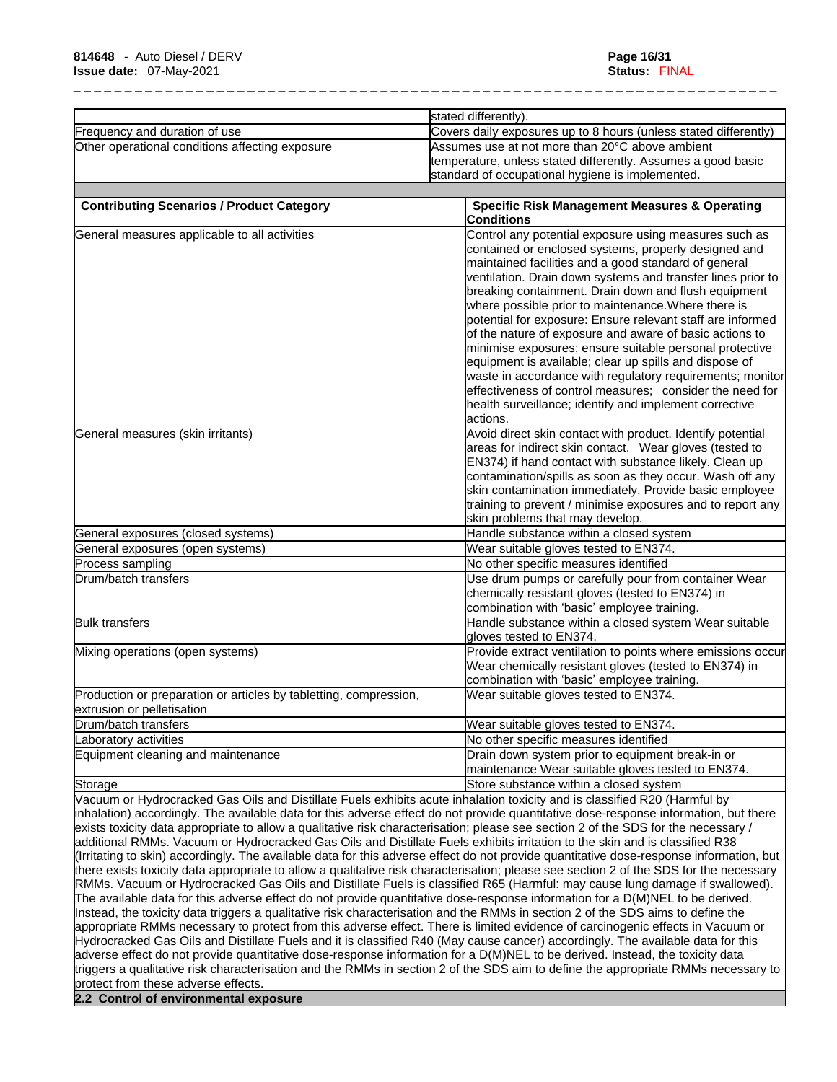|                                                                                                                                                                                                                                                                                                                                                                                             | stated differently).                                                                                                                                                                                                                                                                                                                                                                                                                                                                                                                                                                                                                                                                                                                                                                                                            |  |
|---------------------------------------------------------------------------------------------------------------------------------------------------------------------------------------------------------------------------------------------------------------------------------------------------------------------------------------------------------------------------------------------|---------------------------------------------------------------------------------------------------------------------------------------------------------------------------------------------------------------------------------------------------------------------------------------------------------------------------------------------------------------------------------------------------------------------------------------------------------------------------------------------------------------------------------------------------------------------------------------------------------------------------------------------------------------------------------------------------------------------------------------------------------------------------------------------------------------------------------|--|
| Frequency and duration of use                                                                                                                                                                                                                                                                                                                                                               | Covers daily exposures up to 8 hours (unless stated differently)                                                                                                                                                                                                                                                                                                                                                                                                                                                                                                                                                                                                                                                                                                                                                                |  |
| Other operational conditions affecting exposure                                                                                                                                                                                                                                                                                                                                             | Assumes use at not more than 20°C above ambient<br>temperature, unless stated differently. Assumes a good basic<br>standard of occupational hygiene is implemented.                                                                                                                                                                                                                                                                                                                                                                                                                                                                                                                                                                                                                                                             |  |
| <b>Contributing Scenarios / Product Category</b>                                                                                                                                                                                                                                                                                                                                            | <b>Specific Risk Management Measures &amp; Operating</b><br><b>Conditions</b>                                                                                                                                                                                                                                                                                                                                                                                                                                                                                                                                                                                                                                                                                                                                                   |  |
| General measures applicable to all activities                                                                                                                                                                                                                                                                                                                                               | Control any potential exposure using measures such as<br>contained or enclosed systems, properly designed and<br>maintained facilities and a good standard of general<br>ventilation. Drain down systems and transfer lines prior to<br>breaking containment. Drain down and flush equipment<br>where possible prior to maintenance. Where there is<br>potential for exposure: Ensure relevant staff are informed<br>of the nature of exposure and aware of basic actions to<br>minimise exposures; ensure suitable personal protective<br>equipment is available; clear up spills and dispose of<br>waste in accordance with regulatory requirements; monitor<br>effectiveness of control measures; consider the need for<br>health surveillance; identify and implement corrective<br>actions.                                |  |
| General measures (skin irritants)                                                                                                                                                                                                                                                                                                                                                           | Avoid direct skin contact with product. Identify potential<br>areas for indirect skin contact. Wear gloves (tested to<br>EN374) if hand contact with substance likely. Clean up<br>contamination/spills as soon as they occur. Wash off any<br>skin contamination immediately. Provide basic employee<br>training to prevent / minimise exposures and to report any<br>skin problems that may develop.                                                                                                                                                                                                                                                                                                                                                                                                                          |  |
| General exposures (closed systems)                                                                                                                                                                                                                                                                                                                                                          | Handle substance within a closed system                                                                                                                                                                                                                                                                                                                                                                                                                                                                                                                                                                                                                                                                                                                                                                                         |  |
| General exposures (open systems)                                                                                                                                                                                                                                                                                                                                                            | Wear suitable gloves tested to EN374.                                                                                                                                                                                                                                                                                                                                                                                                                                                                                                                                                                                                                                                                                                                                                                                           |  |
| Process sampling                                                                                                                                                                                                                                                                                                                                                                            | No other specific measures identified                                                                                                                                                                                                                                                                                                                                                                                                                                                                                                                                                                                                                                                                                                                                                                                           |  |
| Drum/batch transfers                                                                                                                                                                                                                                                                                                                                                                        | Use drum pumps or carefully pour from container Wear<br>chemically resistant gloves (tested to EN374) in<br>combination with 'basic' employee training.                                                                                                                                                                                                                                                                                                                                                                                                                                                                                                                                                                                                                                                                         |  |
| <b>Bulk transfers</b>                                                                                                                                                                                                                                                                                                                                                                       | Handle substance within a closed system Wear suitable<br>gloves tested to EN374.                                                                                                                                                                                                                                                                                                                                                                                                                                                                                                                                                                                                                                                                                                                                                |  |
| Mixing operations (open systems)                                                                                                                                                                                                                                                                                                                                                            | Provide extract ventilation to points where emissions occur<br>Wear chemically resistant gloves (tested to EN374) in<br>combination with 'basic' employee training.                                                                                                                                                                                                                                                                                                                                                                                                                                                                                                                                                                                                                                                             |  |
| Production or preparation or articles by tabletting, compression,<br>extrusion or pelletisation                                                                                                                                                                                                                                                                                             | Wear suitable gloves tested to EN374.                                                                                                                                                                                                                                                                                                                                                                                                                                                                                                                                                                                                                                                                                                                                                                                           |  |
| Drum/batch transfers                                                                                                                                                                                                                                                                                                                                                                        | Wear suitable gloves tested to EN374.                                                                                                                                                                                                                                                                                                                                                                                                                                                                                                                                                                                                                                                                                                                                                                                           |  |
| Laboratory activities                                                                                                                                                                                                                                                                                                                                                                       | No other specific measures identified                                                                                                                                                                                                                                                                                                                                                                                                                                                                                                                                                                                                                                                                                                                                                                                           |  |
| Equipment cleaning and maintenance                                                                                                                                                                                                                                                                                                                                                          | Drain down system prior to equipment break-in or<br>maintenance Wear suitable gloves tested to EN374.                                                                                                                                                                                                                                                                                                                                                                                                                                                                                                                                                                                                                                                                                                                           |  |
| Storage                                                                                                                                                                                                                                                                                                                                                                                     | Store substance within a closed system                                                                                                                                                                                                                                                                                                                                                                                                                                                                                                                                                                                                                                                                                                                                                                                          |  |
| Vacuum or Hydrocracked Gas Oils and Distillate Fuels exhibits acute inhalation toxicity and is classified R20 (Harmful by<br>additional RMMs. Vacuum or Hydrocracked Gas Oils and Distillate Fuels exhibits irritation to the skin and is classified R38<br>Instead, the toxicity data triggers a qualitative risk characterisation and the RMMs in section 2 of the SDS aims to define the | inhalation) accordingly. The available data for this adverse effect do not provide quantitative dose-response information, but there<br>exists toxicity data appropriate to allow a qualitative risk characterisation; please see section 2 of the SDS for the necessary /<br>(Irritating to skin) accordingly. The available data for this adverse effect do not provide quantitative dose-response information, but<br>there exists toxicity data appropriate to allow a qualitative risk characterisation; please see section 2 of the SDS for the necessary<br>RMMs. Vacuum or Hydrocracked Gas Oils and Distillate Fuels is classified R65 (Harmful: may cause lung damage if swallowed).<br>The available data for this adverse effect do not provide quantitative dose-response information for a D(M)NEL to be derived. |  |
| adverse effect do not provide quantitative dose-response information for a D(M)NEL to be derived. Instead, the toxicity data<br>protect from these adverse effects.                                                                                                                                                                                                                         | appropriate RMMs necessary to protect from this adverse effect. There is limited evidence of carcinogenic effects in Vacuum or<br>Hydrocracked Gas Oils and Distillate Fuels and it is classified R40 (May cause cancer) accordingly. The available data for this<br>triggers a qualitative risk characterisation and the RMMs in section 2 of the SDS aim to define the appropriate RMMs necessary to                                                                                                                                                                                                                                                                                                                                                                                                                          |  |
| 2.2 Control of environmental exposure                                                                                                                                                                                                                                                                                                                                                       |                                                                                                                                                                                                                                                                                                                                                                                                                                                                                                                                                                                                                                                                                                                                                                                                                                 |  |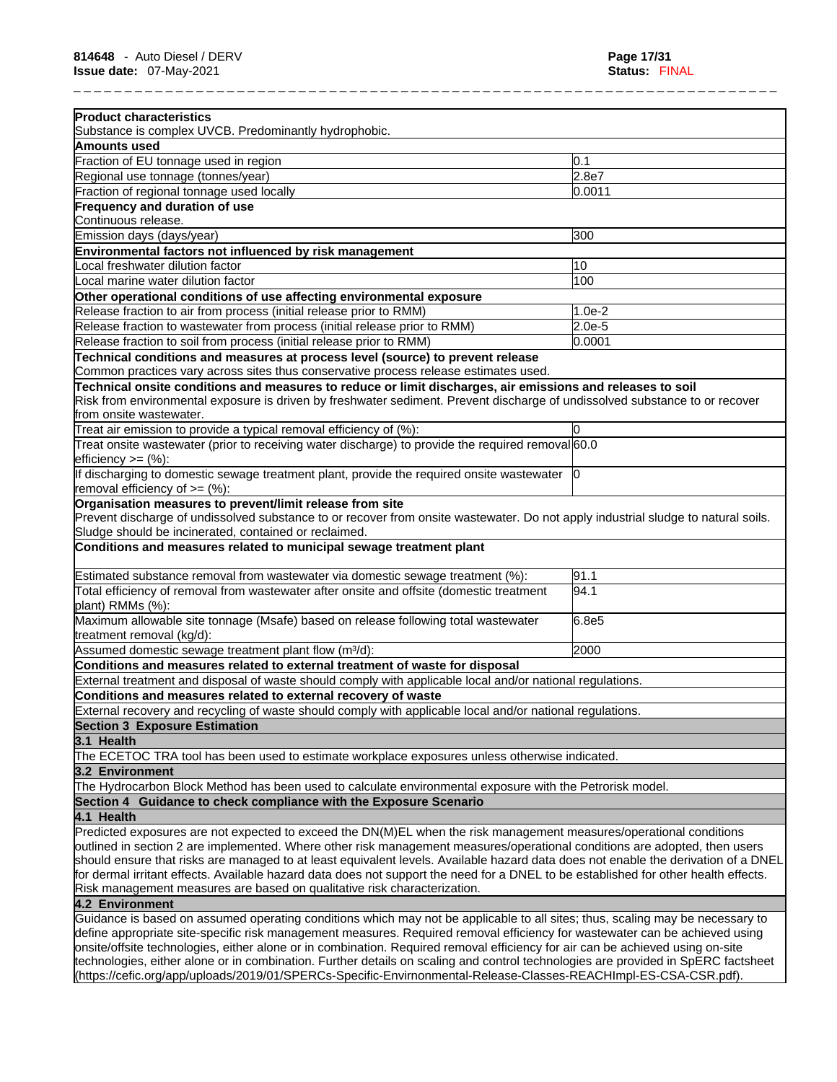\_ \_ \_ \_ \_ \_ \_ \_ \_ \_ \_ \_ \_ \_ \_ \_ \_ \_ \_ \_ \_ \_ \_ \_ \_ \_ \_ \_ \_ \_ \_ \_ \_ \_ \_ \_ \_ \_ \_ \_ \_ \_ \_ \_ \_ \_ \_ \_ \_ \_ \_ \_ \_ \_ \_ \_ \_ \_ \_ \_ \_ \_ \_ \_ \_ \_ \_ \_ \_ **Product characteristics** Substance is complex UVCB. Predominantly hydrophobic. **Amounts used**  Fraction of EU tonnage used in region 0.1 and 0.1 and 0.1 and 0.1 and 0.1 and 0.1 and 0.1 and 0.1 and 0.1 and 0.1 and 0.1 and 0.1 and 0.1 and 0.1 and 0.1 and 0.1 and 0.1 and 0.1 and 0.1 and 0.1 and 0.1 and 0.1 and 0.1 and Regional use tonnage (tonnes/year) 2.8e7 Fraction of regional tonnage used locally 0.0011 0.0011 **Frequency and duration of use** Continuous release. Emission days (days/year) 300 **Environmental factors not influenced by risk management** Local freshwater dilution factor 10 Local marine water dilution factor 100 nm  $\sim$  100 **Other operational conditions of use affecting environmental exposure** Release fraction to air from process (initial release prior to RMM)  $\vert$ 1.0e-2 Release fraction to wastewater from process (initial release prior to RMM) 2.0e-5 Release fraction to soil from process (initial release prior to RMM)  $\vert$ 0.0001 **Technical conditions and measures at process level (source) to prevent release** Common practices vary across sites thus conservative process release estimates used. **Technical onsite conditions and measures to reduce or limit discharges, air emissions and releases to soil** Risk from environmental exposure is driven by freshwater sediment. Prevent discharge of undissolved substance to or recover from onsite wastewater. Treat air emission to provide a typical removal efficiency of  $%$ : 0 Treat onsite wastewater (prior to receiving water discharge) to provide the required removal 60.0 efficiency >= (%): If discharging to domestic sewage treatment plant, provide the required onsite wastewater removal efficiency of  $>=(\%)$ : 0 **Organisation measures to prevent/limit release from site** Prevent discharge of undissolved substance to or recover from onsite wastewater. Do not apply industrial sludge to natural soils. Sludge should be incinerated, contained or reclaimed. **Conditions and measures related to municipal sewage treatment plant** Estimated substance removal from wastewater via domestic sewage treatment (%): 91.1 Total efficiency of removal from wastewater after onsite and offsite (domestic treatment plant) RMMs (%): 94.1 Maximum allowable site tonnage (Msafe) based on release following total wastewater treatment removal (kg/d): 6.8e5 Assumed domestic sewage treatment plant flow (m<sup>3</sup>/d): 2000 **Conditions and measures related to external treatment of waste for disposal** External treatment and disposal of waste should comply with applicable local and/or national regulations. **Conditions and measures related to external recovery of waste** External recovery and recycling of waste should comply with applicable local and/or national regulations. **Section 3 Exposure Estimation 3.1 Health**  The ECETOC TRA tool has been used to estimate workplace exposures unless otherwise indicated. **3.2 Environment**  The Hydrocarbon Block Method has been used to calculate environmental exposure with the Petrorisk model. **Section 4 Guidance to check compliance with the Exposure Scenario 4.1 Health**  Predicted exposures are not expected to exceed the DN(M)EL when the risk management measures/operational conditions outlined in section 2 are implemented. Where other risk management measures/operational conditions are adopted, then users should ensure that risks are managed to at least equivalent levels. Available hazard data does not enable the derivation of a DNEL for dermal irritant effects. Available hazard data does not support the need for a DNEL to be established for other health effects. Risk management measures are based on qualitative risk characterization. **4.2 Environment**  Guidance isbased on assumed operating conditions which may not be applicable to all sites; thus, scaling may be necessary to define appropriate site-specific risk management measures. Required removal efficiency for wastewater can be achieved using onsite/offsite technologies, either alone or in combination. Required removal efficiency for air can be achieved using on-site technologies, either alone or in combination. Further details on scaling and control technologies are provided in SpERC factsheet

(https://cefic.org/app/uploads/2019/01/SPERCs-Specific-Envirnonmental-Release-Classes-REACHImpl-ES-CSA-CSR.pdf).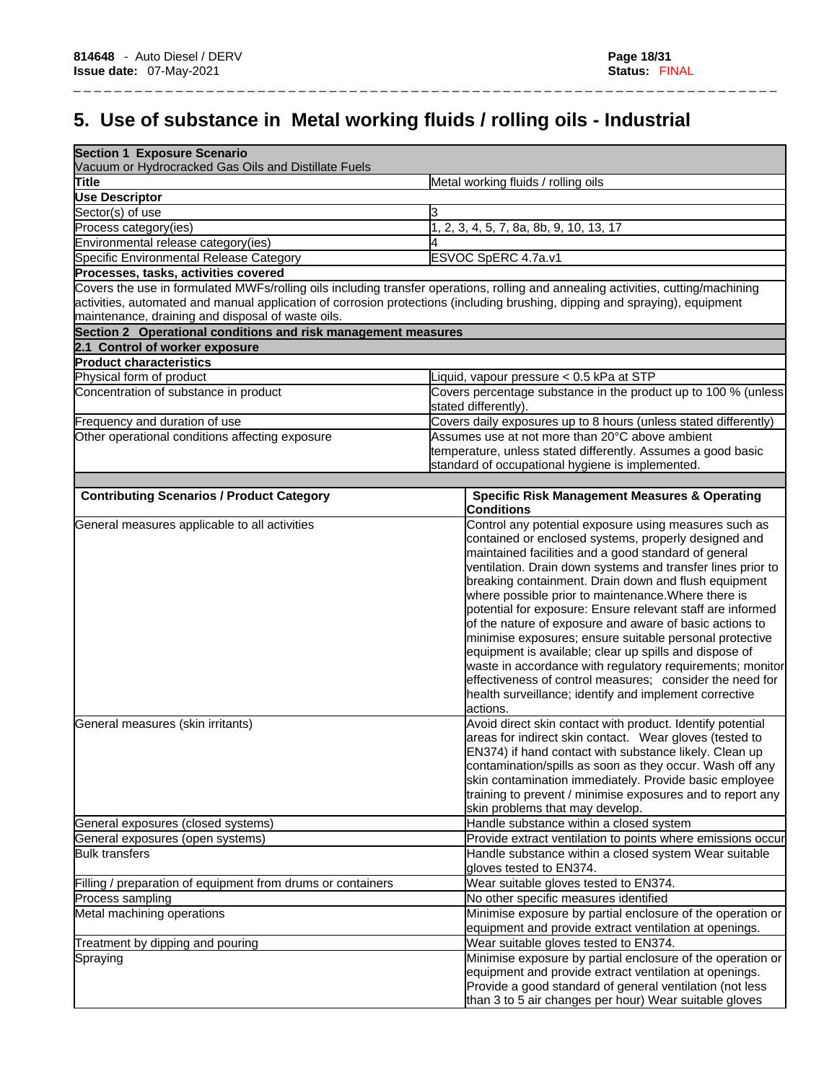# **5. Use of substance in Metal working fluids / rolling oils - Industrial**

\_ \_ \_ \_ \_ \_ \_ \_ \_ \_ \_ \_ \_ \_ \_ \_ \_ \_ \_ \_ \_ \_ \_ \_ \_ \_ \_ \_ \_ \_ \_ \_ \_ \_ \_ \_ \_ \_ \_ \_ \_ \_ \_ \_ \_ \_ \_ \_ \_ \_ \_ \_ \_ \_ \_ \_ \_ \_ \_ \_ \_ \_ \_ \_ \_ \_ \_ \_ \_

| <b>Section 1 Exposure Scenario</b><br>Vacuum or Hydrocracked Gas Oils and Distillate Fuels                                  |                                                                                                                                   |  |
|-----------------------------------------------------------------------------------------------------------------------------|-----------------------------------------------------------------------------------------------------------------------------------|--|
| <b>Title</b>                                                                                                                | Metal working fluids / rolling oils                                                                                               |  |
| <b>Use Descriptor</b>                                                                                                       |                                                                                                                                   |  |
| Sector(s) of use                                                                                                            | 3                                                                                                                                 |  |
| Process category(ies)                                                                                                       | 1, 2, 3, 4, 5, 7, 8a, 8b, 9, 10, 13, 17                                                                                           |  |
| Environmental release category(ies)                                                                                         |                                                                                                                                   |  |
| Specific Environmental Release Category                                                                                     | ESVOC SpERC 4.7a.v1                                                                                                               |  |
| Processes, tasks, activities covered                                                                                        |                                                                                                                                   |  |
|                                                                                                                             | Covers the use in formulated MWFs/rolling oils including transfer operations, rolling and annealing activities, cutting/machining |  |
| activities, automated and manual application of corrosion protections (including brushing, dipping and spraying), equipment |                                                                                                                                   |  |
| maintenance, draining and disposal of waste oils.                                                                           |                                                                                                                                   |  |
| Section 2 Operational conditions and risk management measures                                                               |                                                                                                                                   |  |
| 2.1 Control of worker exposure                                                                                              |                                                                                                                                   |  |
| <b>Product characteristics</b>                                                                                              |                                                                                                                                   |  |
| Physical form of product                                                                                                    | Liquid, vapour pressure < 0.5 kPa at STP                                                                                          |  |
| Concentration of substance in product                                                                                       | Covers percentage substance in the product up to 100 % (unless                                                                    |  |
|                                                                                                                             | stated differently).                                                                                                              |  |
| Frequency and duration of use                                                                                               | Covers daily exposures up to 8 hours (unless stated differently)                                                                  |  |
| Other operational conditions affecting exposure                                                                             | Assumes use at not more than 20°C above ambient                                                                                   |  |
|                                                                                                                             | temperature, unless stated differently. Assumes a good basic                                                                      |  |
|                                                                                                                             | standard of occupational hygiene is implemented.                                                                                  |  |
|                                                                                                                             |                                                                                                                                   |  |
| <b>Contributing Scenarios / Product Category</b>                                                                            | <b>Specific Risk Management Measures &amp; Operating</b><br><b>Conditions</b>                                                     |  |
| General measures applicable to all activities                                                                               | Control any potential exposure using measures such as                                                                             |  |
|                                                                                                                             | contained or enclosed systems, properly designed and                                                                              |  |
|                                                                                                                             | maintained facilities and a good standard of general                                                                              |  |
|                                                                                                                             | ventilation. Drain down systems and transfer lines prior to                                                                       |  |
|                                                                                                                             | breaking containment. Drain down and flush equipment                                                                              |  |
|                                                                                                                             | where possible prior to maintenance. Where there is                                                                               |  |
|                                                                                                                             | potential for exposure: Ensure relevant staff are informed                                                                        |  |
|                                                                                                                             | of the nature of exposure and aware of basic actions to                                                                           |  |
|                                                                                                                             | minimise exposures; ensure suitable personal protective                                                                           |  |
|                                                                                                                             | equipment is available; clear up spills and dispose of                                                                            |  |
|                                                                                                                             | waste in accordance with regulatory requirements; monitor                                                                         |  |
|                                                                                                                             | effectiveness of control measures; consider the need for                                                                          |  |
|                                                                                                                             | health surveillance; identify and implement corrective                                                                            |  |
|                                                                                                                             | actions.                                                                                                                          |  |
| General measures (skin irritants)                                                                                           | Avoid direct skin contact with product. Identify potential                                                                        |  |
|                                                                                                                             | areas for indirect skin contact. Wear gloves (tested to                                                                           |  |
|                                                                                                                             | EN374) if hand contact with substance likely. Clean up                                                                            |  |
|                                                                                                                             | contamination/spills as soon as they occur. Wash off any<br>skin contamination immediately. Provide basic employee                |  |
|                                                                                                                             | training to prevent / minimise exposures and to report any                                                                        |  |
|                                                                                                                             | skin problems that may develop.                                                                                                   |  |
| General exposures (closed systems)                                                                                          | Handle substance within a closed system                                                                                           |  |
| General exposures (open systems)                                                                                            | Provide extract ventilation to points where emissions occur                                                                       |  |
| <b>Bulk transfers</b>                                                                                                       | Handle substance within a closed system Wear suitable                                                                             |  |
|                                                                                                                             | gloves tested to EN374.                                                                                                           |  |
| Filling / preparation of equipment from drums or containers                                                                 | Wear suitable gloves tested to EN374.                                                                                             |  |
| Process sampling                                                                                                            | No other specific measures identified                                                                                             |  |
| Metal machining operations                                                                                                  | Minimise exposure by partial enclosure of the operation or                                                                        |  |
|                                                                                                                             | equipment and provide extract ventilation at openings.                                                                            |  |
| Treatment by dipping and pouring                                                                                            | Wear suitable gloves tested to EN374.                                                                                             |  |
| Spraying                                                                                                                    | Minimise exposure by partial enclosure of the operation or                                                                        |  |
|                                                                                                                             | equipment and provide extract ventilation at openings.                                                                            |  |
|                                                                                                                             | Provide a good standard of general ventilation (not less                                                                          |  |
|                                                                                                                             | than 3 to 5 air changes per hour) Wear suitable gloves                                                                            |  |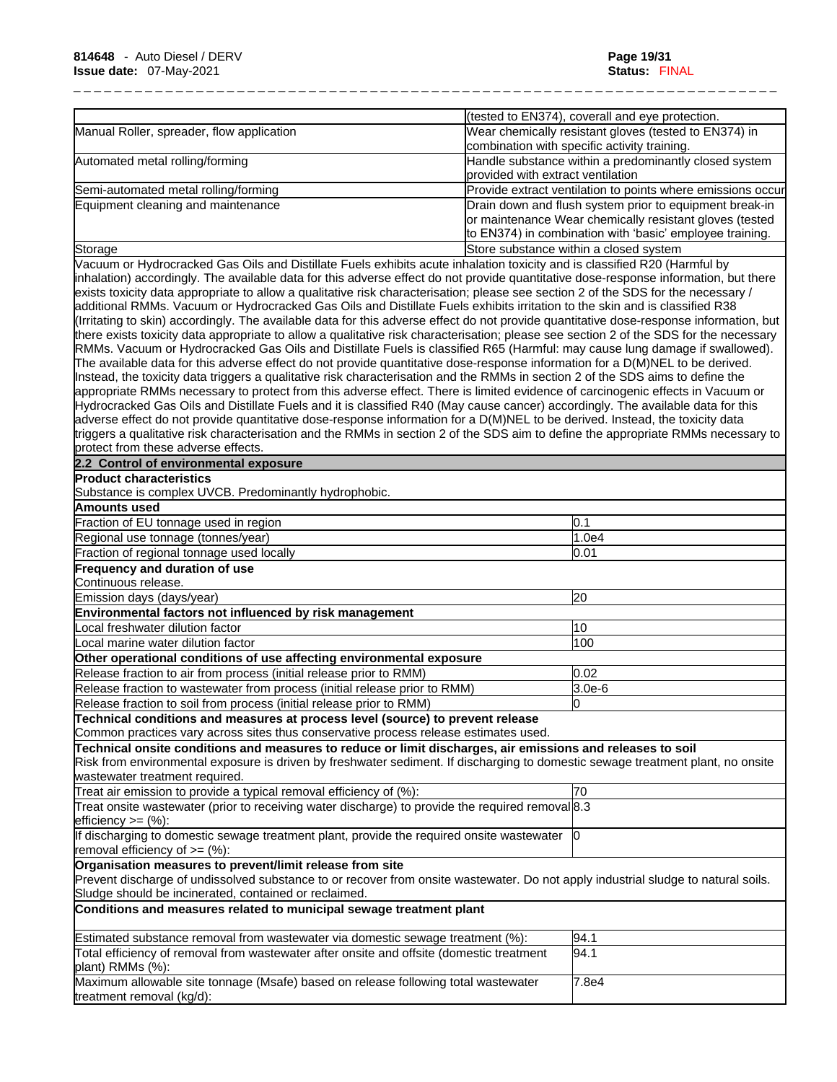|                                                                                                                                                                                                                                                                                                                                                                                                                                                                                                                                                                                                                                                                                                                                                                                                                                                                                                                                                                                                                                                                                                                                                                                                                                                                                                                                                                                                                                                                                                     |                                   | (tested to EN374), coverall and eye protection.                                                                                                                                |
|-----------------------------------------------------------------------------------------------------------------------------------------------------------------------------------------------------------------------------------------------------------------------------------------------------------------------------------------------------------------------------------------------------------------------------------------------------------------------------------------------------------------------------------------------------------------------------------------------------------------------------------------------------------------------------------------------------------------------------------------------------------------------------------------------------------------------------------------------------------------------------------------------------------------------------------------------------------------------------------------------------------------------------------------------------------------------------------------------------------------------------------------------------------------------------------------------------------------------------------------------------------------------------------------------------------------------------------------------------------------------------------------------------------------------------------------------------------------------------------------------------|-----------------------------------|--------------------------------------------------------------------------------------------------------------------------------------------------------------------------------|
| Manual Roller, spreader, flow application                                                                                                                                                                                                                                                                                                                                                                                                                                                                                                                                                                                                                                                                                                                                                                                                                                                                                                                                                                                                                                                                                                                                                                                                                                                                                                                                                                                                                                                           |                                   | Wear chemically resistant gloves (tested to EN374) in<br>combination with specific activity training.                                                                          |
| Automated metal rolling/forming                                                                                                                                                                                                                                                                                                                                                                                                                                                                                                                                                                                                                                                                                                                                                                                                                                                                                                                                                                                                                                                                                                                                                                                                                                                                                                                                                                                                                                                                     | provided with extract ventilation | Handle substance within a predominantly closed system                                                                                                                          |
| Semi-automated metal rolling/forming                                                                                                                                                                                                                                                                                                                                                                                                                                                                                                                                                                                                                                                                                                                                                                                                                                                                                                                                                                                                                                                                                                                                                                                                                                                                                                                                                                                                                                                                |                                   | Provide extract ventilation to points where emissions occur                                                                                                                    |
| Equipment cleaning and maintenance                                                                                                                                                                                                                                                                                                                                                                                                                                                                                                                                                                                                                                                                                                                                                                                                                                                                                                                                                                                                                                                                                                                                                                                                                                                                                                                                                                                                                                                                  |                                   | Drain down and flush system prior to equipment break-in<br>or maintenance Wear chemically resistant gloves (tested<br>to EN374) in combination with 'basic' employee training. |
| Storage                                                                                                                                                                                                                                                                                                                                                                                                                                                                                                                                                                                                                                                                                                                                                                                                                                                                                                                                                                                                                                                                                                                                                                                                                                                                                                                                                                                                                                                                                             |                                   | Store substance within a closed system                                                                                                                                         |
| Vacuum or Hydrocracked Gas Oils and Distillate Fuels exhibits acute inhalation toxicity and is classified R20 (Harmful by<br>inhalation) accordingly. The available data for this adverse effect do not provide quantitative dose-response information, but there<br>exists toxicity data appropriate to allow a qualitative risk characterisation; please see section 2 of the SDS for the necessary /<br>additional RMMs. Vacuum or Hydrocracked Gas Oils and Distillate Fuels exhibits irritation to the skin and is classified R38<br>(Irritating to skin) accordingly. The available data for this adverse effect do not provide quantitative dose-response information, but<br>there exists toxicity data appropriate to allow a qualitative risk characterisation; please see section 2 of the SDS for the necessary<br>RMMs. Vacuum or Hydrocracked Gas Oils and Distillate Fuels is classified R65 (Harmful: may cause lung damage if swallowed).<br>The available data for this adverse effect do not provide quantitative dose-response information for a D(M)NEL to be derived.<br>Instead, the toxicity data triggers a qualitative risk characterisation and the RMMs in section 2 of the SDS aims to define the<br>appropriate RMMs necessary to protect from this adverse effect. There is limited evidence of carcinogenic effects in Vacuum or<br>Hydrocracked Gas Oils and Distillate Fuels and it is classified R40 (May cause cancer) accordingly. The available data for this |                                   |                                                                                                                                                                                |
| adverse effect do not provide quantitative dose-response information for a D(M)NEL to be derived. Instead, the toxicity data<br>triggers a qualitative risk characterisation and the RMMs in section 2 of the SDS aim to define the appropriate RMMs necessary to<br>protect from these adverse effects.                                                                                                                                                                                                                                                                                                                                                                                                                                                                                                                                                                                                                                                                                                                                                                                                                                                                                                                                                                                                                                                                                                                                                                                            |                                   |                                                                                                                                                                                |
| 2.2 Control of environmental exposure                                                                                                                                                                                                                                                                                                                                                                                                                                                                                                                                                                                                                                                                                                                                                                                                                                                                                                                                                                                                                                                                                                                                                                                                                                                                                                                                                                                                                                                               |                                   |                                                                                                                                                                                |
| <b>Product characteristics</b>                                                                                                                                                                                                                                                                                                                                                                                                                                                                                                                                                                                                                                                                                                                                                                                                                                                                                                                                                                                                                                                                                                                                                                                                                                                                                                                                                                                                                                                                      |                                   |                                                                                                                                                                                |
| Substance is complex UVCB. Predominantly hydrophobic.                                                                                                                                                                                                                                                                                                                                                                                                                                                                                                                                                                                                                                                                                                                                                                                                                                                                                                                                                                                                                                                                                                                                                                                                                                                                                                                                                                                                                                               |                                   |                                                                                                                                                                                |
| Amounts used                                                                                                                                                                                                                                                                                                                                                                                                                                                                                                                                                                                                                                                                                                                                                                                                                                                                                                                                                                                                                                                                                                                                                                                                                                                                                                                                                                                                                                                                                        |                                   |                                                                                                                                                                                |
| Fraction of EU tonnage used in region                                                                                                                                                                                                                                                                                                                                                                                                                                                                                                                                                                                                                                                                                                                                                                                                                                                                                                                                                                                                                                                                                                                                                                                                                                                                                                                                                                                                                                                               |                                   | 0.1                                                                                                                                                                            |
| Regional use tonnage (tonnes/year)                                                                                                                                                                                                                                                                                                                                                                                                                                                                                                                                                                                                                                                                                                                                                                                                                                                                                                                                                                                                                                                                                                                                                                                                                                                                                                                                                                                                                                                                  |                                   | 1.0e4                                                                                                                                                                          |
| Fraction of regional tonnage used locally                                                                                                                                                                                                                                                                                                                                                                                                                                                                                                                                                                                                                                                                                                                                                                                                                                                                                                                                                                                                                                                                                                                                                                                                                                                                                                                                                                                                                                                           |                                   | 0.01                                                                                                                                                                           |
| Frequency and duration of use                                                                                                                                                                                                                                                                                                                                                                                                                                                                                                                                                                                                                                                                                                                                                                                                                                                                                                                                                                                                                                                                                                                                                                                                                                                                                                                                                                                                                                                                       |                                   |                                                                                                                                                                                |
| Continuous release.                                                                                                                                                                                                                                                                                                                                                                                                                                                                                                                                                                                                                                                                                                                                                                                                                                                                                                                                                                                                                                                                                                                                                                                                                                                                                                                                                                                                                                                                                 |                                   |                                                                                                                                                                                |
| Emission days (days/year)<br>Environmental factors not influenced by risk management                                                                                                                                                                                                                                                                                                                                                                                                                                                                                                                                                                                                                                                                                                                                                                                                                                                                                                                                                                                                                                                                                                                                                                                                                                                                                                                                                                                                                |                                   | 20                                                                                                                                                                             |
| Local freshwater dilution factor                                                                                                                                                                                                                                                                                                                                                                                                                                                                                                                                                                                                                                                                                                                                                                                                                                                                                                                                                                                                                                                                                                                                                                                                                                                                                                                                                                                                                                                                    |                                   | 10                                                                                                                                                                             |
| Local marine water dilution factor                                                                                                                                                                                                                                                                                                                                                                                                                                                                                                                                                                                                                                                                                                                                                                                                                                                                                                                                                                                                                                                                                                                                                                                                                                                                                                                                                                                                                                                                  |                                   | 100                                                                                                                                                                            |
| Other operational conditions of use affecting environmental exposure                                                                                                                                                                                                                                                                                                                                                                                                                                                                                                                                                                                                                                                                                                                                                                                                                                                                                                                                                                                                                                                                                                                                                                                                                                                                                                                                                                                                                                |                                   |                                                                                                                                                                                |
| Release fraction to air from process (initial release prior to RMM)                                                                                                                                                                                                                                                                                                                                                                                                                                                                                                                                                                                                                                                                                                                                                                                                                                                                                                                                                                                                                                                                                                                                                                                                                                                                                                                                                                                                                                 |                                   | 0.02                                                                                                                                                                           |
| Release fraction to wastewater from process (initial release prior to RMM)                                                                                                                                                                                                                                                                                                                                                                                                                                                                                                                                                                                                                                                                                                                                                                                                                                                                                                                                                                                                                                                                                                                                                                                                                                                                                                                                                                                                                          |                                   | $3.0e-6$                                                                                                                                                                       |
| Release fraction to soil from process (initial release prior to RMM)                                                                                                                                                                                                                                                                                                                                                                                                                                                                                                                                                                                                                                                                                                                                                                                                                                                                                                                                                                                                                                                                                                                                                                                                                                                                                                                                                                                                                                |                                   | O                                                                                                                                                                              |
| Technical conditions and measures at process level (source) to prevent release                                                                                                                                                                                                                                                                                                                                                                                                                                                                                                                                                                                                                                                                                                                                                                                                                                                                                                                                                                                                                                                                                                                                                                                                                                                                                                                                                                                                                      |                                   |                                                                                                                                                                                |
| Common practices vary across sites thus conservative process release estimates used.                                                                                                                                                                                                                                                                                                                                                                                                                                                                                                                                                                                                                                                                                                                                                                                                                                                                                                                                                                                                                                                                                                                                                                                                                                                                                                                                                                                                                |                                   |                                                                                                                                                                                |
| Technical onsite conditions and measures to reduce or limit discharges, air emissions and releases to soil<br>Risk from environmental exposure is driven by freshwater sediment. If discharging to domestic sewage treatment plant, no onsite<br>wastewater treatment required.                                                                                                                                                                                                                                                                                                                                                                                                                                                                                                                                                                                                                                                                                                                                                                                                                                                                                                                                                                                                                                                                                                                                                                                                                     |                                   |                                                                                                                                                                                |
| Treat air emission to provide a typical removal efficiency of (%):                                                                                                                                                                                                                                                                                                                                                                                                                                                                                                                                                                                                                                                                                                                                                                                                                                                                                                                                                                                                                                                                                                                                                                                                                                                                                                                                                                                                                                  |                                   | 70                                                                                                                                                                             |
| Treat onsite wastewater (prior to receiving water discharge) to provide the required removal 8.3<br>$lefticiency >= (%)$ :                                                                                                                                                                                                                                                                                                                                                                                                                                                                                                                                                                                                                                                                                                                                                                                                                                                                                                                                                                                                                                                                                                                                                                                                                                                                                                                                                                          |                                   |                                                                                                                                                                                |
| If discharging to domestic sewage treatment plant, provide the required onsite wastewater<br>removal efficiency of $=$ (%):                                                                                                                                                                                                                                                                                                                                                                                                                                                                                                                                                                                                                                                                                                                                                                                                                                                                                                                                                                                                                                                                                                                                                                                                                                                                                                                                                                         |                                   | 10                                                                                                                                                                             |
| Organisation measures to prevent/limit release from site                                                                                                                                                                                                                                                                                                                                                                                                                                                                                                                                                                                                                                                                                                                                                                                                                                                                                                                                                                                                                                                                                                                                                                                                                                                                                                                                                                                                                                            |                                   |                                                                                                                                                                                |
| Prevent discharge of undissolved substance to or recover from onsite wastewater. Do not apply industrial sludge to natural soils.<br>Sludge should be incinerated, contained or reclaimed.                                                                                                                                                                                                                                                                                                                                                                                                                                                                                                                                                                                                                                                                                                                                                                                                                                                                                                                                                                                                                                                                                                                                                                                                                                                                                                          |                                   |                                                                                                                                                                                |
| Conditions and measures related to municipal sewage treatment plant                                                                                                                                                                                                                                                                                                                                                                                                                                                                                                                                                                                                                                                                                                                                                                                                                                                                                                                                                                                                                                                                                                                                                                                                                                                                                                                                                                                                                                 |                                   |                                                                                                                                                                                |
| Estimated substance removal from wastewater via domestic sewage treatment (%):                                                                                                                                                                                                                                                                                                                                                                                                                                                                                                                                                                                                                                                                                                                                                                                                                                                                                                                                                                                                                                                                                                                                                                                                                                                                                                                                                                                                                      |                                   | 94.1                                                                                                                                                                           |
| Total efficiency of removal from wastewater after onsite and offsite (domestic treatment<br>plant) RMMs (%):                                                                                                                                                                                                                                                                                                                                                                                                                                                                                                                                                                                                                                                                                                                                                                                                                                                                                                                                                                                                                                                                                                                                                                                                                                                                                                                                                                                        |                                   | 94.1                                                                                                                                                                           |
| Maximum allowable site tonnage (Msafe) based on release following total wastewater<br>treatment removal (kg/d):                                                                                                                                                                                                                                                                                                                                                                                                                                                                                                                                                                                                                                                                                                                                                                                                                                                                                                                                                                                                                                                                                                                                                                                                                                                                                                                                                                                     |                                   | 7.8e4                                                                                                                                                                          |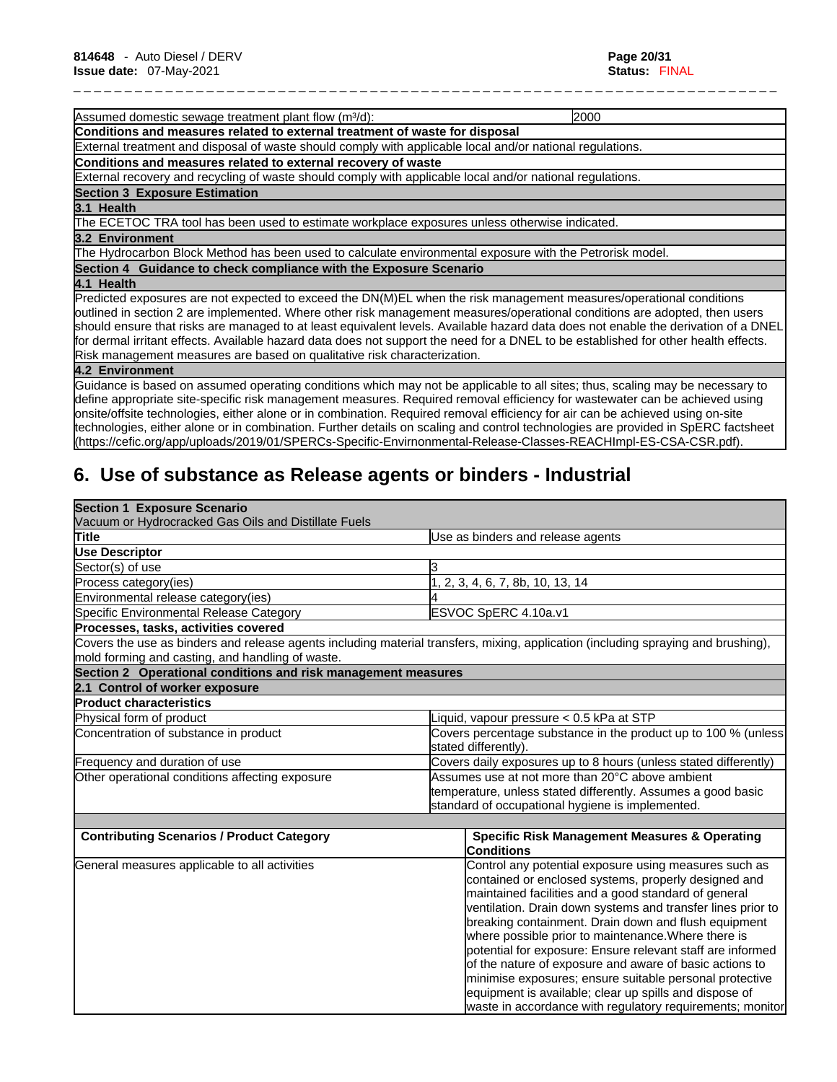Assumed domestic sewage treatment plant flow (m<sup>3</sup>/d): 2000 2000 **Conditions and measures related to external treatment of waste for disposal** External treatment and disposal of waste should comply with applicable local and/or national regulations. **Conditions and measures related to external recovery of waste** External recovery and recycling of waste should comply with applicable local and/or national regulations. **Section 3 Exposure Estimation 3.1 Health**  The ECETOC TRA tool has been used to estimate workplace exposures unless otherwise indicated. **3.2 Environment**  The Hydrocarbon Block Method has been used to calculate environmental exposure with the Petrorisk model. **Section 4 Guidance to check compliance with the Exposure Scenario 4.1 Health**  Predicted exposures are not expected to exceed the DN(M)EL when the risk management measures/operational conditions outlined in section 2 are implemented. Where other risk management measures/operational conditions are adopted, then users should ensure that risks are managed to at least equivalent levels. Available hazard data does not enable the derivation of a DNEL

\_ \_ \_ \_ \_ \_ \_ \_ \_ \_ \_ \_ \_ \_ \_ \_ \_ \_ \_ \_ \_ \_ \_ \_ \_ \_ \_ \_ \_ \_ \_ \_ \_ \_ \_ \_ \_ \_ \_ \_ \_ \_ \_ \_ \_ \_ \_ \_ \_ \_ \_ \_ \_ \_ \_ \_ \_ \_ \_ \_ \_ \_ \_ \_ \_ \_ \_ \_ \_

for dermal irritant effects. Available hazard data does not support the need for a DNEL to be established for other health effects. Risk management measures are based on qualitative risk characterization.

### **4.2 Environment**

Guidance isbased on assumed operating conditions which may not be applicable to all sites; thus, scaling may be necessary to define appropriate site-specific risk management measures. Required removal efficiency for wastewater can be achieved using onsite/offsite technologies, either alone or in combination. Required removal efficiency for air can be achieved using on-site technologies, either alone or in combination. Further details on scaling and control technologies are provided in SpERC factsheet (https://cefic.org/app/uploads/2019/01/SPERCs-Specific-Envirnonmental-Release-Classes-REACHImpl-ES-CSA-CSR.pdf).

# **6. Use of substance as Release agents or binders - Industrial**

| <b>Section 1 Exposure Scenario</b>                            |                                                                                                                                   |  |
|---------------------------------------------------------------|-----------------------------------------------------------------------------------------------------------------------------------|--|
| Vacuum or Hydrocracked Gas Oils and Distillate Fuels          |                                                                                                                                   |  |
| Title                                                         | Use as binders and release agents                                                                                                 |  |
| <b>Use Descriptor</b>                                         |                                                                                                                                   |  |
| Sector(s) of use                                              |                                                                                                                                   |  |
| Process category(ies)                                         | 2, 3, 4, 6, 7, 8b, 10, 13, 14                                                                                                     |  |
| Environmental release category(ies)                           |                                                                                                                                   |  |
| Specific Environmental Release Category                       | ESVOC SpERC 4.10a.v1                                                                                                              |  |
| Processes, tasks, activities covered                          |                                                                                                                                   |  |
| mold forming and casting, and handling of waste.              | Covers the use as binders and release agents including material transfers, mixing, application (including spraying and brushing), |  |
| Section 2 Operational conditions and risk management measures |                                                                                                                                   |  |
| 2.1 Control of worker exposure                                |                                                                                                                                   |  |
| <b>Product characteristics</b>                                |                                                                                                                                   |  |
| Physical form of product                                      | iquid, vapour pressure < 0.5 kPa at STP                                                                                           |  |
| Concentration of substance in product                         | Covers percentage substance in the product up to 100 % (unless<br>stated differently).                                            |  |
| Frequency and duration of use                                 | Covers daily exposures up to 8 hours (unless stated differently)                                                                  |  |
| Other operational conditions affecting exposure               | Assumes use at not more than 20°C above ambient                                                                                   |  |
|                                                               | temperature, unless stated differently. Assumes a good basic                                                                      |  |
|                                                               | standard of occupational hygiene is implemented.                                                                                  |  |
|                                                               |                                                                                                                                   |  |
| <b>Contributing Scenarios / Product Category</b>              | <b>Specific Risk Management Measures &amp; Operating</b><br>Conditions                                                            |  |
| General measures applicable to all activities                 | Control any potential exposure using measures such as                                                                             |  |
|                                                               | contained or enclosed systems, properly designed and                                                                              |  |
|                                                               | maintained facilities and a good standard of general                                                                              |  |
|                                                               | ventilation. Drain down systems and transfer lines prior to                                                                       |  |
|                                                               | breaking containment. Drain down and flush equipment                                                                              |  |
|                                                               | where possible prior to maintenance. Where there is                                                                               |  |
|                                                               | potential for exposure: Ensure relevant staff are informed                                                                        |  |
|                                                               | of the nature of exposure and aware of basic actions to                                                                           |  |
|                                                               | minimise exposures; ensure suitable personal protective                                                                           |  |
|                                                               | equipment is available; clear up spills and dispose of                                                                            |  |
|                                                               | waste in accordance with regulatory requirements; monitor                                                                         |  |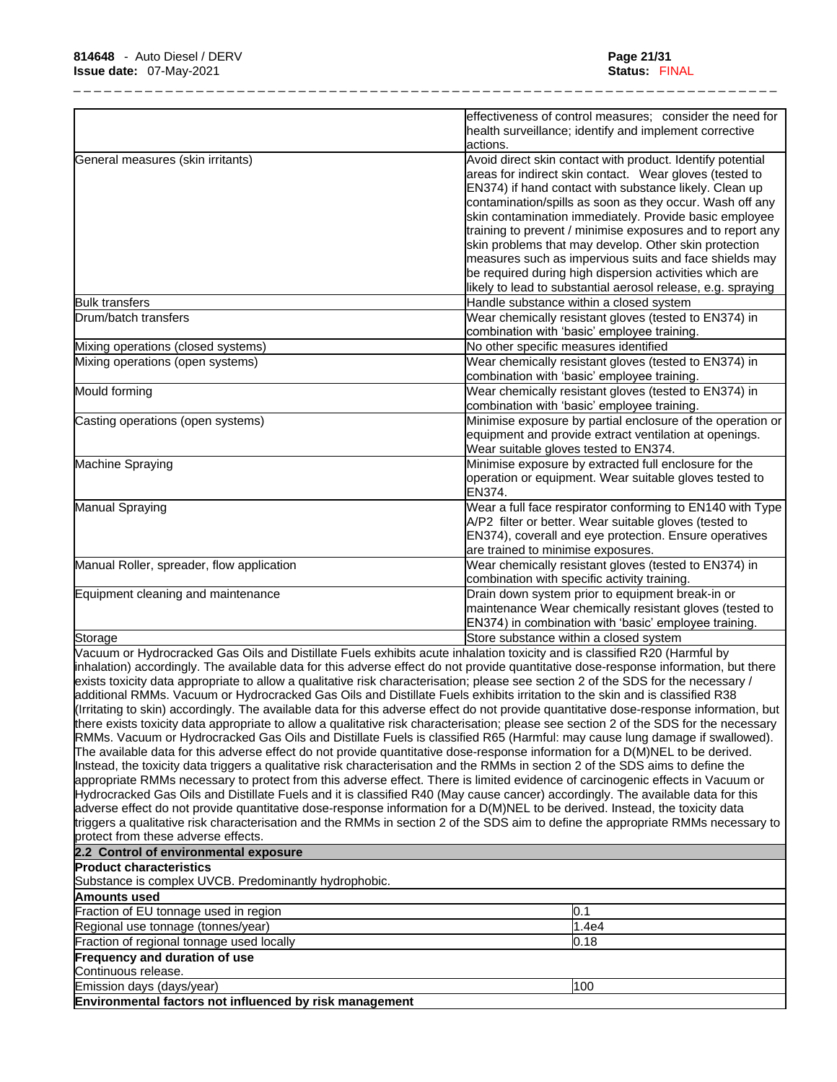|                                                                                                                                                                                                                                                                   | effectiveness of control measures; consider the need for<br>health surveillance; identify and implement corrective                      |
|-------------------------------------------------------------------------------------------------------------------------------------------------------------------------------------------------------------------------------------------------------------------|-----------------------------------------------------------------------------------------------------------------------------------------|
|                                                                                                                                                                                                                                                                   | actions.                                                                                                                                |
| General measures (skin irritants)                                                                                                                                                                                                                                 | Avoid direct skin contact with product. Identify potential                                                                              |
|                                                                                                                                                                                                                                                                   | areas for indirect skin contact. Wear gloves (tested to                                                                                 |
|                                                                                                                                                                                                                                                                   | EN374) if hand contact with substance likely. Clean up                                                                                  |
|                                                                                                                                                                                                                                                                   | contamination/spills as soon as they occur. Wash off any                                                                                |
|                                                                                                                                                                                                                                                                   | skin contamination immediately. Provide basic employee                                                                                  |
|                                                                                                                                                                                                                                                                   | training to prevent / minimise exposures and to report any                                                                              |
|                                                                                                                                                                                                                                                                   | skin problems that may develop. Other skin protection                                                                                   |
|                                                                                                                                                                                                                                                                   | measures such as impervious suits and face shields may                                                                                  |
|                                                                                                                                                                                                                                                                   | be required during high dispersion activities which are                                                                                 |
|                                                                                                                                                                                                                                                                   | likely to lead to substantial aerosol release, e.g. spraying                                                                            |
| <b>Bulk transfers</b>                                                                                                                                                                                                                                             | Handle substance within a closed system                                                                                                 |
| Drum/batch transfers                                                                                                                                                                                                                                              | Wear chemically resistant gloves (tested to EN374) in                                                                                   |
|                                                                                                                                                                                                                                                                   | combination with 'basic' employee training.                                                                                             |
| Mixing operations (closed systems)                                                                                                                                                                                                                                | No other specific measures identified                                                                                                   |
| Mixing operations (open systems)                                                                                                                                                                                                                                  | Wear chemically resistant gloves (tested to EN374) in                                                                                   |
|                                                                                                                                                                                                                                                                   | combination with 'basic' employee training.                                                                                             |
| Mould forming                                                                                                                                                                                                                                                     | Wear chemically resistant gloves (tested to EN374) in                                                                                   |
|                                                                                                                                                                                                                                                                   | combination with 'basic' employee training.                                                                                             |
| Casting operations (open systems)                                                                                                                                                                                                                                 | Minimise exposure by partial enclosure of the operation or                                                                              |
|                                                                                                                                                                                                                                                                   | equipment and provide extract ventilation at openings.                                                                                  |
|                                                                                                                                                                                                                                                                   | Wear suitable gloves tested to EN374.                                                                                                   |
| Machine Spraying                                                                                                                                                                                                                                                  | Minimise exposure by extracted full enclosure for the                                                                                   |
|                                                                                                                                                                                                                                                                   | operation or equipment. Wear suitable gloves tested to                                                                                  |
|                                                                                                                                                                                                                                                                   | EN374.                                                                                                                                  |
| Manual Spraying                                                                                                                                                                                                                                                   | Wear a full face respirator conforming to EN140 with Type                                                                               |
|                                                                                                                                                                                                                                                                   | A/P2 filter or better. Wear suitable gloves (tested to                                                                                  |
|                                                                                                                                                                                                                                                                   | EN374), coverall and eye protection. Ensure operatives                                                                                  |
|                                                                                                                                                                                                                                                                   | are trained to minimise exposures.                                                                                                      |
| Manual Roller, spreader, flow application                                                                                                                                                                                                                         | Wear chemically resistant gloves (tested to EN374) in                                                                                   |
|                                                                                                                                                                                                                                                                   | combination with specific activity training.                                                                                            |
| Equipment cleaning and maintenance                                                                                                                                                                                                                                | Drain down system prior to equipment break-in or                                                                                        |
|                                                                                                                                                                                                                                                                   | maintenance Wear chemically resistant gloves (tested to                                                                                 |
|                                                                                                                                                                                                                                                                   | EN374) in combination with 'basic' employee training.                                                                                   |
| Storage                                                                                                                                                                                                                                                           | Store substance within a closed system                                                                                                  |
| Vacuum or Hydrocracked Gas Oils and Distillate Fuels exhibits acute inhalation toxicity and is classified R20 (Harmful by                                                                                                                                         |                                                                                                                                         |
|                                                                                                                                                                                                                                                                   | inhalation) accordingly. The available data for this adverse effect do not provide quantitative dose-response information, but there    |
| exists toxicity data appropriate to allow a qualitative risk characterisation; please see section 2 of the SDS for the necessary /<br>additional RMMs. Vacuum or Hydrocracked Gas Oils and Distillate Fuels exhibits irritation to the skin and is classified R38 |                                                                                                                                         |
|                                                                                                                                                                                                                                                                   | (Irritating to skin) accordingly. The available data for this adverse effect do not provide quantitative dose-response information, but |
|                                                                                                                                                                                                                                                                   | there exists toxicity data appropriate to allow a qualitative risk characterisation; please see section 2 of the SDS for the necessary  |
|                                                                                                                                                                                                                                                                   | RMMs. Vacuum or Hydrocracked Gas Oils and Distillate Fuels is classified R65 (Harmful: may cause lung damage if swallowed).             |
| The available data for this adverse effect do not provide quantitative dose-response information for a D(M)NEL to be derived.                                                                                                                                     |                                                                                                                                         |
| Instead, the toxicity data triggers a qualitative risk characterisation and the RMMs in section 2 of the SDS aims to define the                                                                                                                                   |                                                                                                                                         |
|                                                                                                                                                                                                                                                                   | appropriate RMMs necessary to protect from this adverse effect. There is limited evidence of carcinogenic effects in Vacuum or          |
| Hydrocracked Gas Oils and Distillate Fuels and it is classified R40 (May cause cancer) accordingly. The available data for this                                                                                                                                   |                                                                                                                                         |
| adverse effect do not provide quantitative dose-response information for a D(M)NEL to be derived. Instead, the toxicity data                                                                                                                                      |                                                                                                                                         |
|                                                                                                                                                                                                                                                                   | triggers a qualitative risk characterisation and the RMMs in section 2 of the SDS aim to define the appropriate RMMs necessary to       |
| protect from these adverse effects.                                                                                                                                                                                                                               |                                                                                                                                         |
| 2.2 Control of environmental exposure                                                                                                                                                                                                                             |                                                                                                                                         |
| <b>Product characteristics</b>                                                                                                                                                                                                                                    |                                                                                                                                         |
| Substance is complex UVCB. Predominantly hydrophobic.                                                                                                                                                                                                             |                                                                                                                                         |
| <b>Amounts used</b>                                                                                                                                                                                                                                               |                                                                                                                                         |
| Fraction of EU tonnage used in region                                                                                                                                                                                                                             | 0.1                                                                                                                                     |
| Regional use tonnage (tonnes/year)                                                                                                                                                                                                                                | 1.4e4                                                                                                                                   |
| Fraction of regional tonnage used locally                                                                                                                                                                                                                         | 0.18                                                                                                                                    |
| <b>Frequency and duration of use</b>                                                                                                                                                                                                                              |                                                                                                                                         |
| Continuous release.                                                                                                                                                                                                                                               |                                                                                                                                         |
|                                                                                                                                                                                                                                                                   |                                                                                                                                         |

Emission days (days/year) 100

**Environmental factors not influenced by risk management**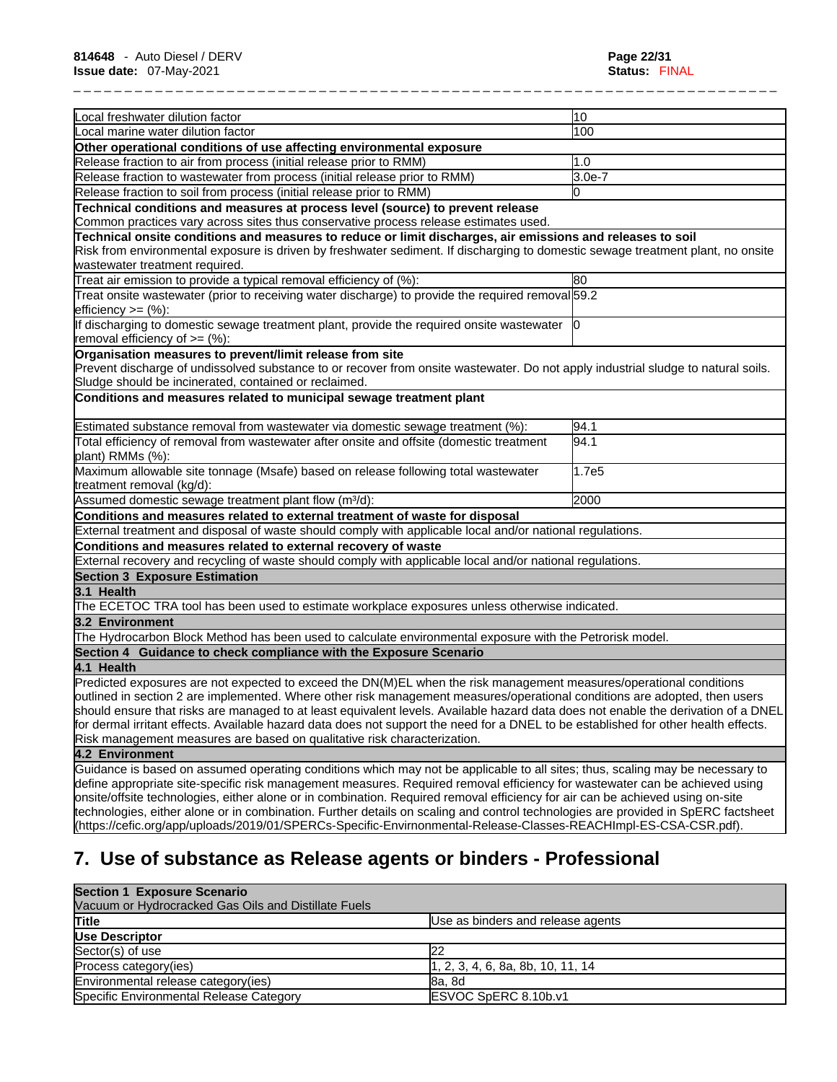| Local freshwater dilution factor                                                                                                                                                                                                                                                                                              | 10       |
|-------------------------------------------------------------------------------------------------------------------------------------------------------------------------------------------------------------------------------------------------------------------------------------------------------------------------------|----------|
| Local marine water dilution factor                                                                                                                                                                                                                                                                                            | 100      |
| Other operational conditions of use affecting environmental exposure                                                                                                                                                                                                                                                          |          |
| Release fraction to air from process (initial release prior to RMM)                                                                                                                                                                                                                                                           | 1.0      |
| Release fraction to wastewater from process (initial release prior to RMM)                                                                                                                                                                                                                                                    | $3.0e-7$ |
| Release fraction to soil from process (initial release prior to RMM)                                                                                                                                                                                                                                                          | l0       |
| Technical conditions and measures at process level (source) to prevent release                                                                                                                                                                                                                                                |          |
| Common practices vary across sites thus conservative process release estimates used.                                                                                                                                                                                                                                          |          |
| Technical onsite conditions and measures to reduce or limit discharges, air emissions and releases to soil<br>Risk from environmental exposure is driven by freshwater sediment. If discharging to domestic sewage treatment plant, no onsite<br>wastewater treatment required.                                               |          |
| Treat air emission to provide a typical removal efficiency of (%):                                                                                                                                                                                                                                                            | 80       |
| Treat onsite wastewater (prior to receiving water discharge) to provide the required removal 59.2<br>efficiency $>=$ $(\%)$ :                                                                                                                                                                                                 |          |
| If discharging to domestic sewage treatment plant, provide the required onsite wastewater  0<br>removal efficiency of $=$ (%):                                                                                                                                                                                                |          |
| Organisation measures to prevent/limit release from site<br>Prevent discharge of undissolved substance to or recover from onsite wastewater. Do not apply industrial sludge to natural soils.<br>Sludge should be incinerated, contained or reclaimed.<br>Conditions and measures related to municipal sewage treatment plant |          |
|                                                                                                                                                                                                                                                                                                                               |          |
| Estimated substance removal from wastewater via domestic sewage treatment (%):                                                                                                                                                                                                                                                | 94.1     |
| Total efficiency of removal from wastewater after onsite and offsite (domestic treatment<br>plant) RMMs (%):                                                                                                                                                                                                                  | 94.1     |
| Maximum allowable site tonnage (Msafe) based on release following total wastewater<br>treatment removal (kg/d):                                                                                                                                                                                                               | 1.7e5    |
| Assumed domestic sewage treatment plant flow (m <sup>3</sup> /d):                                                                                                                                                                                                                                                             | 2000     |
| Conditions and measures related to external treatment of waste for disposal                                                                                                                                                                                                                                                   |          |
| External treatment and disposal of waste should comply with applicable local and/or national regulations.                                                                                                                                                                                                                     |          |
| Conditions and measures related to external recovery of waste                                                                                                                                                                                                                                                                 |          |
| External recovery and recycling of waste should comply with applicable local and/or national regulations.                                                                                                                                                                                                                     |          |
| <b>Section 3 Exposure Estimation</b>                                                                                                                                                                                                                                                                                          |          |
| 3.1 Health                                                                                                                                                                                                                                                                                                                    |          |
| The ECETOC TRA tool has been used to estimate workplace exposures unless otherwise indicated.                                                                                                                                                                                                                                 |          |
| 3.2 Environment                                                                                                                                                                                                                                                                                                               |          |
| The Hydrocarbon Block Method has been used to calculate environmental exposure with the Petrorisk model.                                                                                                                                                                                                                      |          |
| Section 4 Guidance to check compliance with the Exposure Scenario                                                                                                                                                                                                                                                             |          |
| 4.1 Health                                                                                                                                                                                                                                                                                                                    |          |
| Predicted exposures are not expected to exceed the DN(M)EL when the risk management measures/operational conditions                                                                                                                                                                                                           |          |
| outlined in section 2 are implemented. Where other risk management measures/operational conditions are adopted, then users                                                                                                                                                                                                    |          |
| should ensure that risks are managed to at least equivalent levels. Available hazard data does not enable the derivation of a DNEL                                                                                                                                                                                            |          |
| for dermal irritant effects. Available hazard data does not support the need for a DNEL to be established for other health effects.                                                                                                                                                                                           |          |
| Risk management measures are based on qualitative risk characterization.                                                                                                                                                                                                                                                      |          |
| 4.2 Environment                                                                                                                                                                                                                                                                                                               |          |
| Guidance is based on assumed operating conditions which may not be applicable to all sites; thus, scaling may be necessary to                                                                                                                                                                                                 |          |
| define appropriate site-specific risk management measures. Required removal efficiency for wastewater can be achieved using<br>onsite/offsite technologies, either alone or in combination. Required removal efficiency for air can be achieved using on-site                                                                 |          |

technologies, either alone or in combination. Further details on scaling and control technologies are provided in SpERC factsheet (https://cefic.org/app/uploads/2019/01/SPERCs-Specific-Envirnonmental-Release-Classes-REACHImpl-ES-CSA-CSR.pdf).

# **7. Use of substance as Release agents or binders - Professional**

| <b>Section 1 Exposure Scenario</b>                   |                                                 |
|------------------------------------------------------|-------------------------------------------------|
| Vacuum or Hydrocracked Gas Oils and Distillate Fuels |                                                 |
| <b>Title</b>                                         | Use as binders and release agents               |
| Use Descriptor                                       |                                                 |
| Sector(s) of use                                     | 22                                              |
| Process category(ies)                                | $\vert 1, 2, 3, 4, 6, 8a, 8b, 10, 11, 14 \vert$ |
| Environmental release category(ies)                  | 8a. 8d                                          |
| Specific Environmental Release Category              | ESVOC SpERC 8.10b.v1                            |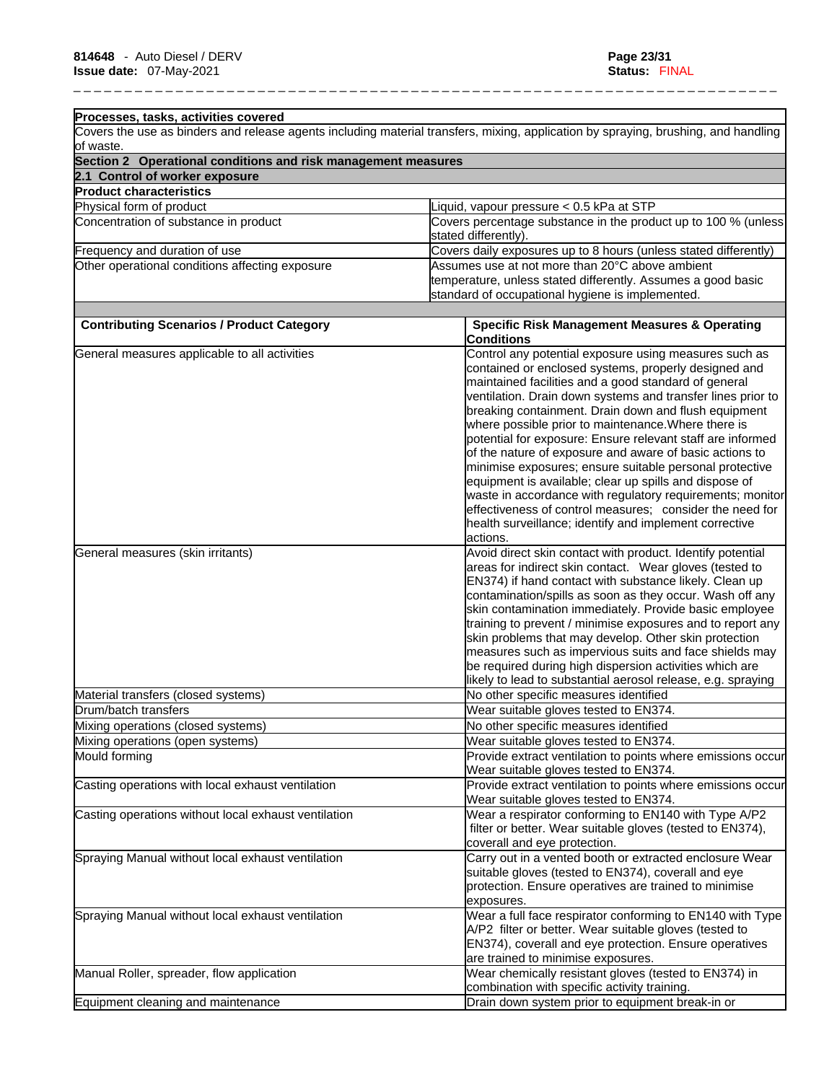| Processes, tasks, activities covered                          |                                                                                                                                    |
|---------------------------------------------------------------|------------------------------------------------------------------------------------------------------------------------------------|
|                                                               | Covers the use as binders and release agents including material transfers, mixing, application by spraying, brushing, and handling |
| of waste.                                                     |                                                                                                                                    |
| Section 2 Operational conditions and risk management measures |                                                                                                                                    |
| 2.1 Control of worker exposure                                |                                                                                                                                    |
| <b>Product characteristics</b><br>Physical form of product    | Liquid, vapour pressure < 0.5 kPa at STP                                                                                           |
| Concentration of substance in product                         | Covers percentage substance in the product up to 100 % (unless                                                                     |
|                                                               | stated differently).                                                                                                               |
| Frequency and duration of use                                 | Covers daily exposures up to 8 hours (unless stated differently)                                                                   |
| Other operational conditions affecting exposure               | Assumes use at not more than 20°C above ambient                                                                                    |
|                                                               | temperature, unless stated differently. Assumes a good basic                                                                       |
|                                                               | standard of occupational hygiene is implemented.                                                                                   |
|                                                               |                                                                                                                                    |
| <b>Contributing Scenarios / Product Category</b>              | <b>Specific Risk Management Measures &amp; Operating</b>                                                                           |
|                                                               | <b>Conditions</b>                                                                                                                  |
| General measures applicable to all activities                 | Control any potential exposure using measures such as                                                                              |
|                                                               | contained or enclosed systems, properly designed and                                                                               |
|                                                               | maintained facilities and a good standard of general                                                                               |
|                                                               | ventilation. Drain down systems and transfer lines prior to                                                                        |
|                                                               | breaking containment. Drain down and flush equipment                                                                               |
|                                                               | where possible prior to maintenance. Where there is                                                                                |
|                                                               | potential for exposure: Ensure relevant staff are informed                                                                         |
|                                                               | of the nature of exposure and aware of basic actions to                                                                            |
|                                                               | minimise exposures; ensure suitable personal protective                                                                            |
|                                                               | equipment is available; clear up spills and dispose of                                                                             |
|                                                               | waste in accordance with regulatory requirements; monitor                                                                          |
|                                                               | effectiveness of control measures; consider the need for                                                                           |
|                                                               | health surveillance; identify and implement corrective                                                                             |
|                                                               | actions.                                                                                                                           |
| General measures (skin irritants)                             | Avoid direct skin contact with product. Identify potential                                                                         |
|                                                               | areas for indirect skin contact. Wear gloves (tested to                                                                            |
|                                                               | EN374) if hand contact with substance likely. Clean up                                                                             |
|                                                               | contamination/spills as soon as they occur. Wash off any                                                                           |
|                                                               | skin contamination immediately. Provide basic employee                                                                             |
|                                                               | training to prevent / minimise exposures and to report any                                                                         |
|                                                               | skin problems that may develop. Other skin protection                                                                              |
|                                                               |                                                                                                                                    |
|                                                               | measures such as impervious suits and face shields may                                                                             |
|                                                               | be required during high dispersion activities which are                                                                            |
|                                                               | likely to lead to substantial aerosol release, e.g. spraying                                                                       |
| Material transfers (closed systems)                           | No other specific measures identified                                                                                              |
| Drum/batch transfers                                          | Wear suitable gloves tested to EN374.                                                                                              |
| Mixing operations (closed systems)                            | No other specific measures identified                                                                                              |
| Mixing operations (open systems)                              | Wear suitable gloves tested to EN374.                                                                                              |
| Mould forming                                                 | Provide extract ventilation to points where emissions occur                                                                        |
|                                                               | Wear suitable gloves tested to EN374.                                                                                              |
| Casting operations with local exhaust ventilation             | Provide extract ventilation to points where emissions occur                                                                        |
|                                                               | Wear suitable gloves tested to EN374.                                                                                              |
| Casting operations without local exhaust ventilation          | Wear a respirator conforming to EN140 with Type A/P2                                                                               |
|                                                               | filter or better. Wear suitable gloves (tested to EN374),                                                                          |
|                                                               | coverall and eye protection.                                                                                                       |
| Spraying Manual without local exhaust ventilation             | Carry out in a vented booth or extracted enclosure Wear                                                                            |
|                                                               | suitable gloves (tested to EN374), coverall and eye                                                                                |
|                                                               | protection. Ensure operatives are trained to minimise                                                                              |
|                                                               | exposures.                                                                                                                         |
| Spraying Manual without local exhaust ventilation             | Wear a full face respirator conforming to EN140 with Type                                                                          |
|                                                               | A/P2 filter or better. Wear suitable gloves (tested to                                                                             |
|                                                               | EN374), coverall and eye protection. Ensure operatives                                                                             |
|                                                               | are trained to minimise exposures.                                                                                                 |
| Manual Roller, spreader, flow application                     | Wear chemically resistant gloves (tested to EN374) in                                                                              |
|                                                               | combination with specific activity training.                                                                                       |
| Equipment cleaning and maintenance                            | Drain down system prior to equipment break-in or                                                                                   |
|                                                               |                                                                                                                                    |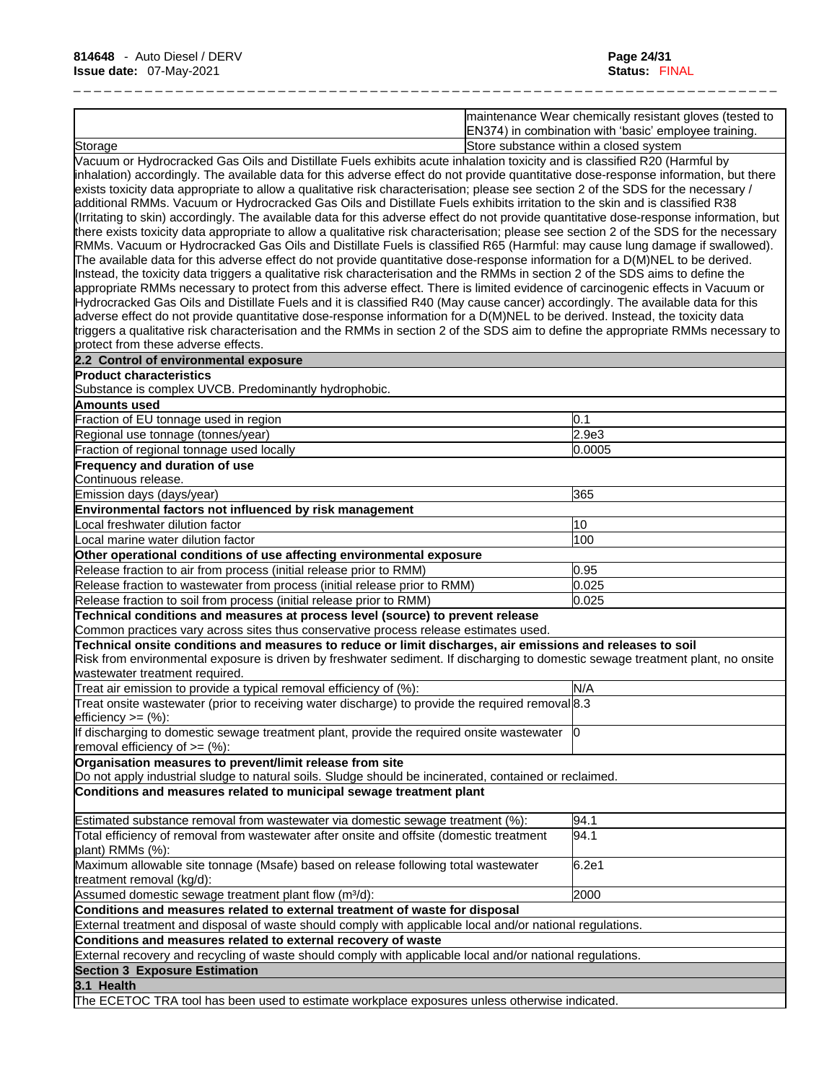|                                                                                                                                                                                                                                                                                                                                                                                                                                                                                                                                                                                                                                                                                                                                                                                                                                                                                                                                                                                                                                                                                                                                                                                                                                                                                                                                                                                                                                                                                                     | maintenance Wear chemically resistant gloves (tested to<br>EN374) in combination with 'basic' employee training. |
|-----------------------------------------------------------------------------------------------------------------------------------------------------------------------------------------------------------------------------------------------------------------------------------------------------------------------------------------------------------------------------------------------------------------------------------------------------------------------------------------------------------------------------------------------------------------------------------------------------------------------------------------------------------------------------------------------------------------------------------------------------------------------------------------------------------------------------------------------------------------------------------------------------------------------------------------------------------------------------------------------------------------------------------------------------------------------------------------------------------------------------------------------------------------------------------------------------------------------------------------------------------------------------------------------------------------------------------------------------------------------------------------------------------------------------------------------------------------------------------------------------|------------------------------------------------------------------------------------------------------------------|
| Storage                                                                                                                                                                                                                                                                                                                                                                                                                                                                                                                                                                                                                                                                                                                                                                                                                                                                                                                                                                                                                                                                                                                                                                                                                                                                                                                                                                                                                                                                                             | Store substance within a closed system                                                                           |
| Vacuum or Hydrocracked Gas Oils and Distillate Fuels exhibits acute inhalation toxicity and is classified R20 (Harmful by<br>inhalation) accordingly. The available data for this adverse effect do not provide quantitative dose-response information, but there<br>exists toxicity data appropriate to allow a qualitative risk characterisation; please see section 2 of the SDS for the necessary /<br>additional RMMs. Vacuum or Hydrocracked Gas Oils and Distillate Fuels exhibits irritation to the skin and is classified R38<br>(Irritating to skin) accordingly. The available data for this adverse effect do not provide quantitative dose-response information, but<br>there exists toxicity data appropriate to allow a qualitative risk characterisation; please see section 2 of the SDS for the necessary<br>RMMs. Vacuum or Hydrocracked Gas Oils and Distillate Fuels is classified R65 (Harmful: may cause lung damage if swallowed).<br>The available data for this adverse effect do not provide quantitative dose-response information for a D(M)NEL to be derived.<br>Instead, the toxicity data triggers a qualitative risk characterisation and the RMMs in section 2 of the SDS aims to define the<br>appropriate RMMs necessary to protect from this adverse effect. There is limited evidence of carcinogenic effects in Vacuum or<br>Hydrocracked Gas Oils and Distillate Fuels and it is classified R40 (May cause cancer) accordingly. The available data for this |                                                                                                                  |
| adverse effect do not provide quantitative dose-response information for a D(M)NEL to be derived. Instead, the toxicity data<br>triggers a qualitative risk characterisation and the RMMs in section 2 of the SDS aim to define the appropriate RMMs necessary to<br>brotect from these adverse effects.                                                                                                                                                                                                                                                                                                                                                                                                                                                                                                                                                                                                                                                                                                                                                                                                                                                                                                                                                                                                                                                                                                                                                                                            |                                                                                                                  |
| 2.2 Control of environmental exposure                                                                                                                                                                                                                                                                                                                                                                                                                                                                                                                                                                                                                                                                                                                                                                                                                                                                                                                                                                                                                                                                                                                                                                                                                                                                                                                                                                                                                                                               |                                                                                                                  |
| <b>Product characteristics</b>                                                                                                                                                                                                                                                                                                                                                                                                                                                                                                                                                                                                                                                                                                                                                                                                                                                                                                                                                                                                                                                                                                                                                                                                                                                                                                                                                                                                                                                                      |                                                                                                                  |
| Substance is complex UVCB. Predominantly hydrophobic.                                                                                                                                                                                                                                                                                                                                                                                                                                                                                                                                                                                                                                                                                                                                                                                                                                                                                                                                                                                                                                                                                                                                                                                                                                                                                                                                                                                                                                               |                                                                                                                  |
| Amounts used                                                                                                                                                                                                                                                                                                                                                                                                                                                                                                                                                                                                                                                                                                                                                                                                                                                                                                                                                                                                                                                                                                                                                                                                                                                                                                                                                                                                                                                                                        |                                                                                                                  |
| Fraction of EU tonnage used in region                                                                                                                                                                                                                                                                                                                                                                                                                                                                                                                                                                                                                                                                                                                                                                                                                                                                                                                                                                                                                                                                                                                                                                                                                                                                                                                                                                                                                                                               | 0.1                                                                                                              |
| Regional use tonnage (tonnes/year)                                                                                                                                                                                                                                                                                                                                                                                                                                                                                                                                                                                                                                                                                                                                                                                                                                                                                                                                                                                                                                                                                                                                                                                                                                                                                                                                                                                                                                                                  | 2.9e3                                                                                                            |
| Fraction of regional tonnage used locally                                                                                                                                                                                                                                                                                                                                                                                                                                                                                                                                                                                                                                                                                                                                                                                                                                                                                                                                                                                                                                                                                                                                                                                                                                                                                                                                                                                                                                                           | 0.0005                                                                                                           |
| Frequency and duration of use                                                                                                                                                                                                                                                                                                                                                                                                                                                                                                                                                                                                                                                                                                                                                                                                                                                                                                                                                                                                                                                                                                                                                                                                                                                                                                                                                                                                                                                                       |                                                                                                                  |
| Continuous release.<br>Emission days (days/year)                                                                                                                                                                                                                                                                                                                                                                                                                                                                                                                                                                                                                                                                                                                                                                                                                                                                                                                                                                                                                                                                                                                                                                                                                                                                                                                                                                                                                                                    | 365                                                                                                              |
| Environmental factors not influenced by risk management                                                                                                                                                                                                                                                                                                                                                                                                                                                                                                                                                                                                                                                                                                                                                                                                                                                                                                                                                                                                                                                                                                                                                                                                                                                                                                                                                                                                                                             |                                                                                                                  |
| Local freshwater dilution factor                                                                                                                                                                                                                                                                                                                                                                                                                                                                                                                                                                                                                                                                                                                                                                                                                                                                                                                                                                                                                                                                                                                                                                                                                                                                                                                                                                                                                                                                    | 10                                                                                                               |
| Local marine water dilution factor                                                                                                                                                                                                                                                                                                                                                                                                                                                                                                                                                                                                                                                                                                                                                                                                                                                                                                                                                                                                                                                                                                                                                                                                                                                                                                                                                                                                                                                                  | 100                                                                                                              |
| Other operational conditions of use affecting environmental exposure                                                                                                                                                                                                                                                                                                                                                                                                                                                                                                                                                                                                                                                                                                                                                                                                                                                                                                                                                                                                                                                                                                                                                                                                                                                                                                                                                                                                                                |                                                                                                                  |
| Release fraction to air from process (initial release prior to RMM)                                                                                                                                                                                                                                                                                                                                                                                                                                                                                                                                                                                                                                                                                                                                                                                                                                                                                                                                                                                                                                                                                                                                                                                                                                                                                                                                                                                                                                 | 0.95                                                                                                             |
| Release fraction to wastewater from process (initial release prior to RMM)                                                                                                                                                                                                                                                                                                                                                                                                                                                                                                                                                                                                                                                                                                                                                                                                                                                                                                                                                                                                                                                                                                                                                                                                                                                                                                                                                                                                                          | 0.025                                                                                                            |
| Release fraction to soil from process (initial release prior to RMM)                                                                                                                                                                                                                                                                                                                                                                                                                                                                                                                                                                                                                                                                                                                                                                                                                                                                                                                                                                                                                                                                                                                                                                                                                                                                                                                                                                                                                                | 0.025                                                                                                            |
| Technical conditions and measures at process level (source) to prevent release                                                                                                                                                                                                                                                                                                                                                                                                                                                                                                                                                                                                                                                                                                                                                                                                                                                                                                                                                                                                                                                                                                                                                                                                                                                                                                                                                                                                                      |                                                                                                                  |
| Common practices vary across sites thus conservative process release estimates used.                                                                                                                                                                                                                                                                                                                                                                                                                                                                                                                                                                                                                                                                                                                                                                                                                                                                                                                                                                                                                                                                                                                                                                                                                                                                                                                                                                                                                |                                                                                                                  |
| Technical onsite conditions and measures to reduce or limit discharges, air emissions and releases to soil                                                                                                                                                                                                                                                                                                                                                                                                                                                                                                                                                                                                                                                                                                                                                                                                                                                                                                                                                                                                                                                                                                                                                                                                                                                                                                                                                                                          |                                                                                                                  |
| Risk from environmental exposure is driven by freshwater sediment. If discharging to domestic sewage treatment plant, no onsite                                                                                                                                                                                                                                                                                                                                                                                                                                                                                                                                                                                                                                                                                                                                                                                                                                                                                                                                                                                                                                                                                                                                                                                                                                                                                                                                                                     |                                                                                                                  |
| wastewater treatment required.                                                                                                                                                                                                                                                                                                                                                                                                                                                                                                                                                                                                                                                                                                                                                                                                                                                                                                                                                                                                                                                                                                                                                                                                                                                                                                                                                                                                                                                                      |                                                                                                                  |
| Treat air emission to provide a typical removal efficiency of (%):<br>Treat onsite wastewater (prior to receiving water discharge) to provide the required removal 8.3                                                                                                                                                                                                                                                                                                                                                                                                                                                                                                                                                                                                                                                                                                                                                                                                                                                                                                                                                                                                                                                                                                                                                                                                                                                                                                                              | N/A                                                                                                              |
| efficiency $>=$ $(\%)$ :                                                                                                                                                                                                                                                                                                                                                                                                                                                                                                                                                                                                                                                                                                                                                                                                                                                                                                                                                                                                                                                                                                                                                                                                                                                                                                                                                                                                                                                                            |                                                                                                                  |
| If discharging to domestic sewage treatment plant, provide the required onsite wastewater [0]                                                                                                                                                                                                                                                                                                                                                                                                                                                                                                                                                                                                                                                                                                                                                                                                                                                                                                                                                                                                                                                                                                                                                                                                                                                                                                                                                                                                       |                                                                                                                  |
| removal efficiency of $>=$ (%):                                                                                                                                                                                                                                                                                                                                                                                                                                                                                                                                                                                                                                                                                                                                                                                                                                                                                                                                                                                                                                                                                                                                                                                                                                                                                                                                                                                                                                                                     |                                                                                                                  |
| Organisation measures to prevent/limit release from site                                                                                                                                                                                                                                                                                                                                                                                                                                                                                                                                                                                                                                                                                                                                                                                                                                                                                                                                                                                                                                                                                                                                                                                                                                                                                                                                                                                                                                            |                                                                                                                  |
| Do not apply industrial sludge to natural soils. Sludge should be incinerated, contained or reclaimed.                                                                                                                                                                                                                                                                                                                                                                                                                                                                                                                                                                                                                                                                                                                                                                                                                                                                                                                                                                                                                                                                                                                                                                                                                                                                                                                                                                                              |                                                                                                                  |
| Conditions and measures related to municipal sewage treatment plant                                                                                                                                                                                                                                                                                                                                                                                                                                                                                                                                                                                                                                                                                                                                                                                                                                                                                                                                                                                                                                                                                                                                                                                                                                                                                                                                                                                                                                 |                                                                                                                  |
| Estimated substance removal from wastewater via domestic sewage treatment (%):                                                                                                                                                                                                                                                                                                                                                                                                                                                                                                                                                                                                                                                                                                                                                                                                                                                                                                                                                                                                                                                                                                                                                                                                                                                                                                                                                                                                                      | 94.1                                                                                                             |
| Total efficiency of removal from wastewater after onsite and offsite (domestic treatment                                                                                                                                                                                                                                                                                                                                                                                                                                                                                                                                                                                                                                                                                                                                                                                                                                                                                                                                                                                                                                                                                                                                                                                                                                                                                                                                                                                                            | 94.1                                                                                                             |
| plant) RMMs (%):                                                                                                                                                                                                                                                                                                                                                                                                                                                                                                                                                                                                                                                                                                                                                                                                                                                                                                                                                                                                                                                                                                                                                                                                                                                                                                                                                                                                                                                                                    |                                                                                                                  |
| Maximum allowable site tonnage (Msafe) based on release following total wastewater                                                                                                                                                                                                                                                                                                                                                                                                                                                                                                                                                                                                                                                                                                                                                                                                                                                                                                                                                                                                                                                                                                                                                                                                                                                                                                                                                                                                                  | 6.2e1                                                                                                            |
| treatment removal (kg/d):                                                                                                                                                                                                                                                                                                                                                                                                                                                                                                                                                                                                                                                                                                                                                                                                                                                                                                                                                                                                                                                                                                                                                                                                                                                                                                                                                                                                                                                                           |                                                                                                                  |
| Assumed domestic sewage treatment plant flow (m <sup>3</sup> /d):                                                                                                                                                                                                                                                                                                                                                                                                                                                                                                                                                                                                                                                                                                                                                                                                                                                                                                                                                                                                                                                                                                                                                                                                                                                                                                                                                                                                                                   | 2000                                                                                                             |
| Conditions and measures related to external treatment of waste for disposal                                                                                                                                                                                                                                                                                                                                                                                                                                                                                                                                                                                                                                                                                                                                                                                                                                                                                                                                                                                                                                                                                                                                                                                                                                                                                                                                                                                                                         |                                                                                                                  |
| External treatment and disposal of waste should comply with applicable local and/or national regulations.                                                                                                                                                                                                                                                                                                                                                                                                                                                                                                                                                                                                                                                                                                                                                                                                                                                                                                                                                                                                                                                                                                                                                                                                                                                                                                                                                                                           |                                                                                                                  |
| Conditions and measures related to external recovery of waste                                                                                                                                                                                                                                                                                                                                                                                                                                                                                                                                                                                                                                                                                                                                                                                                                                                                                                                                                                                                                                                                                                                                                                                                                                                                                                                                                                                                                                       |                                                                                                                  |
| External recovery and recycling of waste should comply with applicable local and/or national regulations.                                                                                                                                                                                                                                                                                                                                                                                                                                                                                                                                                                                                                                                                                                                                                                                                                                                                                                                                                                                                                                                                                                                                                                                                                                                                                                                                                                                           |                                                                                                                  |
| <b>Section 3 Exposure Estimation</b>                                                                                                                                                                                                                                                                                                                                                                                                                                                                                                                                                                                                                                                                                                                                                                                                                                                                                                                                                                                                                                                                                                                                                                                                                                                                                                                                                                                                                                                                |                                                                                                                  |
| 3.1 Health                                                                                                                                                                                                                                                                                                                                                                                                                                                                                                                                                                                                                                                                                                                                                                                                                                                                                                                                                                                                                                                                                                                                                                                                                                                                                                                                                                                                                                                                                          |                                                                                                                  |
| The ECETOC TRA tool has been used to estimate workplace exposures unless otherwise indicated.                                                                                                                                                                                                                                                                                                                                                                                                                                                                                                                                                                                                                                                                                                                                                                                                                                                                                                                                                                                                                                                                                                                                                                                                                                                                                                                                                                                                       |                                                                                                                  |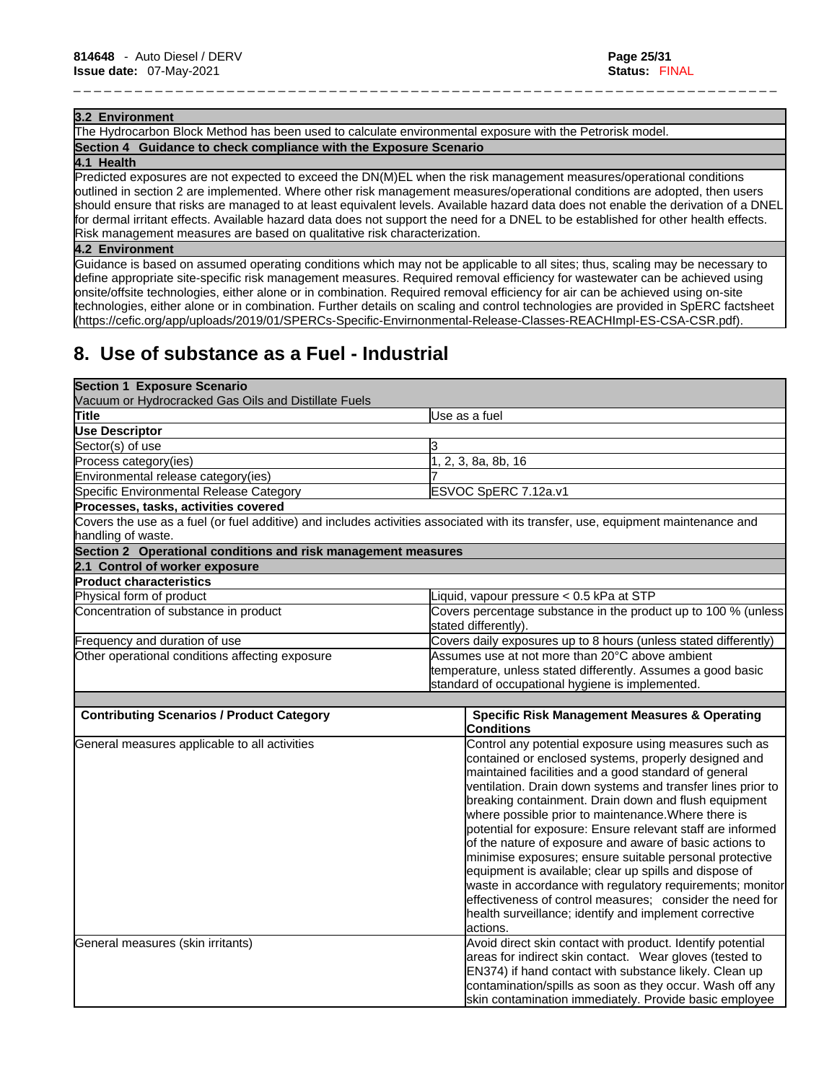#### **3.2 Environment**

The Hydrocarbon Block Method has been used to calculate environmental exposure with the Petrorisk model. **Section 4 Guidance to check compliance with the Exposure Scenario**

#### **4.1 Health**

Predicted exposures are not expected to exceed the DN(M)EL when the risk management measures/operational conditions outlined in section 2 are implemented. Where other risk management measures/operational conditions are adopted, then users should ensure that risks are managed to at least equivalent levels. Available hazard data does not enable the derivation of a DNEL for dermal irritant effects. Available hazard data does not support the need for a DNEL to be established for other health effects. Risk management measures are based on qualitative risk characterization.

\_ \_ \_ \_ \_ \_ \_ \_ \_ \_ \_ \_ \_ \_ \_ \_ \_ \_ \_ \_ \_ \_ \_ \_ \_ \_ \_ \_ \_ \_ \_ \_ \_ \_ \_ \_ \_ \_ \_ \_ \_ \_ \_ \_ \_ \_ \_ \_ \_ \_ \_ \_ \_ \_ \_ \_ \_ \_ \_ \_ \_ \_ \_ \_ \_ \_ \_ \_ \_

#### **4.2 Environment**

Guidance is based on assumed operating conditions which may not be applicable to all sites; thus, scaling may be necessary to define appropriate site-specific risk management measures. Required removal efficiency for wastewater can be achieved using onsite/offsite technologies, either alone or in combination. Required removal efficiency for air can be achieved using on-site technologies, either alone or in combination. Further details on scaling and control technologies are provided in SpERC factsheet (https://cefic.org/app/uploads/2019/01/SPERCs-Specific-Envirnonmental-Release-Classes-REACHImpl-ES-CSA-CSR.pdf).

# **8. Use of substance as a Fuel - Industrial**

| <b>Section 1 Exposure Scenario</b>                            |                                                                                                                                  |  |
|---------------------------------------------------------------|----------------------------------------------------------------------------------------------------------------------------------|--|
| Vacuum or Hydrocracked Gas Oils and Distillate Fuels          |                                                                                                                                  |  |
| Title                                                         | Use as a fuel                                                                                                                    |  |
| <b>Use Descriptor</b>                                         |                                                                                                                                  |  |
| Sector(s) of use                                              |                                                                                                                                  |  |
| Process category(ies)                                         | 1, 2, 3, 8a, 8b, 16                                                                                                              |  |
| Environmental release category(ies)                           |                                                                                                                                  |  |
| Specific Environmental Release Category                       | ESVOC SpERC 7.12a.v1                                                                                                             |  |
| Processes, tasks, activities covered                          |                                                                                                                                  |  |
| handling of waste.                                            | Covers the use as a fuel (or fuel additive) and includes activities associated with its transfer, use, equipment maintenance and |  |
| Section 2 Operational conditions and risk management measures |                                                                                                                                  |  |
| 2.1 Control of worker exposure                                |                                                                                                                                  |  |
| <b>Product characteristics</b>                                |                                                                                                                                  |  |
| Physical form of product                                      | Liquid, vapour pressure < 0.5 kPa at STP                                                                                         |  |
| Concentration of substance in product                         | Covers percentage substance in the product up to 100 % (unless                                                                   |  |
|                                                               | stated differently).                                                                                                             |  |
| Frequency and duration of use                                 | Covers daily exposures up to 8 hours (unless stated differently)                                                                 |  |
| Other operational conditions affecting exposure               | Assumes use at not more than 20°C above ambient                                                                                  |  |
|                                                               | temperature, unless stated differently. Assumes a good basic                                                                     |  |
|                                                               | standard of occupational hygiene is implemented.                                                                                 |  |
|                                                               |                                                                                                                                  |  |
| <b>Contributing Scenarios / Product Category</b>              | <b>Specific Risk Management Measures &amp; Operating</b>                                                                         |  |
|                                                               | <b>Conditions</b>                                                                                                                |  |
| General measures applicable to all activities                 | Control any potential exposure using measures such as                                                                            |  |
|                                                               | contained or enclosed systems, properly designed and                                                                             |  |
|                                                               | maintained facilities and a good standard of general                                                                             |  |
|                                                               | ventilation. Drain down systems and transfer lines prior to                                                                      |  |
|                                                               | breaking containment. Drain down and flush equipment                                                                             |  |
|                                                               | where possible prior to maintenance. Where there is                                                                              |  |
|                                                               | potential for exposure: Ensure relevant staff are informed                                                                       |  |
|                                                               | of the nature of exposure and aware of basic actions to                                                                          |  |
|                                                               | minimise exposures; ensure suitable personal protective                                                                          |  |
|                                                               | equipment is available; clear up spills and dispose of                                                                           |  |
|                                                               | waste in accordance with regulatory requirements; monitor                                                                        |  |
|                                                               | effectiveness of control measures; consider the need for                                                                         |  |
|                                                               | health surveillance; identify and implement corrective                                                                           |  |
|                                                               | actions.                                                                                                                         |  |
| General measures (skin irritants)                             | Avoid direct skin contact with product. Identify potential                                                                       |  |
|                                                               | areas for indirect skin contact. Wear gloves (tested to                                                                          |  |
|                                                               | EN374) if hand contact with substance likely. Clean up                                                                           |  |
|                                                               | contamination/spills as soon as they occur. Wash off any                                                                         |  |
|                                                               | skin contamination immediately. Provide basic employee                                                                           |  |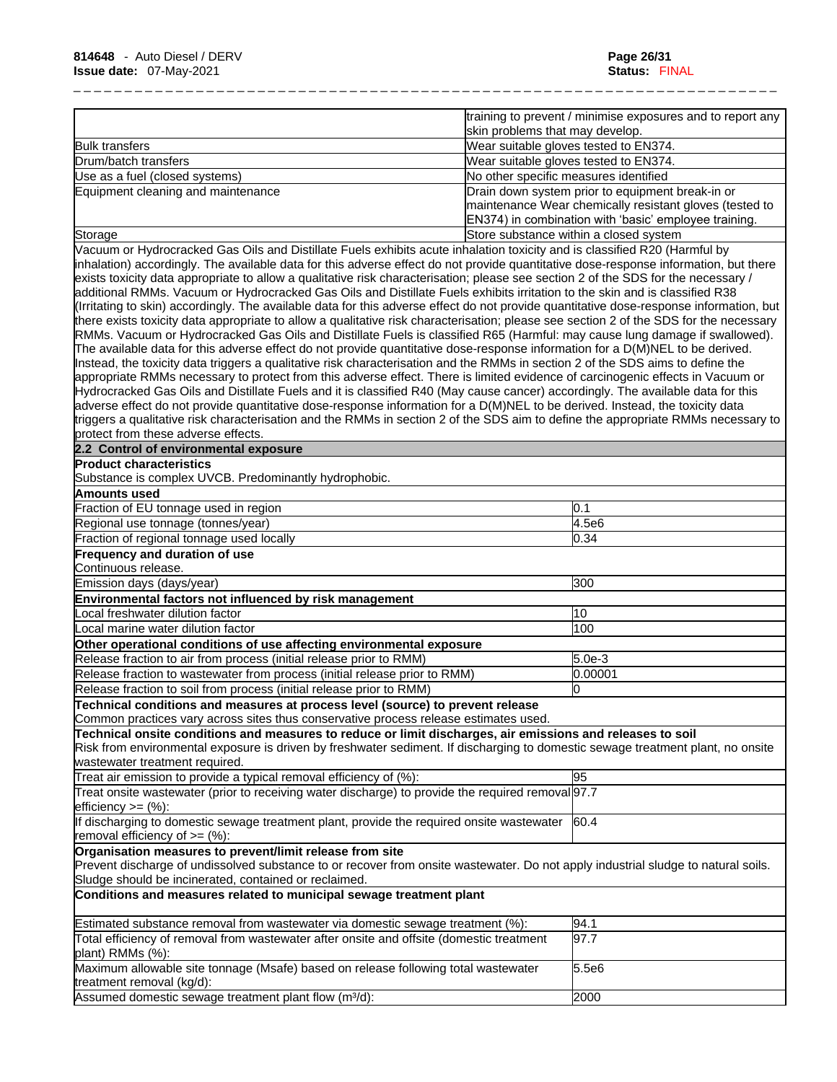|                                    | training to prevent / minimise exposures and to report any<br>skin problems that may develop.                                                                        |
|------------------------------------|----------------------------------------------------------------------------------------------------------------------------------------------------------------------|
| <b>Bulk transfers</b>              | Wear suitable gloves tested to EN374.                                                                                                                                |
| Drum/batch transfers               | Wear suitable gloves tested to EN374.                                                                                                                                |
| Use as a fuel (closed systems)     | No other specific measures identified                                                                                                                                |
| Equipment cleaning and maintenance | Drain down system prior to equipment break-in or<br>maintenance Wear chemically resistant gloves (tested to<br>EN374) in combination with 'basic' employee training. |
| Storage                            | Store substance within a closed system                                                                                                                               |

Vacuum or Hydrocracked Gas Oils and Distillate Fuels exhibits acute inhalation toxicity and isclassified R20 (Harmful by inhalation) accordingly. The available data for this adverse effect do not provide quantitative dose-response information, but there exists toxicity data appropriate to allow a qualitative risk characterisation; please see section 2 of the SDS for the necessary / additional RMMs. Vacuum or Hydrocracked Gas Oils and Distillate Fuels exhibits irritation to the skin and is classified R38 (Irritating to skin) accordingly. The available data for this adverse effect do not provide quantitative dose-response information, but there exists toxicity data appropriate to allow a qualitative risk characterisation; please see section 2 of the SDS for the necessary RMMs. Vacuum or Hydrocracked Gas Oils and Distillate Fuels is classified R65 (Harmful: may cause lung damage if swallowed). The available data for this adverse effect do not provide quantitative dose-response information for a D(M)NEL to be derived. Instead, the toxicity data triggers a qualitative risk characterisation and the RMMs in section 2 of the SDS aims to define the appropriate RMMs necessary to protect from this adverse effect. There islimited evidence of carcinogenic effects in Vacuum or Hydrocracked Gas Oils and Distillate Fuels and it is classified R40 (May cause cancer) accordingly. The available data for this adverse effect do not provide quantitative dose-response information for a D(M)NEL to be derived. Instead, the toxicity data triggers a qualitative risk characterisation and the RMMs in section 2 of the SDS aim to define the appropriate RMMs necessary to protect from these adverse effects.

#### **2.2 Control of environmental exposure**

**Product characteristics**

Substance is complex UVCB. Predominantly hydrophobic.

| Amounts used                                                                                                                      |          |
|-----------------------------------------------------------------------------------------------------------------------------------|----------|
| Fraction of EU tonnage used in region                                                                                             | 0.1      |
| Regional use tonnage (tonnes/year)                                                                                                | 4.5e6    |
| Fraction of regional tonnage used locally                                                                                         | 0.34     |
| <b>Frequency and duration of use</b>                                                                                              |          |
| Continuous release.                                                                                                               |          |
| Emission days (days/year)                                                                                                         | 300      |
| Environmental factors not influenced by risk management                                                                           |          |
| ocal freshwater dilution factor                                                                                                   | 10       |
| Local marine water dilution factor                                                                                                | 100      |
| Other operational conditions of use affecting environmental exposure                                                              |          |
| Release fraction to air from process (initial release prior to RMM)                                                               | $5.0e-3$ |
| Release fraction to wastewater from process (initial release prior to RMM)                                                        | 0.00001  |
| Release fraction to soil from process (initial release prior to RMM)                                                              | 0        |
| Technical conditions and measures at process level (source) to prevent release                                                    |          |
| Common practices vary across sites thus conservative process release estimates used.                                              |          |
| Technical onsite conditions and measures to reduce or limit discharges, air emissions and releases to soil                        |          |
| Risk from environmental exposure is driven by freshwater sediment. If discharging to domestic sewage treatment plant, no onsite   |          |
| wastewater treatment required.                                                                                                    |          |
| Treat air emission to provide a typical removal efficiency of (%):                                                                | 95       |
| Treat onsite wastewater (prior to receiving water discharge) to provide the required removal 97.7                                 |          |
| efficiency $>=$ $(\%):$                                                                                                           |          |
| If discharging to domestic sewage treatment plant, provide the required onsite wastewater                                         | 60.4     |
| removal efficiency of $>=$ (%):                                                                                                   |          |
| Organisation measures to prevent/limit release from site                                                                          |          |
| Prevent discharge of undissolved substance to or recover from onsite wastewater. Do not apply industrial sludge to natural soils. |          |
| Sludge should be incinerated, contained or reclaimed.                                                                             |          |
| Conditions and measures related to municipal sewage treatment plant                                                               |          |
| Estimated substance removal from wastewater via domestic sewage treatment (%):                                                    | 94.1     |
| Total efficiency of removal from wastewater after onsite and offsite (domestic treatment                                          | 97.7     |
| plant) RMMs (%):                                                                                                                  |          |
| Maximum allowable site tonnage (Msafe) based on release following total wastewater                                                | 5.5e6    |
| treatment removal (kg/d):                                                                                                         |          |
| Assumed domestic sewage treatment plant flow (m <sup>3</sup> /d):                                                                 | 2000     |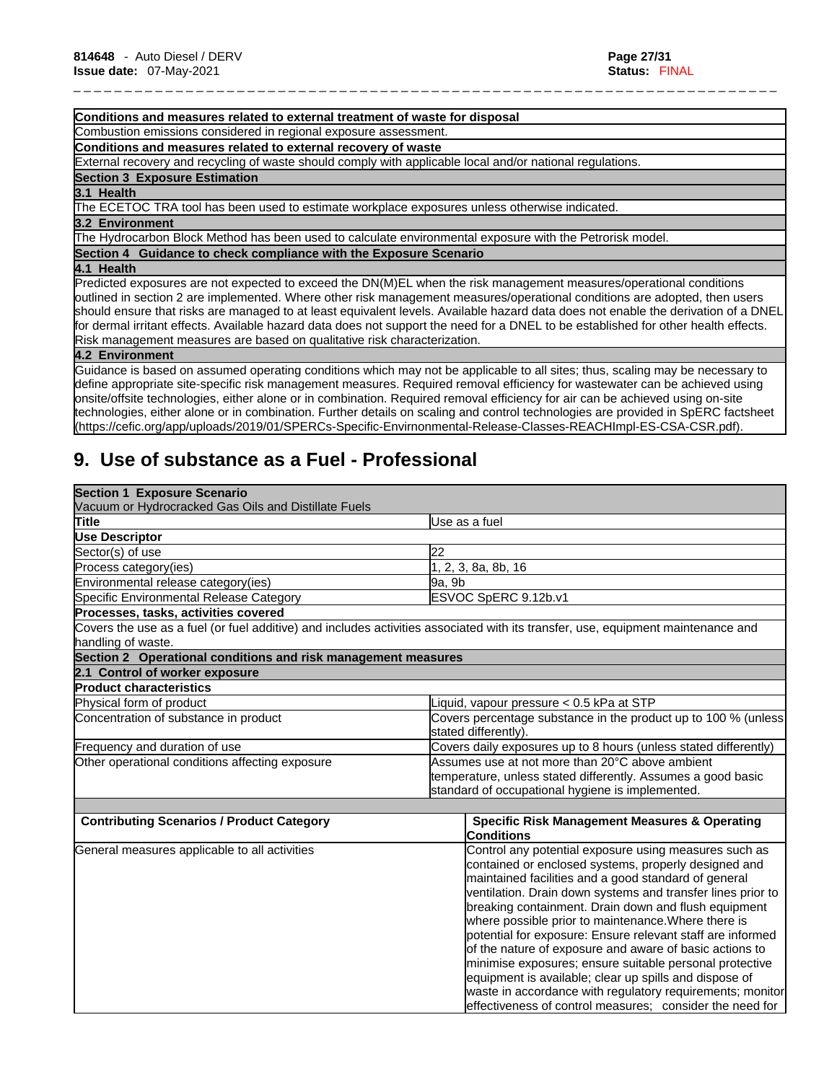#### **Conditions and measures related to external treatment of waste for disposal**

Combustion emissions considered in regional exposure assessment.

**Conditions and measures related to external recovery of waste**

External recovery and recycling of waste should comply with applicable local and/or national regulations.

#### **Section 3 Exposure Estimation**

#### **3.1 Health**

The ECETOC TRA tool has been used to estimate workplace exposures unless otherwise indicated.

#### **3.2 Environment**

The Hydrocarbon Block Method has been used to calculate environmental exposure with the Petrorisk model.

**Section 4 Guidance to check compliance with the Exposure Scenario**

**4.1 Health** 

Predicted exposures are not expected to exceed the DN(M)EL when the risk management measures/operational conditions outlined in section 2 are implemented. Where other risk management measures/operational conditions are adopted, then users should ensure that risks are managed to at least equivalent levels. Available hazard data does not enable the derivation of a DNEL for dermal irritant effects. Available hazard data does not support the need for a DNEL to be established for other health effects. Risk management measures are based on qualitative risk characterization.

\_ \_ \_ \_ \_ \_ \_ \_ \_ \_ \_ \_ \_ \_ \_ \_ \_ \_ \_ \_ \_ \_ \_ \_ \_ \_ \_ \_ \_ \_ \_ \_ \_ \_ \_ \_ \_ \_ \_ \_ \_ \_ \_ \_ \_ \_ \_ \_ \_ \_ \_ \_ \_ \_ \_ \_ \_ \_ \_ \_ \_ \_ \_ \_ \_ \_ \_ \_ \_

#### **4.2 Environment**

Guidance isbased on assumed operating conditions which may not be applicable to all sites; thus, scaling may be necessary to define appropriate site-specific risk management measures. Required removal efficiency for wastewater can be achieved using onsite/offsite technologies, either alone or in combination. Required removal efficiency for air can be achieved using on-site technologies, either alone or in combination. Further details on scaling and control technologies are provided in SpERC factsheet (https://cefic.org/app/uploads/2019/01/SPERCs-Specific-Envirnonmental-Release-Classes-REACHImpl-ES-CSA-CSR.pdf).

# **9. Use of substance as a Fuel - Professional**

| <b>Section 1 Exposure Scenario</b>                            |                                                                                                                                                                                                                                                                                                                                                                                                                   |  |
|---------------------------------------------------------------|-------------------------------------------------------------------------------------------------------------------------------------------------------------------------------------------------------------------------------------------------------------------------------------------------------------------------------------------------------------------------------------------------------------------|--|
| Vacuum or Hydrocracked Gas Oils and Distillate Fuels          |                                                                                                                                                                                                                                                                                                                                                                                                                   |  |
| Title                                                         | Use as a fuel                                                                                                                                                                                                                                                                                                                                                                                                     |  |
| <b>Use Descriptor</b>                                         |                                                                                                                                                                                                                                                                                                                                                                                                                   |  |
| Sector(s) of use                                              | <b>22</b>                                                                                                                                                                                                                                                                                                                                                                                                         |  |
| Process category(ies)                                         | 1, 2, 3, 8a, 8b, 16                                                                                                                                                                                                                                                                                                                                                                                               |  |
| Environmental release category(ies)                           | 9a, 9b                                                                                                                                                                                                                                                                                                                                                                                                            |  |
| Specific Environmental Release Category                       | ESVOC SpERC 9.12b.v1                                                                                                                                                                                                                                                                                                                                                                                              |  |
| Processes, tasks, activities covered                          |                                                                                                                                                                                                                                                                                                                                                                                                                   |  |
| handling of waste.                                            | Covers the use as a fuel (or fuel additive) and includes activities associated with its transfer, use, equipment maintenance and                                                                                                                                                                                                                                                                                  |  |
| Section 2 Operational conditions and risk management measures |                                                                                                                                                                                                                                                                                                                                                                                                                   |  |
| 2.1 Control of worker exposure                                |                                                                                                                                                                                                                                                                                                                                                                                                                   |  |
| <b>Product characteristics</b>                                |                                                                                                                                                                                                                                                                                                                                                                                                                   |  |
| Physical form of product                                      | Liquid, vapour pressure < 0.5 kPa at STP                                                                                                                                                                                                                                                                                                                                                                          |  |
| Concentration of substance in product                         | Covers percentage substance in the product up to 100 % (unless<br>stated differently).                                                                                                                                                                                                                                                                                                                            |  |
| Frequency and duration of use                                 | Covers daily exposures up to 8 hours (unless stated differently)                                                                                                                                                                                                                                                                                                                                                  |  |
| Other operational conditions affecting exposure               | Assumes use at not more than 20°C above ambient                                                                                                                                                                                                                                                                                                                                                                   |  |
|                                                               | temperature, unless stated differently. Assumes a good basic                                                                                                                                                                                                                                                                                                                                                      |  |
|                                                               | standard of occupational hygiene is implemented.                                                                                                                                                                                                                                                                                                                                                                  |  |
|                                                               |                                                                                                                                                                                                                                                                                                                                                                                                                   |  |
| <b>Contributing Scenarios / Product Category</b>              | <b>Specific Risk Management Measures &amp; Operating</b><br><b>Conditions</b>                                                                                                                                                                                                                                                                                                                                     |  |
| General measures applicable to all activities                 | Control any potential exposure using measures such as<br>contained or enclosed systems, properly designed and<br>maintained facilities and a good standard of general<br>ventilation. Drain down systems and transfer lines prior to<br>breaking containment. Drain down and flush equipment<br>where possible prior to maintenance. Where there is<br>potential for exposure: Ensure relevant staff are informed |  |
|                                                               | of the nature of exposure and aware of basic actions to<br>minimise exposures; ensure suitable personal protective<br>equipment is available; clear up spills and dispose of<br>waste in accordance with regulatory requirements; monitor<br>effectiveness of control measures: consider the need for                                                                                                             |  |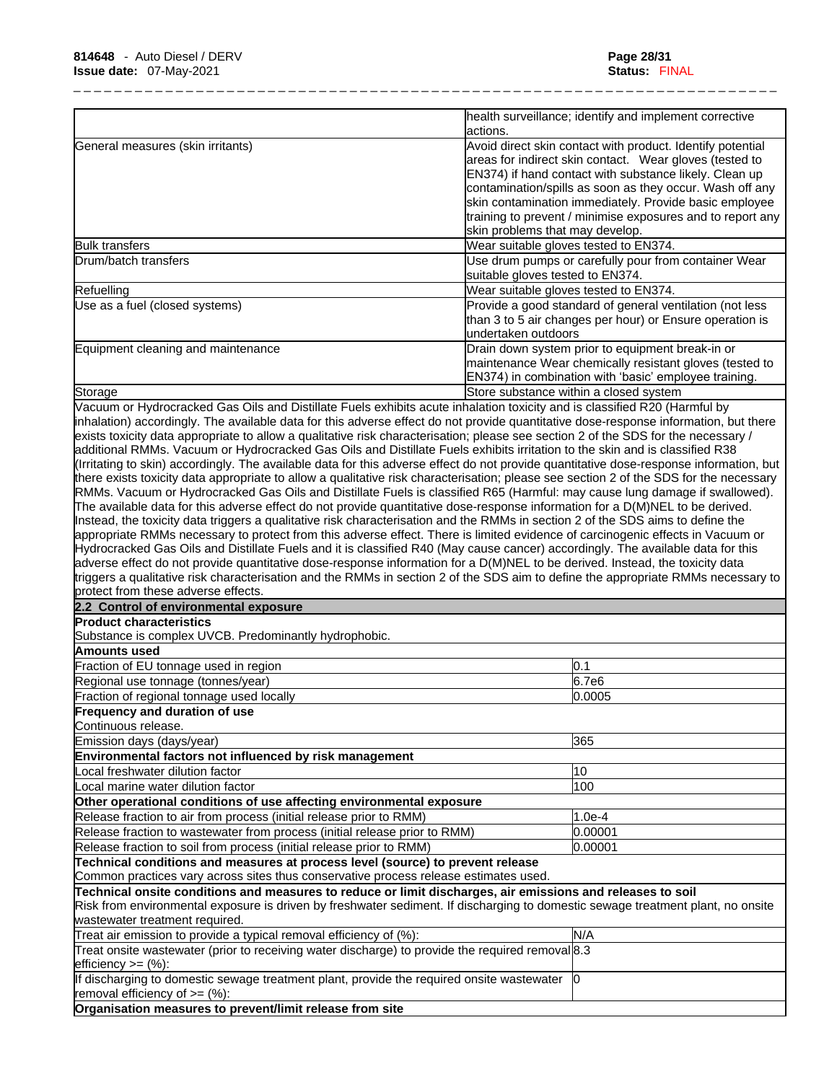| actions.<br>Avoid direct skin contact with product. Identify potential<br>areas for indirect skin contact. Wear gloves (tested to<br>EN374) if hand contact with substance likely. Clean up<br>skin contamination immediately. Provide basic employee<br>skin problems that may develop.<br>Wear suitable gloves tested to EN374.<br>Use drum pumps or carefully pour from container Wear<br>suitable gloves tested to EN374.<br>Wear suitable gloves tested to EN374.<br>Provide a good standard of general ventilation (not less<br>than 3 to 5 air changes per hour) or Ensure operation is<br>undertaken outdoors<br>Drain down system prior to equipment break-in or<br>maintenance Wear chemically resistant gloves (tested to<br>EN374) in combination with 'basic' employee training.<br>Store substance within a closed system<br>RMMs. Vacuum or Hydrocracked Gas Oils and Distillate Fuels is classified R65 (Harmful: may cause lung damage if swallowed).<br>0.1<br>6.7e6<br>Fraction of regional tonnage used locally<br>0.0005<br>365<br>Local freshwater dilution factor<br>10<br>100<br>Local marine water dilution factor<br>$1.0e-4$<br>0.00001<br>0.00001<br>Technical conditions and measures at process level (source) to prevent release<br>Risk from environmental exposure is driven by freshwater sediment. If discharging to domestic sewage treatment plant, no onsite<br>Treat air emission to provide a typical removal efficiency of (%):<br>N/A<br>If discharging to domestic sewage treatment plant, provide the required onsite wastewater  0 | General measures (skin irritants)<br>Refuelling<br>Use as a fuel (closed systems)<br>Storage<br>exists toxicity data appropriate to allow a qualitative risk characterisation; please see section 2 of the SDS for the necessary /<br>additional RMMs. Vacuum or Hydrocracked Gas Oils and Distillate Fuels exhibits irritation to the skin and is classified R38<br>The available data for this adverse effect do not provide quantitative dose-response information for a D(M)NEL to be derived.<br>Instead, the toxicity data triggers a qualitative risk characterisation and the RMMs in section 2 of the SDS aims to define the<br>appropriate RMMs necessary to protect from this adverse effect. There is limited evidence of carcinogenic effects in Vacuum or<br>Hydrocracked Gas Oils and Distillate Fuels and it is classified R40 (May cause cancer) accordingly. The available data for this<br>adverse effect do not provide quantitative dose-response information for a D(M)NEL to be derived. Instead, the toxicity data<br>protect from these adverse effects.<br>2.2 Control of environmental exposure<br><b>Product characteristics</b><br>Substance is complex UVCB. Predominantly hydrophobic.<br>Amounts used<br>Fraction of EU tonnage used in region<br>Regional use tonnage (tonnes/year)<br>Frequency and duration of use<br>Continuous release.<br>Emission days (days/year)<br>Environmental factors not influenced by risk management<br>Other operational conditions of use affecting environmental exposure<br>Release fraction to air from process (initial release prior to RMM)<br>Release fraction to wastewater from process (initial release prior to RMM)<br>Release fraction to soil from process (initial release prior to RMM)<br>Common practices vary across sites thus conservative process release estimates used.<br>Technical onsite conditions and measures to reduce or limit discharges, air emissions and releases to soil<br>wastewater treatment required.<br>Treat onsite wastewater (prior to receiving water discharge) to provide the required removal 8.3<br>efficiency $>=$ $(\%)$ :<br>removal efficiency of $>=$ (%):<br>Organisation measures to prevent/limit release from site | health surveillance; identify and implement corrective |
|---------------------------------------------------------------------------------------------------------------------------------------------------------------------------------------------------------------------------------------------------------------------------------------------------------------------------------------------------------------------------------------------------------------------------------------------------------------------------------------------------------------------------------------------------------------------------------------------------------------------------------------------------------------------------------------------------------------------------------------------------------------------------------------------------------------------------------------------------------------------------------------------------------------------------------------------------------------------------------------------------------------------------------------------------------------------------------------------------------------------------------------------------------------------------------------------------------------------------------------------------------------------------------------------------------------------------------------------------------------------------------------------------------------------------------------------------------------------------------------------------------------------------------------------------------------------------------|--------------------------------------------------------------------------------------------------------------------------------------------------------------------------------------------------------------------------------------------------------------------------------------------------------------------------------------------------------------------------------------------------------------------------------------------------------------------------------------------------------------------------------------------------------------------------------------------------------------------------------------------------------------------------------------------------------------------------------------------------------------------------------------------------------------------------------------------------------------------------------------------------------------------------------------------------------------------------------------------------------------------------------------------------------------------------------------------------------------------------------------------------------------------------------------------------------------------------------------------------------------------------------------------------------------------------------------------------------------------------------------------------------------------------------------------------------------------------------------------------------------------------------------------------------------------------------------------------------------------------------------------------------------------------------------------------------------------------------------------------------------------------------------------------------------------------------------------------------------------------------------------------------------------------------------------------------------------------------------------------------------------------------------------------------------------------------------------------------------------------------------------------------------------------------------------------------------------------------------------------|--------------------------------------------------------|
| contamination/spills as soon as they occur. Wash off any<br>training to prevent / minimise exposures and to report any<br>inhalation) accordingly. The available data for this adverse effect do not provide quantitative dose-response information, but there<br>(Irritating to skin) accordingly. The available data for this adverse effect do not provide quantitative dose-response information, but<br>there exists toxicity data appropriate to allow a qualitative risk characterisation; please see section 2 of the SDS for the necessary<br>triggers a qualitative risk characterisation and the RMMs in section 2 of the SDS aim to define the appropriate RMMs necessary to                                                                                                                                                                                                                                                                                                                                                                                                                                                                                                                                                                                                                                                                                                                                                                                                                                                                                        |                                                                                                                                                                                                                                                                                                                                                                                                                                                                                                                                                                                                                                                                                                                                                                                                                                                                                                                                                                                                                                                                                                                                                                                                                                                                                                                                                                                                                                                                                                                                                                                                                                                                                                                                                                                                                                                                                                                                                                                                                                                                                                                                                                                                                                                  |                                                        |
|                                                                                                                                                                                                                                                                                                                                                                                                                                                                                                                                                                                                                                                                                                                                                                                                                                                                                                                                                                                                                                                                                                                                                                                                                                                                                                                                                                                                                                                                                                                                                                                 | <b>Bulk transfers</b><br>Drum/batch transfers<br>Equipment cleaning and maintenance<br>Vacuum or Hydrocracked Gas Oils and Distillate Fuels exhibits acute inhalation toxicity and is classified R20 (Harmful by                                                                                                                                                                                                                                                                                                                                                                                                                                                                                                                                                                                                                                                                                                                                                                                                                                                                                                                                                                                                                                                                                                                                                                                                                                                                                                                                                                                                                                                                                                                                                                                                                                                                                                                                                                                                                                                                                                                                                                                                                                 |                                                        |
|                                                                                                                                                                                                                                                                                                                                                                                                                                                                                                                                                                                                                                                                                                                                                                                                                                                                                                                                                                                                                                                                                                                                                                                                                                                                                                                                                                                                                                                                                                                                                                                 |                                                                                                                                                                                                                                                                                                                                                                                                                                                                                                                                                                                                                                                                                                                                                                                                                                                                                                                                                                                                                                                                                                                                                                                                                                                                                                                                                                                                                                                                                                                                                                                                                                                                                                                                                                                                                                                                                                                                                                                                                                                                                                                                                                                                                                                  |                                                        |
|                                                                                                                                                                                                                                                                                                                                                                                                                                                                                                                                                                                                                                                                                                                                                                                                                                                                                                                                                                                                                                                                                                                                                                                                                                                                                                                                                                                                                                                                                                                                                                                 |                                                                                                                                                                                                                                                                                                                                                                                                                                                                                                                                                                                                                                                                                                                                                                                                                                                                                                                                                                                                                                                                                                                                                                                                                                                                                                                                                                                                                                                                                                                                                                                                                                                                                                                                                                                                                                                                                                                                                                                                                                                                                                                                                                                                                                                  |                                                        |
|                                                                                                                                                                                                                                                                                                                                                                                                                                                                                                                                                                                                                                                                                                                                                                                                                                                                                                                                                                                                                                                                                                                                                                                                                                                                                                                                                                                                                                                                                                                                                                                 |                                                                                                                                                                                                                                                                                                                                                                                                                                                                                                                                                                                                                                                                                                                                                                                                                                                                                                                                                                                                                                                                                                                                                                                                                                                                                                                                                                                                                                                                                                                                                                                                                                                                                                                                                                                                                                                                                                                                                                                                                                                                                                                                                                                                                                                  |                                                        |
|                                                                                                                                                                                                                                                                                                                                                                                                                                                                                                                                                                                                                                                                                                                                                                                                                                                                                                                                                                                                                                                                                                                                                                                                                                                                                                                                                                                                                                                                                                                                                                                 |                                                                                                                                                                                                                                                                                                                                                                                                                                                                                                                                                                                                                                                                                                                                                                                                                                                                                                                                                                                                                                                                                                                                                                                                                                                                                                                                                                                                                                                                                                                                                                                                                                                                                                                                                                                                                                                                                                                                                                                                                                                                                                                                                                                                                                                  |                                                        |
|                                                                                                                                                                                                                                                                                                                                                                                                                                                                                                                                                                                                                                                                                                                                                                                                                                                                                                                                                                                                                                                                                                                                                                                                                                                                                                                                                                                                                                                                                                                                                                                 |                                                                                                                                                                                                                                                                                                                                                                                                                                                                                                                                                                                                                                                                                                                                                                                                                                                                                                                                                                                                                                                                                                                                                                                                                                                                                                                                                                                                                                                                                                                                                                                                                                                                                                                                                                                                                                                                                                                                                                                                                                                                                                                                                                                                                                                  |                                                        |
|                                                                                                                                                                                                                                                                                                                                                                                                                                                                                                                                                                                                                                                                                                                                                                                                                                                                                                                                                                                                                                                                                                                                                                                                                                                                                                                                                                                                                                                                                                                                                                                 |                                                                                                                                                                                                                                                                                                                                                                                                                                                                                                                                                                                                                                                                                                                                                                                                                                                                                                                                                                                                                                                                                                                                                                                                                                                                                                                                                                                                                                                                                                                                                                                                                                                                                                                                                                                                                                                                                                                                                                                                                                                                                                                                                                                                                                                  |                                                        |
|                                                                                                                                                                                                                                                                                                                                                                                                                                                                                                                                                                                                                                                                                                                                                                                                                                                                                                                                                                                                                                                                                                                                                                                                                                                                                                                                                                                                                                                                                                                                                                                 |                                                                                                                                                                                                                                                                                                                                                                                                                                                                                                                                                                                                                                                                                                                                                                                                                                                                                                                                                                                                                                                                                                                                                                                                                                                                                                                                                                                                                                                                                                                                                                                                                                                                                                                                                                                                                                                                                                                                                                                                                                                                                                                                                                                                                                                  |                                                        |
|                                                                                                                                                                                                                                                                                                                                                                                                                                                                                                                                                                                                                                                                                                                                                                                                                                                                                                                                                                                                                                                                                                                                                                                                                                                                                                                                                                                                                                                                                                                                                                                 |                                                                                                                                                                                                                                                                                                                                                                                                                                                                                                                                                                                                                                                                                                                                                                                                                                                                                                                                                                                                                                                                                                                                                                                                                                                                                                                                                                                                                                                                                                                                                                                                                                                                                                                                                                                                                                                                                                                                                                                                                                                                                                                                                                                                                                                  |                                                        |
|                                                                                                                                                                                                                                                                                                                                                                                                                                                                                                                                                                                                                                                                                                                                                                                                                                                                                                                                                                                                                                                                                                                                                                                                                                                                                                                                                                                                                                                                                                                                                                                 |                                                                                                                                                                                                                                                                                                                                                                                                                                                                                                                                                                                                                                                                                                                                                                                                                                                                                                                                                                                                                                                                                                                                                                                                                                                                                                                                                                                                                                                                                                                                                                                                                                                                                                                                                                                                                                                                                                                                                                                                                                                                                                                                                                                                                                                  |                                                        |
|                                                                                                                                                                                                                                                                                                                                                                                                                                                                                                                                                                                                                                                                                                                                                                                                                                                                                                                                                                                                                                                                                                                                                                                                                                                                                                                                                                                                                                                                                                                                                                                 |                                                                                                                                                                                                                                                                                                                                                                                                                                                                                                                                                                                                                                                                                                                                                                                                                                                                                                                                                                                                                                                                                                                                                                                                                                                                                                                                                                                                                                                                                                                                                                                                                                                                                                                                                                                                                                                                                                                                                                                                                                                                                                                                                                                                                                                  |                                                        |
|                                                                                                                                                                                                                                                                                                                                                                                                                                                                                                                                                                                                                                                                                                                                                                                                                                                                                                                                                                                                                                                                                                                                                                                                                                                                                                                                                                                                                                                                                                                                                                                 |                                                                                                                                                                                                                                                                                                                                                                                                                                                                                                                                                                                                                                                                                                                                                                                                                                                                                                                                                                                                                                                                                                                                                                                                                                                                                                                                                                                                                                                                                                                                                                                                                                                                                                                                                                                                                                                                                                                                                                                                                                                                                                                                                                                                                                                  |                                                        |
|                                                                                                                                                                                                                                                                                                                                                                                                                                                                                                                                                                                                                                                                                                                                                                                                                                                                                                                                                                                                                                                                                                                                                                                                                                                                                                                                                                                                                                                                                                                                                                                 |                                                                                                                                                                                                                                                                                                                                                                                                                                                                                                                                                                                                                                                                                                                                                                                                                                                                                                                                                                                                                                                                                                                                                                                                                                                                                                                                                                                                                                                                                                                                                                                                                                                                                                                                                                                                                                                                                                                                                                                                                                                                                                                                                                                                                                                  |                                                        |
|                                                                                                                                                                                                                                                                                                                                                                                                                                                                                                                                                                                                                                                                                                                                                                                                                                                                                                                                                                                                                                                                                                                                                                                                                                                                                                                                                                                                                                                                                                                                                                                 |                                                                                                                                                                                                                                                                                                                                                                                                                                                                                                                                                                                                                                                                                                                                                                                                                                                                                                                                                                                                                                                                                                                                                                                                                                                                                                                                                                                                                                                                                                                                                                                                                                                                                                                                                                                                                                                                                                                                                                                                                                                                                                                                                                                                                                                  |                                                        |
|                                                                                                                                                                                                                                                                                                                                                                                                                                                                                                                                                                                                                                                                                                                                                                                                                                                                                                                                                                                                                                                                                                                                                                                                                                                                                                                                                                                                                                                                                                                                                                                 |                                                                                                                                                                                                                                                                                                                                                                                                                                                                                                                                                                                                                                                                                                                                                                                                                                                                                                                                                                                                                                                                                                                                                                                                                                                                                                                                                                                                                                                                                                                                                                                                                                                                                                                                                                                                                                                                                                                                                                                                                                                                                                                                                                                                                                                  |                                                        |
|                                                                                                                                                                                                                                                                                                                                                                                                                                                                                                                                                                                                                                                                                                                                                                                                                                                                                                                                                                                                                                                                                                                                                                                                                                                                                                                                                                                                                                                                                                                                                                                 |                                                                                                                                                                                                                                                                                                                                                                                                                                                                                                                                                                                                                                                                                                                                                                                                                                                                                                                                                                                                                                                                                                                                                                                                                                                                                                                                                                                                                                                                                                                                                                                                                                                                                                                                                                                                                                                                                                                                                                                                                                                                                                                                                                                                                                                  |                                                        |
|                                                                                                                                                                                                                                                                                                                                                                                                                                                                                                                                                                                                                                                                                                                                                                                                                                                                                                                                                                                                                                                                                                                                                                                                                                                                                                                                                                                                                                                                                                                                                                                 |                                                                                                                                                                                                                                                                                                                                                                                                                                                                                                                                                                                                                                                                                                                                                                                                                                                                                                                                                                                                                                                                                                                                                                                                                                                                                                                                                                                                                                                                                                                                                                                                                                                                                                                                                                                                                                                                                                                                                                                                                                                                                                                                                                                                                                                  |                                                        |
|                                                                                                                                                                                                                                                                                                                                                                                                                                                                                                                                                                                                                                                                                                                                                                                                                                                                                                                                                                                                                                                                                                                                                                                                                                                                                                                                                                                                                                                                                                                                                                                 |                                                                                                                                                                                                                                                                                                                                                                                                                                                                                                                                                                                                                                                                                                                                                                                                                                                                                                                                                                                                                                                                                                                                                                                                                                                                                                                                                                                                                                                                                                                                                                                                                                                                                                                                                                                                                                                                                                                                                                                                                                                                                                                                                                                                                                                  |                                                        |
|                                                                                                                                                                                                                                                                                                                                                                                                                                                                                                                                                                                                                                                                                                                                                                                                                                                                                                                                                                                                                                                                                                                                                                                                                                                                                                                                                                                                                                                                                                                                                                                 |                                                                                                                                                                                                                                                                                                                                                                                                                                                                                                                                                                                                                                                                                                                                                                                                                                                                                                                                                                                                                                                                                                                                                                                                                                                                                                                                                                                                                                                                                                                                                                                                                                                                                                                                                                                                                                                                                                                                                                                                                                                                                                                                                                                                                                                  |                                                        |
|                                                                                                                                                                                                                                                                                                                                                                                                                                                                                                                                                                                                                                                                                                                                                                                                                                                                                                                                                                                                                                                                                                                                                                                                                                                                                                                                                                                                                                                                                                                                                                                 |                                                                                                                                                                                                                                                                                                                                                                                                                                                                                                                                                                                                                                                                                                                                                                                                                                                                                                                                                                                                                                                                                                                                                                                                                                                                                                                                                                                                                                                                                                                                                                                                                                                                                                                                                                                                                                                                                                                                                                                                                                                                                                                                                                                                                                                  |                                                        |
|                                                                                                                                                                                                                                                                                                                                                                                                                                                                                                                                                                                                                                                                                                                                                                                                                                                                                                                                                                                                                                                                                                                                                                                                                                                                                                                                                                                                                                                                                                                                                                                 |                                                                                                                                                                                                                                                                                                                                                                                                                                                                                                                                                                                                                                                                                                                                                                                                                                                                                                                                                                                                                                                                                                                                                                                                                                                                                                                                                                                                                                                                                                                                                                                                                                                                                                                                                                                                                                                                                                                                                                                                                                                                                                                                                                                                                                                  |                                                        |
|                                                                                                                                                                                                                                                                                                                                                                                                                                                                                                                                                                                                                                                                                                                                                                                                                                                                                                                                                                                                                                                                                                                                                                                                                                                                                                                                                                                                                                                                                                                                                                                 |                                                                                                                                                                                                                                                                                                                                                                                                                                                                                                                                                                                                                                                                                                                                                                                                                                                                                                                                                                                                                                                                                                                                                                                                                                                                                                                                                                                                                                                                                                                                                                                                                                                                                                                                                                                                                                                                                                                                                                                                                                                                                                                                                                                                                                                  |                                                        |
|                                                                                                                                                                                                                                                                                                                                                                                                                                                                                                                                                                                                                                                                                                                                                                                                                                                                                                                                                                                                                                                                                                                                                                                                                                                                                                                                                                                                                                                                                                                                                                                 |                                                                                                                                                                                                                                                                                                                                                                                                                                                                                                                                                                                                                                                                                                                                                                                                                                                                                                                                                                                                                                                                                                                                                                                                                                                                                                                                                                                                                                                                                                                                                                                                                                                                                                                                                                                                                                                                                                                                                                                                                                                                                                                                                                                                                                                  |                                                        |
|                                                                                                                                                                                                                                                                                                                                                                                                                                                                                                                                                                                                                                                                                                                                                                                                                                                                                                                                                                                                                                                                                                                                                                                                                                                                                                                                                                                                                                                                                                                                                                                 |                                                                                                                                                                                                                                                                                                                                                                                                                                                                                                                                                                                                                                                                                                                                                                                                                                                                                                                                                                                                                                                                                                                                                                                                                                                                                                                                                                                                                                                                                                                                                                                                                                                                                                                                                                                                                                                                                                                                                                                                                                                                                                                                                                                                                                                  |                                                        |
|                                                                                                                                                                                                                                                                                                                                                                                                                                                                                                                                                                                                                                                                                                                                                                                                                                                                                                                                                                                                                                                                                                                                                                                                                                                                                                                                                                                                                                                                                                                                                                                 |                                                                                                                                                                                                                                                                                                                                                                                                                                                                                                                                                                                                                                                                                                                                                                                                                                                                                                                                                                                                                                                                                                                                                                                                                                                                                                                                                                                                                                                                                                                                                                                                                                                                                                                                                                                                                                                                                                                                                                                                                                                                                                                                                                                                                                                  |                                                        |
|                                                                                                                                                                                                                                                                                                                                                                                                                                                                                                                                                                                                                                                                                                                                                                                                                                                                                                                                                                                                                                                                                                                                                                                                                                                                                                                                                                                                                                                                                                                                                                                 |                                                                                                                                                                                                                                                                                                                                                                                                                                                                                                                                                                                                                                                                                                                                                                                                                                                                                                                                                                                                                                                                                                                                                                                                                                                                                                                                                                                                                                                                                                                                                                                                                                                                                                                                                                                                                                                                                                                                                                                                                                                                                                                                                                                                                                                  |                                                        |
|                                                                                                                                                                                                                                                                                                                                                                                                                                                                                                                                                                                                                                                                                                                                                                                                                                                                                                                                                                                                                                                                                                                                                                                                                                                                                                                                                                                                                                                                                                                                                                                 |                                                                                                                                                                                                                                                                                                                                                                                                                                                                                                                                                                                                                                                                                                                                                                                                                                                                                                                                                                                                                                                                                                                                                                                                                                                                                                                                                                                                                                                                                                                                                                                                                                                                                                                                                                                                                                                                                                                                                                                                                                                                                                                                                                                                                                                  |                                                        |
|                                                                                                                                                                                                                                                                                                                                                                                                                                                                                                                                                                                                                                                                                                                                                                                                                                                                                                                                                                                                                                                                                                                                                                                                                                                                                                                                                                                                                                                                                                                                                                                 |                                                                                                                                                                                                                                                                                                                                                                                                                                                                                                                                                                                                                                                                                                                                                                                                                                                                                                                                                                                                                                                                                                                                                                                                                                                                                                                                                                                                                                                                                                                                                                                                                                                                                                                                                                                                                                                                                                                                                                                                                                                                                                                                                                                                                                                  |                                                        |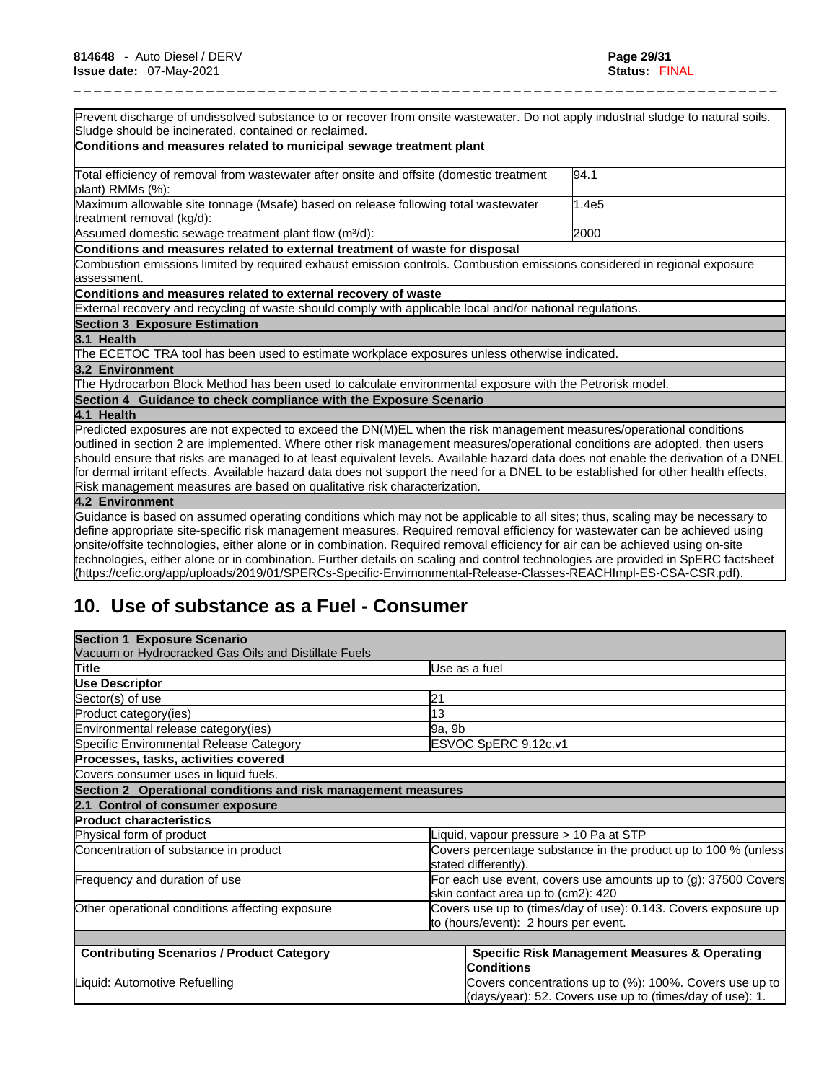| Prevent discharge of undissolved substance to or recover from onsite wastewater. Do not apply industrial sludge to natural soils.                                                                                                                             |       |
|---------------------------------------------------------------------------------------------------------------------------------------------------------------------------------------------------------------------------------------------------------------|-------|
| Sludge should be incinerated, contained or reclaimed.                                                                                                                                                                                                         |       |
| Conditions and measures related to municipal sewage treatment plant                                                                                                                                                                                           |       |
| Total efficiency of removal from wastewater after onsite and offsite (domestic treatment<br>plant) RMMs (%):                                                                                                                                                  | 94.1  |
| Maximum allowable site tonnage (Msafe) based on release following total wastewater<br>treatment removal (kg/d):                                                                                                                                               | 1.4e5 |
| Assumed domestic sewage treatment plant flow (m <sup>3</sup> /d):                                                                                                                                                                                             | 2000  |
| Conditions and measures related to external treatment of waste for disposal                                                                                                                                                                                   |       |
| Combustion emissions limited by required exhaust emission controls. Combustion emissions considered in regional exposure<br>lassessment.                                                                                                                      |       |
| Conditions and measures related to external recovery of waste                                                                                                                                                                                                 |       |
| External recovery and recycling of waste should comply with applicable local and/or national regulations.                                                                                                                                                     |       |
| <b>Section 3 Exposure Estimation</b>                                                                                                                                                                                                                          |       |
| 3.1 Health                                                                                                                                                                                                                                                    |       |
| The ECETOC TRA tool has been used to estimate workplace exposures unless otherwise indicated.                                                                                                                                                                 |       |
| 3.2 Environment                                                                                                                                                                                                                                               |       |
| The Hydrocarbon Block Method has been used to calculate environmental exposure with the Petrorisk model.                                                                                                                                                      |       |
| Section 4 Guidance to check compliance with the Exposure Scenario                                                                                                                                                                                             |       |
| 4.1 Health                                                                                                                                                                                                                                                    |       |
| Predicted exposures are not expected to exceed the DN(M)EL when the risk management measures/operational conditions                                                                                                                                           |       |
| outlined in section 2 are implemented. Where other risk management measures/operational conditions are adopted, then users                                                                                                                                    |       |
| should ensure that risks are managed to at least equivalent levels. Available hazard data does not enable the derivation of a DNEL                                                                                                                            |       |
| for dermal irritant effects. Available hazard data does not support the need for a DNEL to be established for other health effects.                                                                                                                           |       |
| Risk management measures are based on qualitative risk characterization.                                                                                                                                                                                      |       |
| 4.2 Environment                                                                                                                                                                                                                                               |       |
| Guidance is based on assumed operating conditions which may not be applicable to all sites; thus, scaling may be necessary to                                                                                                                                 |       |
| define appropriate site-specific risk management measures. Required removal efficiency for wastewater can be achieved using<br>onsite/offsite technologies, either alone or in combination. Required removal efficiency for air can be achieved using on-site |       |
| technologies, either alone or in combination. Eurther details on scaling and control technologies are provided in SnERC factsheet                                                                                                                             |       |

technologies, either alone or in combination. Further details on scaling and control technologies are provided in SpERC factsheet (https://cefic.org/app/uploads/2019/01/SPERCs-Specific-Envirnonmental-Release-Classes-REACHImpl-ES-CSA-CSR.pdf).

# **10. Use of substance as a Fuel - Consumer**

| <b>Section 1 Exposure Scenario</b>                            |                                                                                                                     |  |
|---------------------------------------------------------------|---------------------------------------------------------------------------------------------------------------------|--|
| Vacuum or Hydrocracked Gas Oils and Distillate Fuels          |                                                                                                                     |  |
| Title                                                         | Use as a fuel                                                                                                       |  |
| <b>Use Descriptor</b>                                         |                                                                                                                     |  |
| Sector(s) of use                                              | 21                                                                                                                  |  |
| Product category(ies)                                         | 13                                                                                                                  |  |
| Environmental release category(ies)                           | 9a, 9b                                                                                                              |  |
| Specific Environmental Release Category                       | ESVOC SpERC 9.12c.v1                                                                                                |  |
| Processes, tasks, activities covered                          |                                                                                                                     |  |
| Covers consumer uses in liquid fuels.                         |                                                                                                                     |  |
| Section 2 Operational conditions and risk management measures |                                                                                                                     |  |
| 2.1 Control of consumer exposure                              |                                                                                                                     |  |
| <b>Product characteristics</b>                                |                                                                                                                     |  |
| Physical form of product                                      | iquid, vapour pressure > 10 Pa at STP                                                                               |  |
| Concentration of substance in product                         | Covers percentage substance in the product up to 100 % (unless<br>stated differently).                              |  |
| Frequency and duration of use                                 | For each use event, covers use amounts up to (g): 37500 Covers                                                      |  |
|                                                               | skin contact area up to (cm2): 420                                                                                  |  |
| Other operational conditions affecting exposure               | Covers use up to (times/day of use): 0.143. Covers exposure up<br>to (hours/event): 2 hours per event.              |  |
|                                                               |                                                                                                                     |  |
| <b>Contributing Scenarios / Product Category</b>              | <b>Specific Risk Management Measures &amp; Operating</b><br><b>Conditions</b>                                       |  |
| Liquid: Automotive Refuelling                                 | Covers concentrations up to (%): 100%. Covers use up to<br>(days/year): 52. Covers use up to (times/day of use): 1. |  |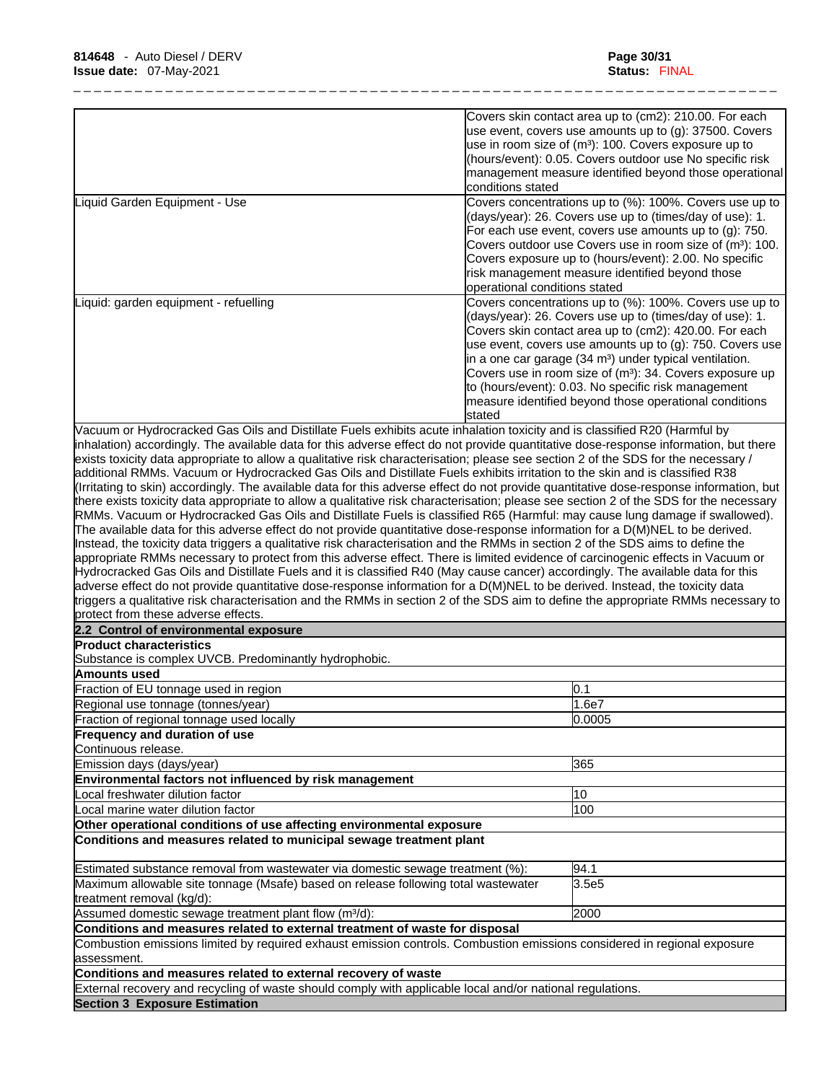|                                                                                                                                                                                                                                                                                                                                                                                                         | Covers skin contact area up to (cm2): 210.00. For each                                                             |
|---------------------------------------------------------------------------------------------------------------------------------------------------------------------------------------------------------------------------------------------------------------------------------------------------------------------------------------------------------------------------------------------------------|--------------------------------------------------------------------------------------------------------------------|
|                                                                                                                                                                                                                                                                                                                                                                                                         | use event, covers use amounts up to (g): 37500. Covers                                                             |
|                                                                                                                                                                                                                                                                                                                                                                                                         | use in room size of (m <sup>3</sup> ): 100. Covers exposure up to                                                  |
|                                                                                                                                                                                                                                                                                                                                                                                                         | (hours/event): 0.05. Covers outdoor use No specific risk<br>management measure identified beyond those operational |
|                                                                                                                                                                                                                                                                                                                                                                                                         | conditions stated                                                                                                  |
| Liquid Garden Equipment - Use                                                                                                                                                                                                                                                                                                                                                                           | Covers concentrations up to (%): 100%. Covers use up to                                                            |
|                                                                                                                                                                                                                                                                                                                                                                                                         | (days/year): 26. Covers use up to (times/day of use): 1.                                                           |
|                                                                                                                                                                                                                                                                                                                                                                                                         | For each use event, covers use amounts up to $(g)$ : 750.                                                          |
|                                                                                                                                                                                                                                                                                                                                                                                                         | Covers outdoor use Covers use in room size of (m <sup>3</sup> ): 100.                                              |
|                                                                                                                                                                                                                                                                                                                                                                                                         | Covers exposure up to (hours/event): 2.00. No specific                                                             |
|                                                                                                                                                                                                                                                                                                                                                                                                         | risk management measure identified beyond those                                                                    |
|                                                                                                                                                                                                                                                                                                                                                                                                         | operational conditions stated                                                                                      |
| Liquid: garden equipment - refuelling                                                                                                                                                                                                                                                                                                                                                                   | Covers concentrations up to (%): 100%. Covers use up to                                                            |
|                                                                                                                                                                                                                                                                                                                                                                                                         | (days/year): 26. Covers use up to (times/day of use): 1.                                                           |
|                                                                                                                                                                                                                                                                                                                                                                                                         | Covers skin contact area up to (cm2): 420.00. For each                                                             |
|                                                                                                                                                                                                                                                                                                                                                                                                         | use event, covers use amounts up to (g): 750. Covers use                                                           |
|                                                                                                                                                                                                                                                                                                                                                                                                         | in a one car garage (34 m <sup>3</sup> ) under typical ventilation.                                                |
|                                                                                                                                                                                                                                                                                                                                                                                                         | Covers use in room size of (m <sup>3</sup> ): 34. Covers exposure up                                               |
|                                                                                                                                                                                                                                                                                                                                                                                                         | to (hours/event): 0.03. No specific risk management                                                                |
|                                                                                                                                                                                                                                                                                                                                                                                                         | measure identified beyond those operational conditions                                                             |
|                                                                                                                                                                                                                                                                                                                                                                                                         | stated                                                                                                             |
| Vacuum or Hydrocracked Gas Oils and Distillate Fuels exhibits acute inhalation toxicity and is classified R20 (Harmful by<br>inhalation) accordingly. The available data for this adverse effect do not provide quantitative dose-response information, but there<br>exists toxicity data appropriate to allow a qualitative risk characterisation; please see section 2 of the SDS for the necessary / |                                                                                                                    |
| additional RMMs. Vacuum or Hydrocracked Gas Oils and Distillate Fuels exhibits irritation to the skin and is classified R38                                                                                                                                                                                                                                                                             |                                                                                                                    |
| (Irritating to skin) accordingly. The available data for this adverse effect do not provide quantitative dose-response information, but                                                                                                                                                                                                                                                                 |                                                                                                                    |
| there exists toxicity data appropriate to allow a qualitative risk characterisation; please see section 2 of the SDS for the necessary                                                                                                                                                                                                                                                                  |                                                                                                                    |
| RMMs. Vacuum or Hydrocracked Gas Oils and Distillate Fuels is classified R65 (Harmful: may cause lung damage if swallowed).                                                                                                                                                                                                                                                                             |                                                                                                                    |
| The available data for this adverse effect do not provide quantitative dose-response information for a D(M)NEL to be derived.                                                                                                                                                                                                                                                                           |                                                                                                                    |
| Instead, the toxicity data triggers a qualitative risk characterisation and the RMMs in section 2 of the SDS aims to define the                                                                                                                                                                                                                                                                         |                                                                                                                    |
| appropriate RMMs necessary to protect from this adverse effect. There is limited evidence of carcinogenic effects in Vacuum or                                                                                                                                                                                                                                                                          |                                                                                                                    |
| Hydrocracked Gas Oils and Distillate Fuels and it is classified R40 (May cause cancer) accordingly. The available data for this                                                                                                                                                                                                                                                                         |                                                                                                                    |
| adverse effect do not provide quantitative dose-response information for a D(M)NEL to be derived. Instead, the toxicity data                                                                                                                                                                                                                                                                            |                                                                                                                    |
| triggers a qualitative risk characterisation and the RMMs in section 2 of the SDS aim to define the appropriate RMMs necessary to                                                                                                                                                                                                                                                                       |                                                                                                                    |
| protect from these adverse effects.<br>2.2 Control of environmental exposure                                                                                                                                                                                                                                                                                                                            |                                                                                                                    |
| <b>Product characteristics</b>                                                                                                                                                                                                                                                                                                                                                                          |                                                                                                                    |
| Substance is complex UVCB. Predominantly hydrophobic.                                                                                                                                                                                                                                                                                                                                                   |                                                                                                                    |
| Amounts used                                                                                                                                                                                                                                                                                                                                                                                            |                                                                                                                    |
|                                                                                                                                                                                                                                                                                                                                                                                                         |                                                                                                                    |
| Fraction of EU tonnage used in region                                                                                                                                                                                                                                                                                                                                                                   | 0.1                                                                                                                |
| Regional use tonnage (tonnes/year)                                                                                                                                                                                                                                                                                                                                                                      | 1.6e7                                                                                                              |
| Fraction of regional tonnage used locally                                                                                                                                                                                                                                                                                                                                                               | 0.0005                                                                                                             |
| Frequency and duration of use                                                                                                                                                                                                                                                                                                                                                                           |                                                                                                                    |
| Continuous release.                                                                                                                                                                                                                                                                                                                                                                                     |                                                                                                                    |
| Emission days (days/year)                                                                                                                                                                                                                                                                                                                                                                               | 365                                                                                                                |
| Environmental factors not influenced by risk management                                                                                                                                                                                                                                                                                                                                                 |                                                                                                                    |
| Local freshwater dilution factor                                                                                                                                                                                                                                                                                                                                                                        | 10                                                                                                                 |
| Local marine water dilution factor                                                                                                                                                                                                                                                                                                                                                                      | 100                                                                                                                |
| Other operational conditions of use affecting environmental exposure                                                                                                                                                                                                                                                                                                                                    |                                                                                                                    |
| Conditions and measures related to municipal sewage treatment plant                                                                                                                                                                                                                                                                                                                                     |                                                                                                                    |
| Estimated substance removal from wastewater via domestic sewage treatment (%):                                                                                                                                                                                                                                                                                                                          | 94.1                                                                                                               |
| Maximum allowable site tonnage (Msafe) based on release following total wastewater                                                                                                                                                                                                                                                                                                                      | 3.5e <sub>5</sub>                                                                                                  |
| treatment removal (kg/d):                                                                                                                                                                                                                                                                                                                                                                               |                                                                                                                    |
| Assumed domestic sewage treatment plant flow (m <sup>3</sup> /d):                                                                                                                                                                                                                                                                                                                                       | 2000                                                                                                               |
| Conditions and measures related to external treatment of waste for disposal                                                                                                                                                                                                                                                                                                                             |                                                                                                                    |
| Combustion emissions limited by required exhaust emission controls. Combustion emissions considered in regional exposure<br>assessment.                                                                                                                                                                                                                                                                 |                                                                                                                    |
| Conditions and measures related to external recovery of waste                                                                                                                                                                                                                                                                                                                                           |                                                                                                                    |
| External recovery and recycling of waste should comply with applicable local and/or national regulations.                                                                                                                                                                                                                                                                                               |                                                                                                                    |
| <b>Section 3 Exposure Estimation</b>                                                                                                                                                                                                                                                                                                                                                                    |                                                                                                                    |
|                                                                                                                                                                                                                                                                                                                                                                                                         |                                                                                                                    |